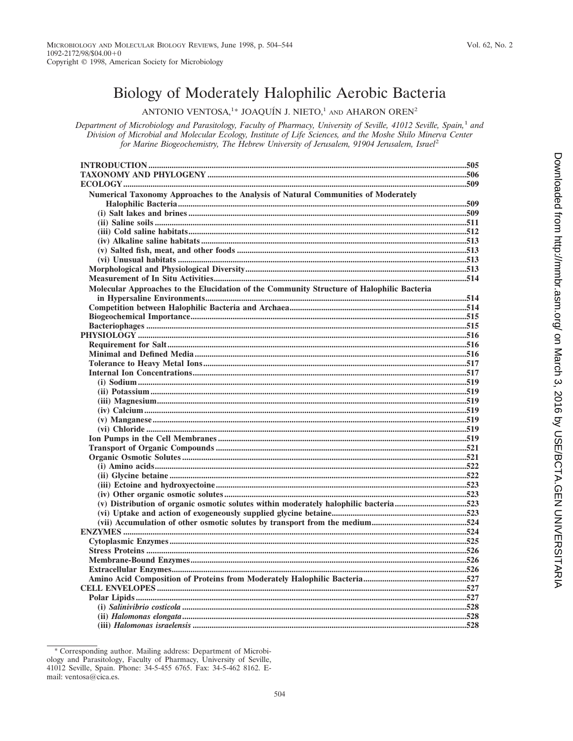# Biology of Moderately Halophilic Aerobic Bacteria

ANTONIO VENTOSA,<sup>1\*</sup> JOAQUÍN J. NIETO,<sup>1</sup> AND AHARON OREN<sup>2</sup>

Department of Microbiology and Parasitology, Faculty of Pharmacy, University of Seville, 41012 Seville, Spain,<sup>1</sup> and Division of Microbial and Molecular Ecology, Institute of Life Sciences, and the Moshe Shilo Minerva Center for Marine Biogeochemistry, The Hebrew University of Jerusalem, 91904 Jerusalem, Israel<sup>2</sup>

| Numerical Taxonomy Approaches to the Analysis of Natural Communities of Moderately        |  |
|-------------------------------------------------------------------------------------------|--|
|                                                                                           |  |
|                                                                                           |  |
|                                                                                           |  |
|                                                                                           |  |
|                                                                                           |  |
|                                                                                           |  |
|                                                                                           |  |
|                                                                                           |  |
|                                                                                           |  |
| Molecular Approaches to the Elucidation of the Community Structure of Halophilic Bacteria |  |
|                                                                                           |  |
|                                                                                           |  |
|                                                                                           |  |
|                                                                                           |  |
|                                                                                           |  |
|                                                                                           |  |
|                                                                                           |  |
|                                                                                           |  |
|                                                                                           |  |
|                                                                                           |  |
|                                                                                           |  |
|                                                                                           |  |
|                                                                                           |  |
|                                                                                           |  |
|                                                                                           |  |
|                                                                                           |  |
|                                                                                           |  |
|                                                                                           |  |
|                                                                                           |  |
|                                                                                           |  |
|                                                                                           |  |
|                                                                                           |  |
| (v) Distribution of organic osmotic solutes within moderately halophilic bacteria523      |  |
|                                                                                           |  |
|                                                                                           |  |
|                                                                                           |  |
|                                                                                           |  |
|                                                                                           |  |
|                                                                                           |  |
|                                                                                           |  |
|                                                                                           |  |
|                                                                                           |  |
|                                                                                           |  |
|                                                                                           |  |
|                                                                                           |  |
|                                                                                           |  |

504

<sup>\*</sup> Corresponding author. Mailing address: Department of Microbiology and Parasitology, Faculty of Pharmacy, University of Seville, 41012 Seville, Spain. Phone: 34-5-455 6765. Fax: 34-5-462 8162. Email: ventosa@cica.es.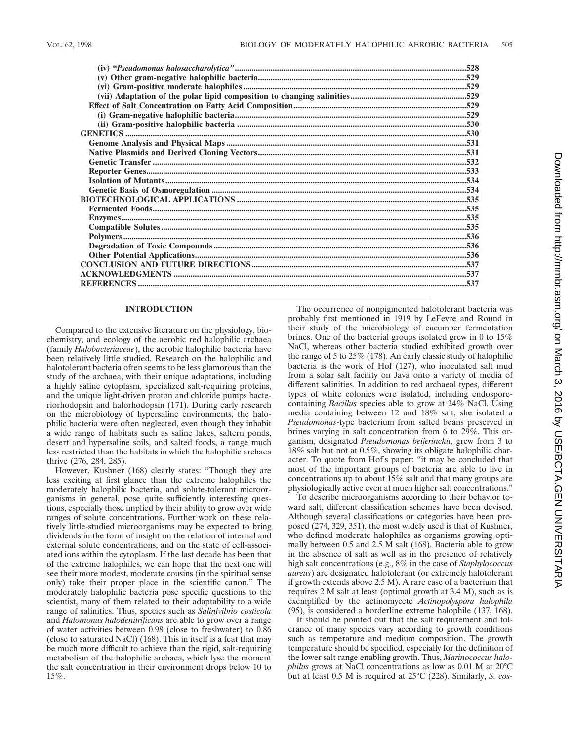# **INTRODUCTION**

Compared to the extensive literature on the physiology, biochemistry, and ecology of the aerobic red halophilic archaea (family *Halobacteriaceae*), the aerobic halophilic bacteria have been relatively little studied. Research on the halophilic and halotolerant bacteria often seems to be less glamorous than the study of the archaea, with their unique adaptations, including a highly saline cytoplasm, specialized salt-requiring proteins, and the unique light-driven proton and chloride pumps bacteriorhodopsin and halorhodopsin (171). During early research on the microbiology of hypersaline environments, the halophilic bacteria were often neglected, even though they inhabit a wide range of habitats such as saline lakes, saltern ponds, desert and hypersaline soils, and salted foods, a range much less restricted than the habitats in which the halophilic archaea thrive (276, 284, 285).

However, Kushner (168) clearly states: "Though they are less exciting at first glance than the extreme halophiles the moderately halophilic bacteria, and solute-tolerant microorganisms in general, pose quite sufficiently interesting questions, especially those implied by their ability to grow over wide ranges of solute concentrations. Further work on these relatively little-studied microorganisms may be expected to bring dividends in the form of insight on the relation of internal and external solute concentrations, and on the state of cell-associated ions within the cytoplasm. If the last decade has been that of the extreme halophiles, we can hope that the next one will see their more modest, moderate cousins (in the spiritual sense only) take their proper place in the scientific canon." The moderately halophilic bacteria pose specific questions to the scientist, many of them related to their adaptability to a wide range of salinities. Thus, species such as *Salinivibrio costicola* and *Halomonas halodenitrificans* are able to grow over a range of water activities between 0.98 (close to freshwater) to 0.86 (close to saturated NaCl) (168). This in itself is a feat that may be much more difficult to achieve than the rigid, salt-requiring metabolism of the halophilic archaea, which lyse the moment the salt concentration in their environment drops below 10 to 15%.

The occurrence of nonpigmented halotolerant bacteria was probably first mentioned in 1919 by LeFevre and Round in their study of the microbiology of cucumber fermentation brines. One of the bacterial groups isolated grew in 0 to 15% NaCl, whereas other bacteria studied exhibited growth over the range of 5 to 25% (178). An early classic study of halophilic bacteria is the work of Hof (127), who inoculated salt mud from a solar salt facility on Java onto a variety of media of different salinities. In addition to red archaeal types, different types of white colonies were isolated, including endosporecontaining *Bacillus* species able to grow at 24% NaCl. Using media containing between 12 and 18% salt, she isolated a *Pseudomonas*-type bacterium from salted beans preserved in brines varying in salt concentration from 6 to 29%. This organism, designated *Pseudomonas beijerinckii*, grew from 3 to 18% salt but not at 0.5%, showing its obligate halophilic character. To quote from Hof's paper: "it may be concluded that most of the important groups of bacteria are able to live in concentrations up to about 15% salt and that many groups are physiologically active even at much higher salt concentrations."

To describe microorganisms according to their behavior toward salt, different classification schemes have been devised. Although several classifications or categories have been proposed (274, 329, 351), the most widely used is that of Kushner, who defined moderate halophiles as organisms growing optimally between 0.5 and 2.5 M salt (168). Bacteria able to grow in the absence of salt as well as in the presence of relatively high salt concentrations (e.g., 8% in the case of *Staphylococcus aureus*) are designated halotolerant (or extremely halotolerant if growth extends above 2.5 M). A rare case of a bacterium that requires 2 M salt at least (optimal growth at 3.4 M), such as is exemplified by the actinomycete *Actinopolyspora halophila* (95), is considered a borderline extreme halophile (137, 168).

It should be pointed out that the salt requirement and tolerance of many species vary according to growth conditions such as temperature and medium composition. The growth temperature should be specified, especially for the definition of the lower salt range enabling growth. Thus, *Marinococcus halophilus* grows at NaCl concentrations as low as 0.01 M at 20°C but at least 0.5 M is required at 25°C (228). Similarly, *S. cos-*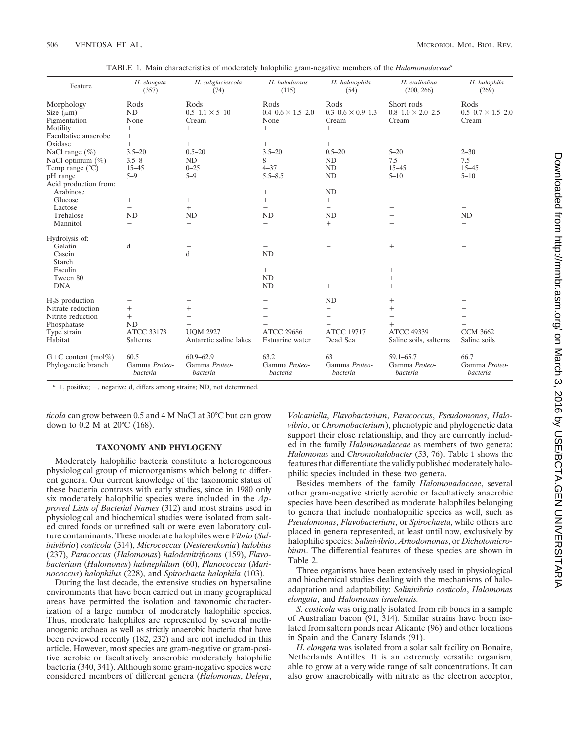| Feature                                     | H. elongata<br>(357)              | H. subglaciescola<br>(74)                  | H. halodurans<br>(115)            | H. halmophila<br>(54)           | H. eurihalina<br>(200, 266)                | H. halophila<br>(269)             |
|---------------------------------------------|-----------------------------------|--------------------------------------------|-----------------------------------|---------------------------------|--------------------------------------------|-----------------------------------|
| Morphology                                  | Rods                              | Rods                                       | Rods                              | Rods                            | Short rods                                 | Rods                              |
| Size $(\mu m)$                              | ND                                | $0.5 - 1.1 \times 5 - 10$                  | $0.4 - 0.6 \times 1.5 - 2.0$      | $0.3 - 0.6 \times 0.9 - 1.3$    | $0.8 - 1.0 \times 2.0 - 2.5$               | $0.5 - 0.7 \times 1.5 - 2.0$      |
| Pigmentation                                | None                              | Cream                                      | None                              | Cream                           | Cream                                      | Cream                             |
| Motility                                    | $^{+}$                            | $+$                                        | $+$                               | $^{+}$                          | $\overline{\phantom{0}}$                   | $+$                               |
| Facultative anaerobe                        | $+$                               |                                            | $\frac{1}{2}$                     | $\overline{\phantom{0}}$        | $\overline{\phantom{0}}$                   | $\equiv$                          |
| Oxidase                                     | $+$                               | $+$                                        | $+$                               | $+$                             | $\overline{\phantom{0}}$                   | $+$                               |
| NaCl range $(\%)$                           | $3.5 - 20$                        | $0.5 - 20$                                 | $3.5 - 20$                        | $0.5 - 20$                      | $5 - 20$                                   | $2 - 30$                          |
| NaCl optimum $(\%)$                         | $3.5 - 8$                         | <b>ND</b>                                  | 8                                 | <b>ND</b>                       | 7.5                                        | 7.5                               |
| Temp range $(^{\circ}C)$                    | $15 - 45$                         | $0 - 25$                                   | $4 - 37$                          | <b>ND</b>                       | $15 - 45$                                  | $15 - 45$                         |
| pH range                                    | $5 - 9$                           | $5 - 9$                                    | $5.5 - 8.5$                       | <b>ND</b>                       | $5 - 10$                                   | $5 - 10$                          |
| Acid production from:                       |                                   |                                            |                                   |                                 |                                            |                                   |
| Arabinose                                   | -                                 |                                            | $^{+}$                            | <b>ND</b>                       | $\equiv$                                   |                                   |
| Glucose                                     | $^{+}$                            | $^{+}$                                     | $+$                               | $\! + \!\!\!\!$                 | -                                          | $+$                               |
| Lactose                                     |                                   | $+$                                        | $\equiv$                          | $\equiv$                        |                                            | ÷.                                |
| Trehalose                                   | <b>ND</b>                         | ND                                         | <b>ND</b>                         | <b>ND</b>                       |                                            | <b>ND</b>                         |
| Mannitol                                    |                                   |                                            | $\frac{1}{2}$                     | $^{+}$                          |                                            | $\equiv$                          |
| Hydrolysis of:                              |                                   |                                            |                                   |                                 |                                            |                                   |
| Gelatin                                     | d                                 |                                            |                                   |                                 | $^{+}$                                     |                                   |
| Casein                                      |                                   | d                                          | <b>ND</b>                         |                                 |                                            |                                   |
| Starch                                      |                                   |                                            | $\equiv$                          |                                 |                                            |                                   |
| Esculin                                     |                                   |                                            | $^{+}$                            |                                 | $^{+}$                                     | $^{+}$                            |
| Tween 80                                    |                                   |                                            | <b>ND</b>                         |                                 | $^{+}$                                     |                                   |
| <b>DNA</b>                                  |                                   |                                            | <b>ND</b>                         | $+$                             | $^{+}$                                     |                                   |
| $H2S$ production                            |                                   |                                            | $\equiv$                          | <b>ND</b>                       | $^{+}$                                     | $^{+}$                            |
| Nitrate reduction                           | $^{+}$                            | $\ddot{}$                                  |                                   | $\overline{\phantom{0}}$        | $^{+}$                                     | $+$                               |
| Nitrite reduction                           | $+$                               |                                            |                                   |                                 | —<br>—                                     | $\equiv$                          |
| Phosphatase                                 | <b>ND</b>                         |                                            |                                   |                                 | $^{+}$                                     | $+$                               |
| Type strain                                 | <b>ATCC 33173</b>                 | <b>UOM 2927</b>                            | <b>ATCC 29686</b>                 | <b>ATCC 19717</b>               | <b>ATCC 49339</b>                          | <b>CCM 3662</b>                   |
| Habitat                                     | Salterns                          | Antarctic saline lakes                     | Estuarine water                   | Dead Sea                        | Saline soils, salterns                     | Saline soils                      |
| $G+C$ content (mol%)<br>Phylogenetic branch | 60.5<br>Gamma Proteo-<br>bacteria | $60.9 - 62.9$<br>Gamma Proteo-<br>bacteria | 63.2<br>Gamma Proteo-<br>bacteria | 63<br>Gamma Proteo-<br>bacteria | $59.1 - 65.7$<br>Gamma Proteo-<br>bacteria | 66.7<br>Gamma Proteo-<br>bacteria |

TABLE 1. Main characteristics of moderately halophilic gram-negative members of the *Halomonadaceaea*

 $a$  +, positive; -, negative; d, differs among strains; ND, not determined.

*ticola* can grow between 0.5 and 4 M NaCl at 30°C but can grow down to 0.2 M at 20°C (168).

# **TAXONOMY AND PHYLOGENY**

Moderately halophilic bacteria constitute a heterogeneous physiological group of microorganisms which belong to different genera. Our current knowledge of the taxonomic status of these bacteria contrasts with early studies, since in 1980 only six moderately halophilic species were included in the *Approved Lists of Bacterial Names* (312) and most strains used in physiological and biochemical studies were isolated from salted cured foods or unrefined salt or were even laboratory culture contaminants. These moderate halophiles were *Vibrio* (*Salinivibrio*) *costicola* (314), *Micrococcus* (*Nesterenkonia*) *halobius* (237), *Paracoccus* (*Halomonas*) *halodenitrificans* (159), *Flavobacterium* (*Halomonas*) *halmephilum* (60), *Planococcus* (*Marinococcus*) *halophilus* (228), and *Spirochaeta halophila* (103).

During the last decade, the extensive studies on hypersaline environments that have been carried out in many geographical areas have permitted the isolation and taxonomic characterization of a large number of moderately halophilic species. Thus, moderate halophiles are represented by several methanogenic archaea as well as strictly anaerobic bacteria that have been reviewed recently (182, 232) and are not included in this article. However, most species are gram-negative or gram-positive aerobic or facultatively anaerobic moderately halophilic bacteria (340, 341). Although some gram-negative species were considered members of different genera (*Halomonas*, *Deleya*,

*Volcaniella*, *Flavobacterium*, *Paracoccus*, *Pseudomonas*, *Halovibrio*, or *Chromobacterium*), phenotypic and phylogenetic data support their close relationship, and they are currently included in the family *Halomonadaceae* as members of two genera: *Halomonas* and *Chromohalobacter* (53, 76). Table 1 shows the features that differentiate the validly published moderately halophilic species included in these two genera.

Besides members of the family *Halomonadaceae*, several other gram-negative strictly aerobic or facultatively anaerobic species have been described as moderate halophiles belonging to genera that include nonhalophilic species as well, such as *Pseudomonas*, *Flavobacterium*, or *Spirochaeta*, while others are placed in genera represented, at least until now, exclusively by halophilic species: *Salinivibrio*, *Arhodomonas*, or *Dichotomicrobium*. The differential features of these species are shown in Table 2.

Three organisms have been extensively used in physiological and biochemical studies dealing with the mechanisms of haloadaptation and adaptability: *Salinivibrio costicola*, *Halomonas elongata*, and *Halomonas israelensis.*

*S. costicola* was originally isolated from rib bones in a sample of Australian bacon (91, 314). Similar strains have been isolated from saltern ponds near Alicante (96) and other locations in Spain and the Canary Islands (91).

*H. elongata* was isolated from a solar salt facility on Bonaire, Netherlands Antilles. It is an extremely versatile organism, able to grow at a very wide range of salt concentrations. It can also grow anaerobically with nitrate as the electron acceptor,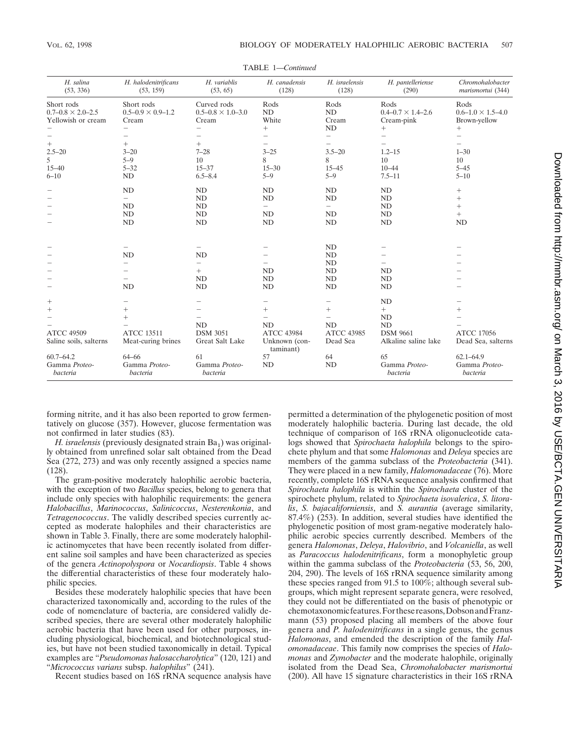| H. salina<br>(53, 336)       | H. halodenitrificans<br>(53, 159) | H. variablis<br>(53, 65)     | H. canadensis<br>(128)     | H. israelensis<br>(128)  | H. pantelleriense<br>(290)   | Chromohalobacter<br>marismortui (344) |
|------------------------------|-----------------------------------|------------------------------|----------------------------|--------------------------|------------------------------|---------------------------------------|
| Short rods                   | Short rods                        | Curved rods                  | Rods                       | Rods                     | Rods                         | Rods                                  |
| $0.7 - 0.8 \times 2.0 - 2.5$ | $0.5 - 0.9 \times 0.9 - 1.2$      | $0.5 - 0.8 \times 1.0 - 3.0$ | <b>ND</b>                  | N <sub>D</sub>           | $0.4 - 0.7 \times 1.4 - 2.6$ | $0.6 - 1.0 \times 1.5 - 4.0$          |
| Yellowish or cream           | Cream                             | Cream                        | White                      | Cream                    | Cream-pink                   | Brown-yellow                          |
|                              |                                   | $\overline{\phantom{0}}$     | $^{+}$                     | ND                       | $\! + \!\!\!\!$              | $\! + \!\!\!\!$                       |
|                              |                                   |                              | $\overline{\phantom{0}}$   | $\overline{\phantom{0}}$ |                              |                                       |
| $\! + \!\!\!\!$              | $^{+}$                            | $^{+}$                       | $\overline{\phantom{0}}$   | $\overline{\phantom{0}}$ |                              |                                       |
| $2.5 - 20$                   | $3 - 20$                          | $7 - 28$                     | $3 - 25$                   | $3.5 - 20$               | $1.2 - 15$                   | $1 - 30$                              |
| 5                            | $5 - 9$                           | 10                           | 8                          | 8                        | 10                           | 10                                    |
| $15 - 40$                    | $5 - 32$                          | $15 - 37$                    | $15 - 30$                  | $15 - 45$                | $10 - 44$                    | $5 - 45$                              |
| $6 - 10$                     | ND                                | $6.5 - 8.4$                  | $5 - 9$                    | $5 - 9$                  | $7.5 - 11$                   | $5 - 10$                              |
|                              | ND                                | <b>ND</b>                    | ND                         | ND                       | ND                           | $^{+}$                                |
|                              |                                   | <b>ND</b>                    | <b>ND</b>                  | N <sub>D</sub>           | N <sub>D</sub>               |                                       |
|                              | ND                                | <b>ND</b>                    | $\equiv$                   | $\equiv$                 | N <sub>D</sub>               | $\! + \!\!\!\!$                       |
|                              | ND                                | <b>ND</b>                    | <b>ND</b>                  | <b>ND</b>                | N <sub>D</sub>               | $+$                                   |
|                              | N <sub>D</sub>                    | <b>ND</b>                    | <b>ND</b>                  | <b>ND</b>                | <b>ND</b>                    | <b>ND</b>                             |
|                              |                                   |                              |                            |                          |                              |                                       |
|                              |                                   |                              |                            | N <sub>D</sub>           |                              |                                       |
|                              | <b>ND</b>                         | <b>ND</b>                    |                            | <b>ND</b>                |                              |                                       |
|                              |                                   |                              | $\equiv$                   | <b>ND</b>                |                              |                                       |
|                              |                                   | $^{+}$                       | <b>ND</b>                  | ND                       | <b>ND</b>                    |                                       |
|                              |                                   | <b>ND</b>                    | <b>ND</b>                  | <b>ND</b>                | <b>ND</b>                    |                                       |
|                              | <b>ND</b>                         | <b>ND</b>                    | <b>ND</b>                  | ND                       | <b>ND</b>                    |                                       |
| $^{+}$                       |                                   |                              |                            |                          | <b>ND</b>                    |                                       |
| $^{+}$                       | $^{+}$                            |                              | $^{+}$                     | $^{+}$                   | $^{+}$                       | $^{+}$                                |
|                              | $^{+}$                            |                              | $\equiv$                   | $\overline{\phantom{0}}$ | <b>ND</b>                    |                                       |
|                              |                                   | <b>ND</b>                    | <b>ND</b>                  | ND                       | N <sub>D</sub>               |                                       |
| <b>ATCC 49509</b>            | <b>ATCC 13511</b>                 | <b>DSM 3051</b>              | <b>ATCC 43984</b>          | <b>ATCC 43985</b>        | <b>DSM 9661</b>              | <b>ATCC 17056</b>                     |
| Saline soils, salterns       | Meat-curing brines                | Great Salt Lake              | Unknown (con-<br>taminant) | Dead Sea                 | Alkaline saline lake         | Dead Sea, salterns                    |
| $60.7 - 64.2$                | $64 - 66$                         | 61                           | 57                         | 64                       | 65                           | $62.1 - 64.9$                         |
| Gamma Proteo-<br>bacteria    | Gamma Proteo-<br>bacteria         | Gamma Proteo-<br>bacteria    | <b>ND</b>                  | <b>ND</b>                | Gamma Proteo-<br>bacteria    | Gamma Proteo-<br>bacteria             |

TABLE 1—*Continued*

forming nitrite, and it has also been reported to grow fermentatively on glucose (357). However, glucose fermentation was not confirmed in later studies (83).

*H. israelensis* (previously designated strain Ba<sub>1</sub>) was originally obtained from unrefined solar salt obtained from the Dead Sea (272, 273) and was only recently assigned a species name (128).

The gram-positive moderately halophilic aerobic bacteria, with the exception of two *Bacillus* species, belong to genera that include only species with halophilic requirements: the genera *Halobacillus*, *Marinococcus*, *Salinicoccus*, *Nesterenkonia*, and *Tetragenococcus*. The validly described species currently accepted as moderate halophiles and their characteristics are shown in Table 3. Finally, there are some moderately halophilic actinomycetes that have been recently isolated from different saline soil samples and have been characterized as species of the genera *Actinopolyspora* or *Nocardiopsis*. Table 4 shows the differential characteristics of these four moderately halophilic species.

Besides these moderately halophilic species that have been characterized taxonomically and, according to the rules of the code of nomenclature of bacteria, are considered validly described species, there are several other moderately halophilic aerobic bacteria that have been used for other purposes, including physiological, biochemical, and biotechnological studies, but have not been studied taxonomically in detail. Typical examples are "*Pseudomonas halosaccharolytica*" (120, 121) and "*Micrococcus varians* subsp. *halophilus*" (241).

Recent studies based on 16S rRNA sequence analysis have

permitted a determination of the phylogenetic position of most moderately halophilic bacteria. During last decade, the old technique of comparison of 16S rRNA oligonucleotide catalogs showed that *Spirochaeta halophila* belongs to the spirochete phylum and that some *Halomonas* and *Deleya* species are members of the gamma subclass of the *Proteobacteria* (341). They were placed in a new family, *Halomonadaceae* (76). More recently, complete 16S rRNA sequence analysis confirmed that *Spirochaeta halophila* is within the *Spirochaeta* cluster of the spirochete phylum, related to *Spirochaeta isovalerica*, *S. litoralis*, *S. bajacaliforniensis*, and *S. aurantia* (average similarity, 87.4%) (253). In addition, several studies have identified the phylogenetic position of most gram-negative moderately halophilic aerobic species currently described. Members of the genera *Halomonas*, *Deleya*, *Halovibrio*, and *Volcaniella*, as well as *Paracoccus halodenitrificans*, form a monophyletic group within the gamma subclass of the *Proteobacteria* (53, 56, 200, 204, 290). The levels of 16S rRNA sequence similarity among these species ranged from 91.5 to 100%; although several subgroups, which might represent separate genera, were resolved, they could not be differentiated on the basis of phenotypic or chemotaxonomicfeatures.Forthesereasons,DobsonandFranzmann (53) proposed placing all members of the above four genera and *P. halodenitrificans* in a single genus, the genus *Halomonas*, and emended the description of the family *Halomonadaceae*. This family now comprises the species of *Halomonas* and *Zymobacter* and the moderate halophile, originally isolated from the Dead Sea, *Chromohalobacter marismortui* (200). All have 15 signature characteristics in their 16S rRNA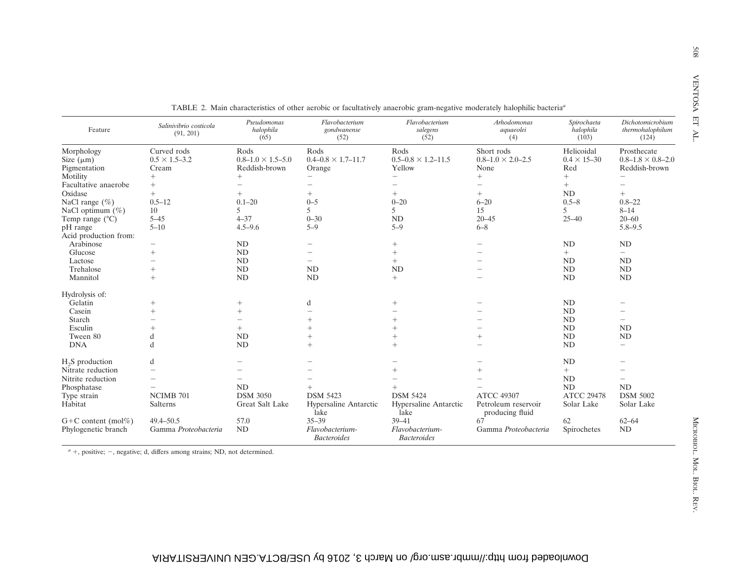| Feature               | Salinivibrio costicola<br>(91, 201) | Pseudomonas<br>halophila<br>(65) | Flavobacterium<br>gondwanense<br>(52) | Flavobacterium<br>salegens<br>(52)    | Arhodomonas<br>aquaeolei<br>(4)        | Spirochaeta<br>halophila<br>(103) | Dichotomicrobium<br>thermohalophilum<br>(124) |
|-----------------------|-------------------------------------|----------------------------------|---------------------------------------|---------------------------------------|----------------------------------------|-----------------------------------|-----------------------------------------------|
| Morphology            | Curved rods                         | Rods                             | Rods                                  | Rods                                  | Short rods                             | Helicoidal                        | Prosthecate                                   |
| Size $(\mu m)$        | $0.5 \times 1.5 - 3.2$              | $0.8 - 1.0 \times 1.5 - 5.0$     | $0.4 - 0.8 \times 1.7 - 11.7$         | $0.5 - 0.8 \times 1.2 - 11.5$         | $0.8 - 1.0 \times 2.0 - 2.5$           | $0.4 \times 15 - 30$              | $0.8 - 1.8 \times 0.8 - 2.0$                  |
| Pigmentation          | Cream                               | Reddish-brown                    | Orange                                | Yellow                                | None                                   | Red                               | Reddish-brown                                 |
| Motility              | $^{+}$                              | $^{+}$                           |                                       |                                       | $+$                                    | $^{+}$                            |                                               |
| Facultative anaerobe  | $^{+}$                              |                                  |                                       | $\overline{\phantom{0}}$              |                                        | $^{+}$                            |                                               |
| Oxidase               | $^{+}$                              | $^{+}$                           | $^{+}$                                | $^{+}$                                | $^{+}$                                 | ND                                | $^{+}$                                        |
| NaCl range (%)        | $0.5 - 12$                          | $0.1 - 20$                       | $0 - 5$                               | $0 - 20$                              | $6 - 20$                               | $0.5 - 8$                         | $0.8 - 22$                                    |
| NaCl optimum $(\%)$   | 10                                  | 5                                | 5                                     | 5                                     | 15                                     | 5                                 | $8 - 14$                                      |
| Temp range (°C)       | $5 - 45$                            | $4 - 37$                         | $0 - 30$                              | ND                                    | $20 - 45$                              | $25 - 40$                         | $20 - 60$                                     |
| pH range              | $5 - 10$                            | $4.5 - 9.6$                      | $5 - 9$                               | $5 - 9$                               | $6 - 8$                                |                                   | $5.8 - 9.5$                                   |
| Acid production from: |                                     |                                  |                                       |                                       |                                        |                                   |                                               |
| Arabinose             |                                     | <b>ND</b>                        |                                       | $^{+}$                                |                                        | ND                                | ND                                            |
| Glucose               | $^{+}$                              | ND                               |                                       | $^{+}$                                |                                        | $+$                               | $\overline{\phantom{0}}$                      |
| Lactose               | $\overline{\phantom{0}}$            | ND                               | $\overline{\phantom{a}}$              | $^{+}$                                |                                        | <b>ND</b>                         | ND                                            |
| Trehalose             | $+$                                 | <b>ND</b>                        | ND                                    | ND                                    |                                        | <b>ND</b>                         | ND                                            |
| Mannitol              | $^{+}$                              | ND                               | ND                                    | $^{+}$                                |                                        | <b>ND</b>                         | ND                                            |
| Hydrolysis of:        |                                     |                                  |                                       |                                       |                                        |                                   |                                               |
| Gelatin               | $^{+}$                              | $^{+}$                           | d                                     | $^{+}$                                |                                        | <b>ND</b>                         |                                               |
| Casein                | $^{+}$                              | $^{+}$                           |                                       |                                       |                                        | <b>ND</b>                         |                                               |
| Starch                |                                     |                                  | $+$                                   | $+$                                   |                                        | <b>ND</b>                         |                                               |
| Esculin               | $^{+}$                              | $^{+}$                           | $^{+}$                                | $^{+}$                                |                                        | ND                                | ND                                            |
| Tween 80              | d                                   | ND                               |                                       | $^{+}$                                | $^{+}$                                 | ND                                | ND                                            |
| <b>DNA</b>            | d                                   | <b>ND</b>                        | $+$                                   | $^{+}$                                |                                        | <b>ND</b>                         |                                               |
| $H2S$ production      | d                                   |                                  |                                       |                                       |                                        | <b>ND</b>                         |                                               |
| Nitrate reduction     |                                     |                                  |                                       |                                       | $\ddot{}$                              | $^{+}$                            |                                               |
| Nitrite reduction     |                                     |                                  |                                       |                                       |                                        | <b>ND</b>                         |                                               |
| Phosphatase           |                                     | <b>ND</b>                        |                                       |                                       |                                        | <b>ND</b>                         | ND                                            |
| Type strain           | NCIMB <sub>701</sub>                | <b>DSM 3050</b>                  | <b>DSM 5423</b>                       | <b>DSM 5424</b>                       | <b>ATCC 49307</b>                      | <b>ATCC 29478</b>                 | <b>DSM 5002</b>                               |
| Habitat               | Salterns                            | Great Salt Lake                  | <b>Hypersaline Antarctic</b><br>lake  | <b>Hypersaline Antarctic</b><br>lake  | Petroleum reservoir<br>producing fluid | Solar Lake                        | Solar Lake                                    |
| $G+C$ content (mol%)  | $49.4 - 50.5$                       | 57.0                             | $35 - 39$                             | $39 - 41$                             | 67                                     | 62                                | $62 - 64$                                     |
| Phylogenetic branch   | Gamma Proteobacteria                | ND                               | Flavobacterium-<br><b>Bacteroides</b> | Flavobacterium-<br><b>Bacteroides</b> | Gamma Proteobacteria                   | Spirochetes                       | ND                                            |

TABLE 2. Main characteristics of other aerobic or facultatively anaerobic gram-negative moderately halophilic bacteria*<sup>a</sup>*

 $a<sup>a</sup>$  +, positive;  $-$ , negative; d, differs among strains; ND, not determined.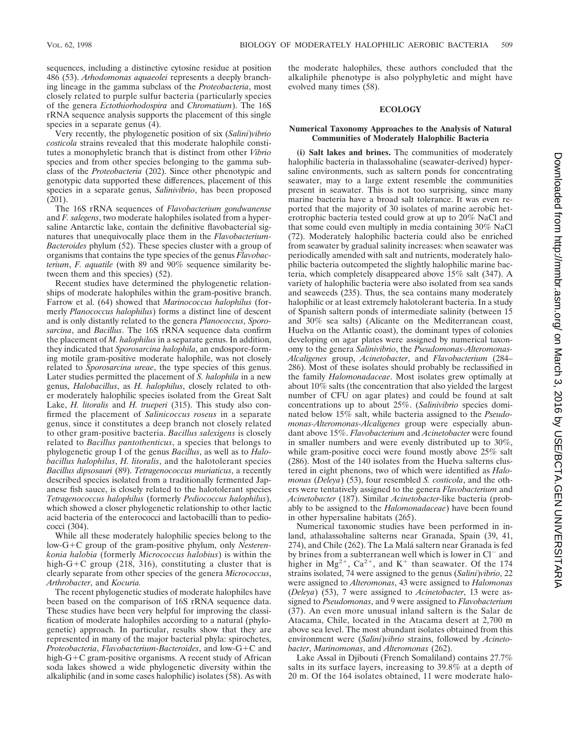sequences, including a distinctive cytosine residue at position 486 (53). *Arhodomonas aquaeolei* represents a deeply branching lineage in the gamma subclass of the *Proteobacteria*, most closely related to purple sulfur bacteria (particularly species of the genera *Ectothiorhodospira* and *Chromatium*). The 16S rRNA sequence analysis supports the placement of this single species in a separate genus  $(4)$ .

Very recently, the phylogenetic position of six (*Salini*)*vibrio costicola* strains revealed that this moderate halophile constitutes a monophyletic branch that is distinct from other *Vibrio* species and from other species belonging to the gamma subclass of the *Proteobacteria* (202). Since other phenotypic and genotypic data supported these differences, placement of this species in a separate genus, *Salinivibrio*, has been proposed (201).

The 16S rRNA sequences of *Flavobacterium gondwanense* and *F. salegens*, two moderate halophiles isolated from a hypersaline Antarctic lake, contain the definitive flavobacterial signatures that unequivocally place them in the *Flavobacterium-Bacteroides* phylum (52). These species cluster with a group of organisms that contains the type species of the genus *Flavobacterium*, *F. aquatile* (with 89 and 90% sequence similarity between them and this species) (52).

Recent studies have determined the phylogenetic relationships of moderate halophiles within the gram-positive branch. Farrow et al. (64) showed that *Marinococcus halophilus* (formerly *Planococcus halophilus*) forms a distinct line of descent and is only distantly related to the genera *Planococcus*, *Sporosarcina*, and *Bacillus*. The 16S rRNA sequence data confirm the placement of *M. halophilus* in a separate genus. In addition, they indicated that *Sporosarcina halophila*, an endospore-forming motile gram-positive moderate halophile, was not closely related to *Sporosarcina ureae*, the type species of this genus. Later studies permitted the placement of *S. halophila* in a new genus, *Halobacillus*, as *H. halophilus*, closely related to other moderately halophilic species isolated from the Great Salt Lake, *H. litoralis* and *H. trueperi* (315). This study also confirmed the placement of *Salinicoccus roseus* in a separate genus, since it constitutes a deep branch not closely related to other gram-positive bacteria. *Bacillus salexigens* is closely related to *Bacillus pantothenticus*, a species that belongs to phylogenetic group I of the genus *Bacillus*, as well as to *Halobacillus halophilus*, *H. litoralis*, and the halotolerant species *Bacillus dipsosauri* (89). *Tetragenococcus muriaticus*, a recently described species isolated from a traditionally fermented Japanese fish sauce, is closely related to the halotolerant species *Tetragenococcus halophilus* (formerly *Pediococcus halophilus*), which showed a closer phylogenetic relationship to other lactic acid bacteria of the enterococci and lactobacilli than to pediococci (304).

While all these moderately halophilic species belong to the low-G+C group of the gram-positive phylum, only *Nesterenkonia halobia* (formerly *Micrococcus halobius*) is within the high-G+C group (218, 316), constituting a cluster that is clearly separate from other species of the genera *Micrococcus*, *Arthrobacter*, and *Kocuria.*

The recent phylogenetic studies of moderate halophiles have been based on the comparison of 16S rRNA sequence data. These studies have been very helpful for improving the classification of moderate halophiles according to a natural (phylogenetic) approach. In particular, results show that they are represented in many of the major bacterial phyla: spirochetes, *Proteobacteria, Flavobacterium-Bacteroides, and low-G+C and* high-G+C gram-positive organisms. A recent study of African soda lakes showed a wide phylogenetic diversity within the alkaliphilic (and in some cases halophilic) isolates (58). As with the moderate halophiles, these authors concluded that the alkaliphile phenotype is also polyphyletic and might have evolved many times (58).

## **ECOLOGY**

## **Numerical Taxonomy Approaches to the Analysis of Natural Communities of Moderately Halophilic Bacteria**

**(i) Salt lakes and brines.** The communities of moderately halophilic bacteria in thalassohaline (seawater-derived) hypersaline environments, such as saltern ponds for concentrating seawater, may to a large extent resemble the communities present in seawater. This is not too surprising, since many marine bacteria have a broad salt tolerance. It was even reported that the majority of 30 isolates of marine aerobic heterotrophic bacteria tested could grow at up to 20% NaCl and that some could even multiply in media containing 30% NaCl (72). Moderately halophilic bacteria could also be enriched from seawater by gradual salinity increases: when seawater was periodically amended with salt and nutrients, moderately halophilic bacteria outcompeted the slightly halophilic marine bacteria, which completely disappeared above 15% salt (347). A variety of halophilic bacteria were also isolated from sea sands and seaweeds (235). Thus, the sea contains many moderately halophilic or at least extremely halotolerant bacteria. In a study of Spanish saltern ponds of intermediate salinity (between 15 and 30% sea salts) (Alicante on the Mediterranean coast, Huelva on the Atlantic coast), the dominant types of colonies developing on agar plates were assigned by numerical taxonomy to the genera *Salinivibrio*, the *Pseudomonas-Alteromonas-Alcaligenes* group, *Acinetobacter*, and *Flavobacterium* (284– 286). Most of these isolates should probably be reclassified in the family *Halomonadaceae*. Most isolates grew optimally at about 10% salts (the concentration that also yielded the largest number of CFU on agar plates) and could be found at salt concentrations up to about 25%. (*Salinivibrio* species dominated below 15% salt, while bacteria assigned to the *Pseudomonas-Alteromonas-Alcaligenes* group were especially abundant above 15%. *Flavobacterium* and *Acinetobacter* were found in smaller numbers and were evenly distributed up to 30%, while gram-positive cocci were found mostly above 25% salt (286). Most of the 140 isolates from the Huelva salterns clustered in eight phenons, two of which were identified as *Halomonas* (*Deleya*) (53), four resembled *S. costicola*, and the others were tentatively assigned to the genera *Flavobacterium* and *Acinetobacter* (187). Similar *Acinetobacter*-like bacteria (probably to be assigned to the *Halomonadaceae*) have been found in other hypersaline habitats (265).

Numerical taxonomic studies have been performed in inland, athalassohaline salterns near Granada, Spain (39, 41, 274), and Chile (262). The La Malá saltern near Granada is fed by brines from a subterranean well which is lower in  $Cl^-$  and higher in Mg<sup>2+</sup>, Ca<sup>2+</sup>, and K<sup>+</sup> than seawater. Of the 174 strains isolated, 74 were assigned to the genus (*Salini*)*vibrio*, 22 were assigned to *Alteromonas*, 43 were assigned to *Halomonas* (*Deleya*) (53), 7 were assigned to *Acinetobacter*, 13 were assigned to *Pseudomonas*, and 9 were assigned to *Flavobacterium* (37). An even more unusual inland saltern is the Salar de Atacama, Chile, located in the Atacama desert at 2,700 m above sea level. The most abundant isolates obtained from this environment were (*Salini*)*vibrio* strains, followed by *Acinetobacter*, *Marinomonas*, and *Alteromonas* (262).

Lake Assal in Djibouti (French Somaliland) contains 27.7% salts in its surface layers, increasing to 39.8% at a depth of 20 m. Of the 164 isolates obtained, 11 were moderate halo-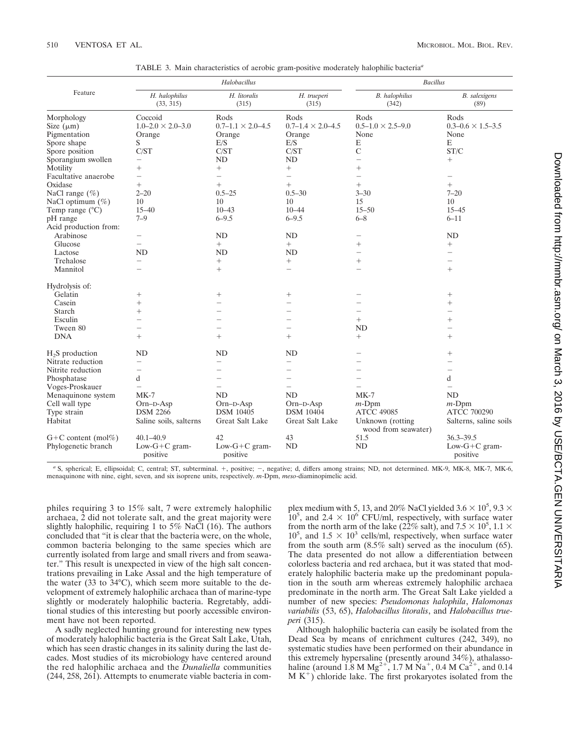| Feature<br>H. halophilus<br>H. litoralis<br><b>B.</b> halophilus<br><b>B.</b> salexigens<br>H. trueperi<br>(33, 315)<br>(315)<br>(315)<br>(342)<br>(89)<br>Rods<br>Rods<br>Rods<br>Coccoid<br>Rods<br>$1.0 - 2.0 \times 2.0 - 3.0$<br>$0.7-1.1 \times 2.0-4.5$<br>$0.7 - 1.4 \times 2.0 - 4.5$<br>$0.5 - 1.0 \times 2.5 - 9.0$<br>$0.3 - 0.6 \times 1.5 - 3.5$<br>Pigmentation<br>None<br>None<br>Orange<br>Orange<br>Orange<br>S<br>E/S<br>E/S<br>E<br>E<br>$\mathbf C$<br>ST/C<br>C/ST<br>C/ST<br>C/ST<br>Sporangium swollen<br><b>ND</b><br><b>ND</b><br>$\overline{\phantom{0}}$<br>$+$<br>$\overline{\phantom{0}}$<br>Motility<br>$^{+}$<br>$^{+}$<br>$^{+}$<br>$^{+}$<br>Facultative anaerobe<br>$\overline{\phantom{0}}$<br>$\overline{\phantom{0}}$<br>$\overline{\phantom{0}}$<br>$^{+}$<br>$^{+}$<br>Oxidase<br>$^{+}$<br>$^{+}$<br>$^{+}$<br>NaCl range (%)<br>$0.5 - 30$<br>$2 - 20$<br>$0.5 - 25$<br>$3 - 30$<br>$7 - 20$<br>15<br>NaCl optimum $(\%)$<br>10<br>10<br>10<br>10<br>$15 - 40$<br>$10 - 44$<br>$15 - 45$<br>Temp range $(^{\circ}C)$<br>$10 - 43$<br>$15 - 50$<br>$7 - 9$<br>$6 - 9.5$<br>$6 - 9.5$<br>$6 - 8$<br>$6 - 11$<br>pH range<br>Acid production from:<br>Arabinose<br><b>ND</b><br>ND<br>ND<br>$\overline{\phantom{0}}$<br>-<br>$^{+}$<br>Glucose<br>$^{+}$<br>$^{+}$<br>$^{+}$<br>-<br><b>ND</b><br><b>ND</b><br>Lactose<br>ND<br>$\overline{\phantom{0}}$<br>$\overline{\phantom{0}}$<br>Trehalose<br>$^{+}$<br>$^{+}$<br>$^{+}$<br>Mannitol<br>$^{+}$<br>$+$<br>$\equiv$<br>-<br>Gelatin<br>$^{+}$<br>$^{+}$<br>$^{+}$<br>$^{+}$<br>Casein<br>$^{+}$<br>$^{+}$<br>$\overline{\phantom{0}}$<br>Starch<br>$^{+}$<br>Esculin<br>$^{+}$<br>$^{+}$<br><b>ND</b><br>Tween 80<br><b>DNA</b><br>$^{+}$<br>$^{+}$<br>$^{+}$<br>$^{+}$<br>$+$<br>$H2S$ production<br>ND<br><b>ND</b><br>ND<br>$^{+}$<br>Nitrate reduction<br>$\overline{\phantom{0}}$<br>d<br>d<br>$\overline{\phantom{0}}$<br>Voges-Proskauer<br>$\overline{\phantom{0}}$<br>$\overline{\phantom{0}}$<br>÷<br>÷<br>$MK-7$<br><b>ND</b><br><b>ND</b><br>$MK-7$<br><b>ND</b><br>Menaquinone system<br>$Orn-D-Asp$<br>$Orn-D-Asp$<br>$Orn-D-Asp$<br>$m$ -Dpm<br>$m$ -Dpm<br><b>DSM 2266</b><br><b>DSM</b> 10405<br><b>DSM</b> 10404<br><b>ATCC 49085</b><br>ATCC 700290<br>Great Salt Lake<br><b>Great Salt Lake</b><br>Unknown (rotting<br>Saline soils, salterns<br>Salterns, saline soils<br>wood from seawater)<br>$40.1 - 40.9$<br>42<br>43<br>51.5<br>$36.3 - 39.5$<br><b>ND</b><br>Low- $G+C$ gram-<br>Low- $G+C$ gram-<br><b>ND</b><br>Low- $G+C$ gram-<br>positive<br>positive<br>positive |                      | Halobacillus | <b>Bacillus</b> |  |  |
|------------------------------------------------------------------------------------------------------------------------------------------------------------------------------------------------------------------------------------------------------------------------------------------------------------------------------------------------------------------------------------------------------------------------------------------------------------------------------------------------------------------------------------------------------------------------------------------------------------------------------------------------------------------------------------------------------------------------------------------------------------------------------------------------------------------------------------------------------------------------------------------------------------------------------------------------------------------------------------------------------------------------------------------------------------------------------------------------------------------------------------------------------------------------------------------------------------------------------------------------------------------------------------------------------------------------------------------------------------------------------------------------------------------------------------------------------------------------------------------------------------------------------------------------------------------------------------------------------------------------------------------------------------------------------------------------------------------------------------------------------------------------------------------------------------------------------------------------------------------------------------------------------------------------------------------------------------------------------------------------------------------------------------------------------------------------------------------------------------------------------------------------------------------------------------------------------------------------------------------------------------------------------------------------------------------------------------------------------------------------------------------------------------------------------------------------------------------------------------------------------------------------------------------------------------------------------------------------|----------------------|--------------|-----------------|--|--|
|                                                                                                                                                                                                                                                                                                                                                                                                                                                                                                                                                                                                                                                                                                                                                                                                                                                                                                                                                                                                                                                                                                                                                                                                                                                                                                                                                                                                                                                                                                                                                                                                                                                                                                                                                                                                                                                                                                                                                                                                                                                                                                                                                                                                                                                                                                                                                                                                                                                                                                                                                                                                |                      |              |                 |  |  |
|                                                                                                                                                                                                                                                                                                                                                                                                                                                                                                                                                                                                                                                                                                                                                                                                                                                                                                                                                                                                                                                                                                                                                                                                                                                                                                                                                                                                                                                                                                                                                                                                                                                                                                                                                                                                                                                                                                                                                                                                                                                                                                                                                                                                                                                                                                                                                                                                                                                                                                                                                                                                | Morphology           |              |                 |  |  |
|                                                                                                                                                                                                                                                                                                                                                                                                                                                                                                                                                                                                                                                                                                                                                                                                                                                                                                                                                                                                                                                                                                                                                                                                                                                                                                                                                                                                                                                                                                                                                                                                                                                                                                                                                                                                                                                                                                                                                                                                                                                                                                                                                                                                                                                                                                                                                                                                                                                                                                                                                                                                | Size $(\mu m)$       |              |                 |  |  |
|                                                                                                                                                                                                                                                                                                                                                                                                                                                                                                                                                                                                                                                                                                                                                                                                                                                                                                                                                                                                                                                                                                                                                                                                                                                                                                                                                                                                                                                                                                                                                                                                                                                                                                                                                                                                                                                                                                                                                                                                                                                                                                                                                                                                                                                                                                                                                                                                                                                                                                                                                                                                |                      |              |                 |  |  |
|                                                                                                                                                                                                                                                                                                                                                                                                                                                                                                                                                                                                                                                                                                                                                                                                                                                                                                                                                                                                                                                                                                                                                                                                                                                                                                                                                                                                                                                                                                                                                                                                                                                                                                                                                                                                                                                                                                                                                                                                                                                                                                                                                                                                                                                                                                                                                                                                                                                                                                                                                                                                | Spore shape          |              |                 |  |  |
|                                                                                                                                                                                                                                                                                                                                                                                                                                                                                                                                                                                                                                                                                                                                                                                                                                                                                                                                                                                                                                                                                                                                                                                                                                                                                                                                                                                                                                                                                                                                                                                                                                                                                                                                                                                                                                                                                                                                                                                                                                                                                                                                                                                                                                                                                                                                                                                                                                                                                                                                                                                                | Spore position       |              |                 |  |  |
|                                                                                                                                                                                                                                                                                                                                                                                                                                                                                                                                                                                                                                                                                                                                                                                                                                                                                                                                                                                                                                                                                                                                                                                                                                                                                                                                                                                                                                                                                                                                                                                                                                                                                                                                                                                                                                                                                                                                                                                                                                                                                                                                                                                                                                                                                                                                                                                                                                                                                                                                                                                                |                      |              |                 |  |  |
|                                                                                                                                                                                                                                                                                                                                                                                                                                                                                                                                                                                                                                                                                                                                                                                                                                                                                                                                                                                                                                                                                                                                                                                                                                                                                                                                                                                                                                                                                                                                                                                                                                                                                                                                                                                                                                                                                                                                                                                                                                                                                                                                                                                                                                                                                                                                                                                                                                                                                                                                                                                                |                      |              |                 |  |  |
|                                                                                                                                                                                                                                                                                                                                                                                                                                                                                                                                                                                                                                                                                                                                                                                                                                                                                                                                                                                                                                                                                                                                                                                                                                                                                                                                                                                                                                                                                                                                                                                                                                                                                                                                                                                                                                                                                                                                                                                                                                                                                                                                                                                                                                                                                                                                                                                                                                                                                                                                                                                                |                      |              |                 |  |  |
|                                                                                                                                                                                                                                                                                                                                                                                                                                                                                                                                                                                                                                                                                                                                                                                                                                                                                                                                                                                                                                                                                                                                                                                                                                                                                                                                                                                                                                                                                                                                                                                                                                                                                                                                                                                                                                                                                                                                                                                                                                                                                                                                                                                                                                                                                                                                                                                                                                                                                                                                                                                                |                      |              |                 |  |  |
|                                                                                                                                                                                                                                                                                                                                                                                                                                                                                                                                                                                                                                                                                                                                                                                                                                                                                                                                                                                                                                                                                                                                                                                                                                                                                                                                                                                                                                                                                                                                                                                                                                                                                                                                                                                                                                                                                                                                                                                                                                                                                                                                                                                                                                                                                                                                                                                                                                                                                                                                                                                                |                      |              |                 |  |  |
|                                                                                                                                                                                                                                                                                                                                                                                                                                                                                                                                                                                                                                                                                                                                                                                                                                                                                                                                                                                                                                                                                                                                                                                                                                                                                                                                                                                                                                                                                                                                                                                                                                                                                                                                                                                                                                                                                                                                                                                                                                                                                                                                                                                                                                                                                                                                                                                                                                                                                                                                                                                                |                      |              |                 |  |  |
|                                                                                                                                                                                                                                                                                                                                                                                                                                                                                                                                                                                                                                                                                                                                                                                                                                                                                                                                                                                                                                                                                                                                                                                                                                                                                                                                                                                                                                                                                                                                                                                                                                                                                                                                                                                                                                                                                                                                                                                                                                                                                                                                                                                                                                                                                                                                                                                                                                                                                                                                                                                                |                      |              |                 |  |  |
|                                                                                                                                                                                                                                                                                                                                                                                                                                                                                                                                                                                                                                                                                                                                                                                                                                                                                                                                                                                                                                                                                                                                                                                                                                                                                                                                                                                                                                                                                                                                                                                                                                                                                                                                                                                                                                                                                                                                                                                                                                                                                                                                                                                                                                                                                                                                                                                                                                                                                                                                                                                                |                      |              |                 |  |  |
|                                                                                                                                                                                                                                                                                                                                                                                                                                                                                                                                                                                                                                                                                                                                                                                                                                                                                                                                                                                                                                                                                                                                                                                                                                                                                                                                                                                                                                                                                                                                                                                                                                                                                                                                                                                                                                                                                                                                                                                                                                                                                                                                                                                                                                                                                                                                                                                                                                                                                                                                                                                                |                      |              |                 |  |  |
|                                                                                                                                                                                                                                                                                                                                                                                                                                                                                                                                                                                                                                                                                                                                                                                                                                                                                                                                                                                                                                                                                                                                                                                                                                                                                                                                                                                                                                                                                                                                                                                                                                                                                                                                                                                                                                                                                                                                                                                                                                                                                                                                                                                                                                                                                                                                                                                                                                                                                                                                                                                                |                      |              |                 |  |  |
|                                                                                                                                                                                                                                                                                                                                                                                                                                                                                                                                                                                                                                                                                                                                                                                                                                                                                                                                                                                                                                                                                                                                                                                                                                                                                                                                                                                                                                                                                                                                                                                                                                                                                                                                                                                                                                                                                                                                                                                                                                                                                                                                                                                                                                                                                                                                                                                                                                                                                                                                                                                                |                      |              |                 |  |  |
|                                                                                                                                                                                                                                                                                                                                                                                                                                                                                                                                                                                                                                                                                                                                                                                                                                                                                                                                                                                                                                                                                                                                                                                                                                                                                                                                                                                                                                                                                                                                                                                                                                                                                                                                                                                                                                                                                                                                                                                                                                                                                                                                                                                                                                                                                                                                                                                                                                                                                                                                                                                                |                      |              |                 |  |  |
|                                                                                                                                                                                                                                                                                                                                                                                                                                                                                                                                                                                                                                                                                                                                                                                                                                                                                                                                                                                                                                                                                                                                                                                                                                                                                                                                                                                                                                                                                                                                                                                                                                                                                                                                                                                                                                                                                                                                                                                                                                                                                                                                                                                                                                                                                                                                                                                                                                                                                                                                                                                                |                      |              |                 |  |  |
|                                                                                                                                                                                                                                                                                                                                                                                                                                                                                                                                                                                                                                                                                                                                                                                                                                                                                                                                                                                                                                                                                                                                                                                                                                                                                                                                                                                                                                                                                                                                                                                                                                                                                                                                                                                                                                                                                                                                                                                                                                                                                                                                                                                                                                                                                                                                                                                                                                                                                                                                                                                                |                      |              |                 |  |  |
|                                                                                                                                                                                                                                                                                                                                                                                                                                                                                                                                                                                                                                                                                                                                                                                                                                                                                                                                                                                                                                                                                                                                                                                                                                                                                                                                                                                                                                                                                                                                                                                                                                                                                                                                                                                                                                                                                                                                                                                                                                                                                                                                                                                                                                                                                                                                                                                                                                                                                                                                                                                                |                      |              |                 |  |  |
|                                                                                                                                                                                                                                                                                                                                                                                                                                                                                                                                                                                                                                                                                                                                                                                                                                                                                                                                                                                                                                                                                                                                                                                                                                                                                                                                                                                                                                                                                                                                                                                                                                                                                                                                                                                                                                                                                                                                                                                                                                                                                                                                                                                                                                                                                                                                                                                                                                                                                                                                                                                                | Hydrolysis of:       |              |                 |  |  |
|                                                                                                                                                                                                                                                                                                                                                                                                                                                                                                                                                                                                                                                                                                                                                                                                                                                                                                                                                                                                                                                                                                                                                                                                                                                                                                                                                                                                                                                                                                                                                                                                                                                                                                                                                                                                                                                                                                                                                                                                                                                                                                                                                                                                                                                                                                                                                                                                                                                                                                                                                                                                |                      |              |                 |  |  |
|                                                                                                                                                                                                                                                                                                                                                                                                                                                                                                                                                                                                                                                                                                                                                                                                                                                                                                                                                                                                                                                                                                                                                                                                                                                                                                                                                                                                                                                                                                                                                                                                                                                                                                                                                                                                                                                                                                                                                                                                                                                                                                                                                                                                                                                                                                                                                                                                                                                                                                                                                                                                |                      |              |                 |  |  |
|                                                                                                                                                                                                                                                                                                                                                                                                                                                                                                                                                                                                                                                                                                                                                                                                                                                                                                                                                                                                                                                                                                                                                                                                                                                                                                                                                                                                                                                                                                                                                                                                                                                                                                                                                                                                                                                                                                                                                                                                                                                                                                                                                                                                                                                                                                                                                                                                                                                                                                                                                                                                |                      |              |                 |  |  |
|                                                                                                                                                                                                                                                                                                                                                                                                                                                                                                                                                                                                                                                                                                                                                                                                                                                                                                                                                                                                                                                                                                                                                                                                                                                                                                                                                                                                                                                                                                                                                                                                                                                                                                                                                                                                                                                                                                                                                                                                                                                                                                                                                                                                                                                                                                                                                                                                                                                                                                                                                                                                |                      |              |                 |  |  |
|                                                                                                                                                                                                                                                                                                                                                                                                                                                                                                                                                                                                                                                                                                                                                                                                                                                                                                                                                                                                                                                                                                                                                                                                                                                                                                                                                                                                                                                                                                                                                                                                                                                                                                                                                                                                                                                                                                                                                                                                                                                                                                                                                                                                                                                                                                                                                                                                                                                                                                                                                                                                |                      |              |                 |  |  |
|                                                                                                                                                                                                                                                                                                                                                                                                                                                                                                                                                                                                                                                                                                                                                                                                                                                                                                                                                                                                                                                                                                                                                                                                                                                                                                                                                                                                                                                                                                                                                                                                                                                                                                                                                                                                                                                                                                                                                                                                                                                                                                                                                                                                                                                                                                                                                                                                                                                                                                                                                                                                |                      |              |                 |  |  |
|                                                                                                                                                                                                                                                                                                                                                                                                                                                                                                                                                                                                                                                                                                                                                                                                                                                                                                                                                                                                                                                                                                                                                                                                                                                                                                                                                                                                                                                                                                                                                                                                                                                                                                                                                                                                                                                                                                                                                                                                                                                                                                                                                                                                                                                                                                                                                                                                                                                                                                                                                                                                |                      |              |                 |  |  |
|                                                                                                                                                                                                                                                                                                                                                                                                                                                                                                                                                                                                                                                                                                                                                                                                                                                                                                                                                                                                                                                                                                                                                                                                                                                                                                                                                                                                                                                                                                                                                                                                                                                                                                                                                                                                                                                                                                                                                                                                                                                                                                                                                                                                                                                                                                                                                                                                                                                                                                                                                                                                |                      |              |                 |  |  |
|                                                                                                                                                                                                                                                                                                                                                                                                                                                                                                                                                                                                                                                                                                                                                                                                                                                                                                                                                                                                                                                                                                                                                                                                                                                                                                                                                                                                                                                                                                                                                                                                                                                                                                                                                                                                                                                                                                                                                                                                                                                                                                                                                                                                                                                                                                                                                                                                                                                                                                                                                                                                |                      |              |                 |  |  |
|                                                                                                                                                                                                                                                                                                                                                                                                                                                                                                                                                                                                                                                                                                                                                                                                                                                                                                                                                                                                                                                                                                                                                                                                                                                                                                                                                                                                                                                                                                                                                                                                                                                                                                                                                                                                                                                                                                                                                                                                                                                                                                                                                                                                                                                                                                                                                                                                                                                                                                                                                                                                | Nitrite reduction    |              |                 |  |  |
|                                                                                                                                                                                                                                                                                                                                                                                                                                                                                                                                                                                                                                                                                                                                                                                                                                                                                                                                                                                                                                                                                                                                                                                                                                                                                                                                                                                                                                                                                                                                                                                                                                                                                                                                                                                                                                                                                                                                                                                                                                                                                                                                                                                                                                                                                                                                                                                                                                                                                                                                                                                                | Phosphatase          |              |                 |  |  |
|                                                                                                                                                                                                                                                                                                                                                                                                                                                                                                                                                                                                                                                                                                                                                                                                                                                                                                                                                                                                                                                                                                                                                                                                                                                                                                                                                                                                                                                                                                                                                                                                                                                                                                                                                                                                                                                                                                                                                                                                                                                                                                                                                                                                                                                                                                                                                                                                                                                                                                                                                                                                |                      |              |                 |  |  |
|                                                                                                                                                                                                                                                                                                                                                                                                                                                                                                                                                                                                                                                                                                                                                                                                                                                                                                                                                                                                                                                                                                                                                                                                                                                                                                                                                                                                                                                                                                                                                                                                                                                                                                                                                                                                                                                                                                                                                                                                                                                                                                                                                                                                                                                                                                                                                                                                                                                                                                                                                                                                |                      |              |                 |  |  |
|                                                                                                                                                                                                                                                                                                                                                                                                                                                                                                                                                                                                                                                                                                                                                                                                                                                                                                                                                                                                                                                                                                                                                                                                                                                                                                                                                                                                                                                                                                                                                                                                                                                                                                                                                                                                                                                                                                                                                                                                                                                                                                                                                                                                                                                                                                                                                                                                                                                                                                                                                                                                | Cell wall type       |              |                 |  |  |
|                                                                                                                                                                                                                                                                                                                                                                                                                                                                                                                                                                                                                                                                                                                                                                                                                                                                                                                                                                                                                                                                                                                                                                                                                                                                                                                                                                                                                                                                                                                                                                                                                                                                                                                                                                                                                                                                                                                                                                                                                                                                                                                                                                                                                                                                                                                                                                                                                                                                                                                                                                                                | Type strain          |              |                 |  |  |
|                                                                                                                                                                                                                                                                                                                                                                                                                                                                                                                                                                                                                                                                                                                                                                                                                                                                                                                                                                                                                                                                                                                                                                                                                                                                                                                                                                                                                                                                                                                                                                                                                                                                                                                                                                                                                                                                                                                                                                                                                                                                                                                                                                                                                                                                                                                                                                                                                                                                                                                                                                                                | Habitat              |              |                 |  |  |
|                                                                                                                                                                                                                                                                                                                                                                                                                                                                                                                                                                                                                                                                                                                                                                                                                                                                                                                                                                                                                                                                                                                                                                                                                                                                                                                                                                                                                                                                                                                                                                                                                                                                                                                                                                                                                                                                                                                                                                                                                                                                                                                                                                                                                                                                                                                                                                                                                                                                                                                                                                                                |                      |              |                 |  |  |
|                                                                                                                                                                                                                                                                                                                                                                                                                                                                                                                                                                                                                                                                                                                                                                                                                                                                                                                                                                                                                                                                                                                                                                                                                                                                                                                                                                                                                                                                                                                                                                                                                                                                                                                                                                                                                                                                                                                                                                                                                                                                                                                                                                                                                                                                                                                                                                                                                                                                                                                                                                                                | $G+C$ content (mol%) |              |                 |  |  |
|                                                                                                                                                                                                                                                                                                                                                                                                                                                                                                                                                                                                                                                                                                                                                                                                                                                                                                                                                                                                                                                                                                                                                                                                                                                                                                                                                                                                                                                                                                                                                                                                                                                                                                                                                                                                                                                                                                                                                                                                                                                                                                                                                                                                                                                                                                                                                                                                                                                                                                                                                                                                | Phylogenetic branch  |              |                 |  |  |
|                                                                                                                                                                                                                                                                                                                                                                                                                                                                                                                                                                                                                                                                                                                                                                                                                                                                                                                                                                                                                                                                                                                                                                                                                                                                                                                                                                                                                                                                                                                                                                                                                                                                                                                                                                                                                                                                                                                                                                                                                                                                                                                                                                                                                                                                                                                                                                                                                                                                                                                                                                                                |                      |              |                 |  |  |

TABLE 3. Main characteristics of aerobic gram-positive moderately halophilic bacteria*<sup>a</sup>*

<sup>a</sup> S, spherical; E, ellipsoidal; C, central; ST, subterminal. +, positive; -, negative; d, differs among strains; ND, not determined. MK-9, MK-8, MK-7, MK-6, menaquinone with nine, eight, seven, and six isoprene units, respectively. *m*-Dpm, *meso*-diaminopimelic acid.

philes requiring 3 to 15% salt, 7 were extremely halophilic archaea, 2 did not tolerate salt, and the great majority were slightly halophilic, requiring 1 to 5% NaCl (16). The authors concluded that "it is clear that the bacteria were, on the whole, common bacteria belonging to the same species which are currently isolated from large and small rivers and from seawater." This result is unexpected in view of the high salt concentrations prevailing in Lake Assal and the high temperature of the water (33 to 34°C), which seem more suitable to the development of extremely halophilic archaea than of marine-type slightly or moderately halophilic bacteria. Regretably, additional studies of this interesting but poorly accessible environment have not been reported.

A sadly neglected hunting ground for interesting new types of moderately halophilic bacteria is the Great Salt Lake, Utah, which has seen drastic changes in its salinity during the last decades. Most studies of its microbiology have centered around the red halophilic archaea and the *Dunaliella* communities (244, 258, 261). Attempts to enumerate viable bacteria in com-

plex medium with 5, 13, and 20% NaCl yielded  $3.6 \times 10^5$ ,  $9.3 \times$  $10^5$ , and 2.4  $\times$  10<sup>6</sup> CFU/ml, respectively, with surface water from the north arm of the lake (22% salt), and 7.5  $\times$  10<sup>5</sup>, 1.1  $\times$  $10^5$ , and  $1.5 \times 10^3$  cells/ml, respectively, when surface water from the south arm (8.5% salt) served as the inoculum (65). The data presented do not allow a differentiation between colorless bacteria and red archaea, but it was stated that moderately halophilic bacteria make up the predominant population in the south arm whereas extremely halophilic archaea predominate in the north arm. The Great Salt Lake yielded a number of new species: *Pseudomonas halophila*, *Halomonas variabilis* (53, 65), *Halobacillus litoralis*, and *Halobacillus trueperi* (315).

Although halophilic bacteria can easily be isolated from the Dead Sea by means of enrichment cultures (242, 349), no systematic studies have been performed on their abundance in this extremely hypersaline (presently around 34%), athalassohaline (around 1.8 M  $Mg^{2+}$ , 1.7 M Na<sup>+</sup>, 0.4 M Ca<sup>2+</sup>, and 0.14  $M K<sup>+</sup>$ ) chloride lake. The first prokaryotes isolated from the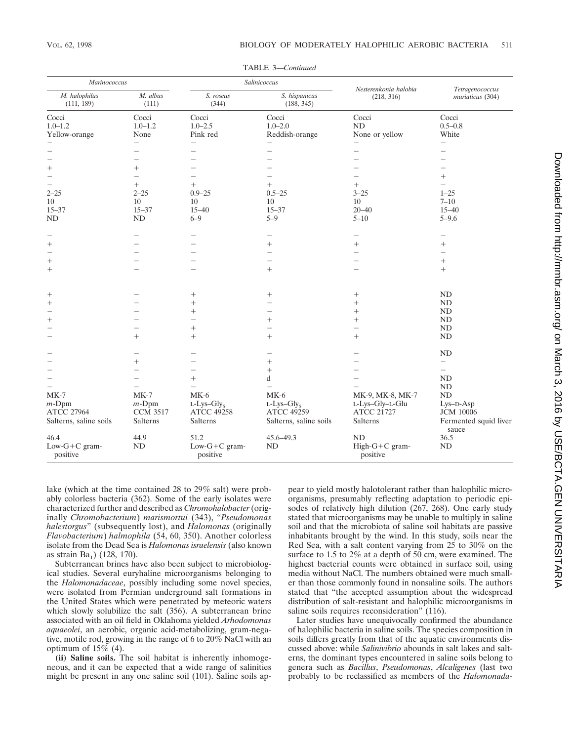| Marinococcus                          |                              |                                  | Salinicoccus                           |                                     | Tetragenococcus                |  |
|---------------------------------------|------------------------------|----------------------------------|----------------------------------------|-------------------------------------|--------------------------------|--|
| M. halophilus<br>(111, 189)           | M. albus<br>(111)            | S. roseus<br>(344)               | S. hispanicus<br>(188, 345)            | Nesterenkonia halobia<br>(218, 316) | muriaticus (304)               |  |
| Cocci<br>$1.0 - 1.2$<br>Yellow-orange | Cocci<br>$1.0 - 1.2$<br>None | Cocci<br>$1.0 - 2.5$<br>Pink red | Cocci<br>$1.0 - 2.0$<br>Reddish-orange | Cocci<br>ND<br>None or yellow       | Cocci<br>$0.5 - 0.8$<br>White  |  |
|                                       | $\overline{\phantom{0}}$     | $\overline{\phantom{0}}$         | $\overline{\phantom{0}}$               |                                     | $\overline{\phantom{0}}$       |  |
|                                       |                              |                                  |                                        |                                     | $\overline{\phantom{0}}$       |  |
|                                       |                              |                                  |                                        |                                     |                                |  |
| $^{+}$                                | $^{+}$                       |                                  |                                        |                                     |                                |  |
|                                       |                              |                                  |                                        |                                     | $^{+}$                         |  |
|                                       | $\! + \!\!\!\!$              | $^{+}$                           | $^{+}$                                 | $^{+}$                              |                                |  |
| $2 - 25$                              | $2 - 25$                     | $0.9 - 25$                       | $0.5 - 25$                             | $3 - 25$                            | $1 - 25$                       |  |
| 10                                    | 10                           | 10                               | 10                                     | 10                                  | $7 - 10$                       |  |
| $15 - 37$                             | $15 - 37$                    | $15 - 40$                        | $15 - 37$                              | $20 - 40$                           | $15 - 40$                      |  |
| <b>ND</b>                             | <b>ND</b>                    | $6 - 9$                          | $5 - 9$                                | $5 - 10$                            | $5 - 9.6$                      |  |
|                                       |                              |                                  |                                        |                                     |                                |  |
| $\! + \!\!\!\!$                       |                              |                                  | $^{+}$                                 | $^{+}$                              | $^{+}$                         |  |
| $\overline{\phantom{0}}$              |                              |                                  |                                        |                                     | -                              |  |
| $\! + \!\!\!\!$                       |                              |                                  |                                        |                                     | $^{+}$                         |  |
|                                       |                              |                                  | $^{+}$                                 |                                     | $^{+}$                         |  |
| $^{+}$                                |                              | $^{+}$                           | $^{+}$                                 | $^{+}$                              | <b>ND</b>                      |  |
| $^{+}$                                |                              | $^{+}$                           |                                        | $^{+}$                              | <b>ND</b>                      |  |
|                                       |                              | $^{+}$                           |                                        | $^{+}$                              | ND                             |  |
| $^{+}$                                |                              |                                  | $^{+}$                                 | $^{+}$                              | ND                             |  |
|                                       |                              | $^{+}$                           |                                        | -                                   | ND                             |  |
|                                       | $^{+}$                       | $^{+}$                           | $^{+}$                                 | $^{+}$                              | ND                             |  |
|                                       |                              |                                  |                                        |                                     | <b>ND</b>                      |  |
|                                       | $^{+}$                       |                                  | $^{+}$                                 |                                     |                                |  |
|                                       |                              |                                  | $^{+}$                                 |                                     |                                |  |
|                                       |                              | $^{+}$                           | d                                      |                                     | ND                             |  |
|                                       |                              |                                  |                                        |                                     | ND                             |  |
| $MK-7$                                | $MK-7$                       | $MK-6$                           | $MK-6$                                 | MK-9, MK-8, MK-7                    | ND                             |  |
| $m$ -Dpm                              | $m$ -Dpm                     | $L$ -Lys-Gly <sub>5</sub>        | $L$ -Lys-Gly <sub>5</sub>              | L-Lys-Gly-L-Glu                     | $Lys-D-Asp$                    |  |
| <b>ATCC 27964</b>                     | <b>CCM 3517</b>              | <b>ATCC 49258</b>                | <b>ATCC 49259</b>                      | <b>ATCC 21727</b>                   | <b>JCM</b> 10006               |  |
| Salterns, saline soils                | Salterns                     | Salterns                         | Salterns, saline soils                 | Salterns                            | Fermented squid liver<br>sauce |  |
| 46.4                                  | 44.9                         | 51.2                             | 45.6-49.3                              | <b>ND</b>                           | 36.5                           |  |
| Low- $G+C$ gram-<br>positive          | ND                           | Low- $G+C$ gram-<br>positive     | <b>ND</b>                              | High- $G+C$ gram-<br>positive       | ND                             |  |

TABLE 3—*Continued*

lake (which at the time contained 28 to 29% salt) were probably colorless bacteria (362). Some of the early isolates were characterized further and described as *Chromohalobacter* (originally *Chromobacterium*) *marismortui* (343), "*Pseudomonas halestorgus*" (subsequently lost), and *Halomonas* (originally *Flavobacterium*) *halmophila* (54, 60, 350). Another colorless isolate from the Dead Sea is *Halomonas israelensis* (also known as strain  $Ba_1$ ) (128, 170).

Subterranean brines have also been subject to microbiological studies. Several euryhaline microorganisms belonging to the *Halomonadaceae*, possibly including some novel species, were isolated from Permian underground salt formations in the United States which were penetrated by meteoric waters which slowly solubilize the salt (356). A subterranean brine associated with an oil field in Oklahoma yielded *Arhodomonas aquaeolei*, an aerobic, organic acid-metabolizing, gram-negative, motile rod, growing in the range of 6 to 20% NaCl with an optimum of  $15\%$  (4).

**(ii) Saline soils.** The soil habitat is inherently inhomogeneous, and it can be expected that a wide range of salinities might be present in any one saline soil (101). Saline soils appear to yield mostly halotolerant rather than halophilic microorganisms, presumably reflecting adaptation to periodic episodes of relatively high dilution (267, 268). One early study stated that microorganisms may be unable to multiply in saline soil and that the microbiota of saline soil habitats are passive inhabitants brought by the wind. In this study, soils near the Red Sea, with a salt content varying from 25 to 30% on the surface to 1.5 to 2% at a depth of 50 cm, were examined. The highest bacterial counts were obtained in surface soil, using media without NaCl. The numbers obtained were much smaller than those commonly found in nonsaline soils. The authors stated that "the accepted assumption about the widespread distribution of salt-resistant and halophilic microorganisms in saline soils requires reconsideration" (116).

Later studies have unequivocally confirmed the abundance of halophilic bacteria in saline soils. The species composition in soils differs greatly from that of the aquatic environments discussed above: while *Salinivibrio* abounds in salt lakes and salterns, the dominant types encountered in saline soils belong to genera such as *Bacillus*, *Pseudomonas*, *Alcaligenes* (last two probably to be reclassified as members of the *Halomonada-*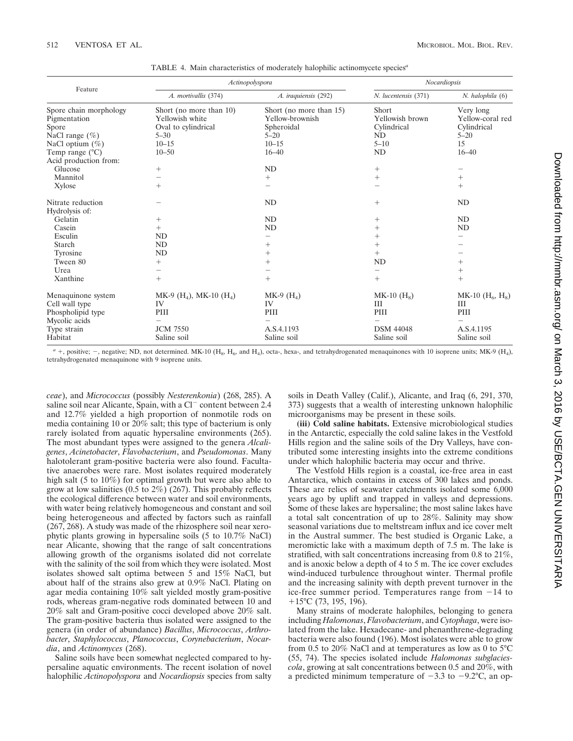|                                        |                                            | Actinopolyspora                            | Nocardiopsis             |                               |  |
|----------------------------------------|--------------------------------------------|--------------------------------------------|--------------------------|-------------------------------|--|
| Feature                                | A. mortivallis (374)                       | A. iraquiensis (292)                       | N. lucentensis (371)     | N. halophila (6)              |  |
| Spore chain morphology<br>Pigmentation | Short (no more than 10)<br>Yellowish white | Short (no more than 15)<br>Yellow-brownish | Short<br>Yellowish brown | Very long<br>Yellow-coral red |  |
| Spore                                  | Oval to cylindrical                        | Spheroidal                                 | Cylindrical              | Cylindrical                   |  |
| NaCl range $(\%)$                      | $5 - 30$                                   | $5 - 20$                                   | ND                       | $5 - 20$                      |  |
| NaCl optium $(\%)$                     | $10 - 15$                                  | $10 - 15$                                  | $5 - 10$                 | 15                            |  |
| Temp range $(^{\circ}C)$               | $10 - 50$                                  | $16 - 40$                                  | <b>ND</b>                | $16 - 40$                     |  |
| Acid production from:                  |                                            |                                            |                          |                               |  |
| Glucose                                | $^{+}$                                     | <b>ND</b>                                  | $^{+}$                   |                               |  |
| Mannitol                               | -                                          | $^{+}$                                     | $^{+}$                   | $^{+}$                        |  |
| Xylose                                 | $^{+}$                                     |                                            |                          | $^{+}$                        |  |
| Nitrate reduction                      |                                            | <b>ND</b>                                  | $^{+}$                   | <b>ND</b>                     |  |
| Hydrolysis of:<br>Gelatin              | $^{+}$                                     | <b>ND</b>                                  | $^{+}$                   | <b>ND</b>                     |  |
| Casein                                 | $^{+}$                                     | <b>ND</b>                                  | $^{+}$                   | ND                            |  |
| Esculin                                | <b>ND</b>                                  |                                            | $^{+}$                   |                               |  |
| Starch                                 | <b>ND</b>                                  | $^{+}$                                     | $^{+}$                   |                               |  |
| Tyrosine                               | <b>ND</b>                                  | $^{+}$                                     | $^{+}$                   |                               |  |
| Tween 80                               | $^{+}$                                     | $^{+}$                                     | <b>ND</b>                | $^+$                          |  |
| Urea                                   | -                                          |                                            |                          | $^{+}$                        |  |
| Xanthine                               | $^{+}$                                     | $^{+}$                                     | $^{+}$                   | $^{+}$                        |  |
| Menaquinone system                     | MK-9 ( $H_4$ ), MK-10 ( $H_4$ )            | MK-9 $(H_4)$                               | MK-10 $(H8)$             | MK-10 $(H_6, H_8)$            |  |
| Cell wall type                         | IV                                         | IV                                         | Ш                        | Ш                             |  |
| Phospholipid type                      | PIII                                       | PIII                                       | PIII                     | PIII                          |  |
| Mycolic acids                          |                                            |                                            |                          |                               |  |
| Type strain                            | <b>JCM 7550</b>                            | A.S.4.1193                                 | <b>DSM 44048</b>         | A.S.4.1195                    |  |
| Habitat                                | Saline soil                                | Saline soil                                | Saline soil              | Saline soil                   |  |

TABLE 4. Main characteristics of moderately halophilic actinomycete species*<sup>a</sup>*

 $a$  +, positive;  $-$ , negative; ND, not determined. MK-10 (H<sub>8</sub>, H<sub>6</sub>, and H<sub>4</sub>), octa-, hexa-, and tetrahydrogenated menaquinones with 10 isoprene units; MK-9 (H<sub>4</sub>), tetrahydrogenated menaquinone with 9 isoprene units.

*ceae*), and *Micrococcus* (possibly *Nesterenkonia*) (268, 285). A saline soil near Alicante, Spain, with a  $Cl^-$  content between 2.4 and 12.7% yielded a high proportion of nonmotile rods on media containing 10 or 20% salt; this type of bacterium is only rarely isolated from aquatic hypersaline environments (265). The most abundant types were assigned to the genera *Alcaligenes*, *Acinetobacter*, *Flavobacterium*, and *Pseudomonas*. Many halotolerant gram-positive bacteria were also found. Facultative anaerobes were rare. Most isolates required moderately high salt (5 to 10%) for optimal growth but were also able to grow at low salinities (0.5 to 2%) (267). This probably reflects the ecological difference between water and soil environments, with water being relatively homogeneous and constant and soil being heterogeneous and affected by factors such as rainfall (267, 268). A study was made of the rhizosphere soil near xerophytic plants growing in hypersaline soils (5 to 10.7% NaCl) near Alicante, showing that the range of salt concentrations allowing growth of the organisms isolated did not correlate with the salinity of the soil from which they were isolated. Most isolates showed salt optima between 5 and 15% NaCl, but about half of the strains also grew at 0.9% NaCl. Plating on agar media containing 10% salt yielded mostly gram-positive rods, whereas gram-negative rods dominated between 10 and 20% salt and Gram-positive cocci developed above 20% salt. The gram-positive bacteria thus isolated were assigned to the genera (in order of abundance) *Bacillus*, *Micrococcus*, *Arthrobacter*, *Staphylococcus*, *Planococcus*, *Corynebacterium*, *Nocardia*, and *Actinomyces* (268).

Saline soils have been somewhat neglected compared to hypersaline aquatic environments. The recent isolation of novel halophilic *Actinopolyspora* and *Nocardiopsis* species from salty

soils in Death Valley (Calif.), Alicante, and Iraq (6, 291, 370, 373) suggests that a wealth of interesting unknown halophilic microorganisms may be present in these soils.

**(iii) Cold saline habitats.** Extensive microbiological studies in the Antarctic, especially the cold saline lakes in the Vestfold Hills region and the saline soils of the Dry Valleys, have contributed some interesting insights into the extreme conditions under which halophilic bacteria may occur and thrive.

The Vestfold Hills region is a coastal, ice-free area in east Antarctica, which contains in excess of 300 lakes and ponds. These are relics of seawater catchments isolated some 6,000 years ago by uplift and trapped in valleys and depressions. Some of these lakes are hypersaline; the most saline lakes have a total salt concentration of up to 28%. Salinity may show seasonal variations due to meltstream influx and ice cover melt in the Austral summer. The best studied is Organic Lake, a meromictic lake with a maximum depth of 7.5 m. The lake is stratified, with salt concentrations increasing from 0.8 to 21%, and is anoxic below a depth of 4 to 5 m. The ice cover excludes wind-induced turbulence throughout winter. Thermal profile and the increasing salinity with depth prevent turnover in the ice-free summer period. Temperatures range from  $-14$  to  $+15^{\circ}$ C (73, 195, 196).

Many strains of moderate halophiles, belonging to genera including *Halomonas*, *Flavobacterium*, and *Cytophaga*, were isolated from the lake. Hexadecane- and phenanthrene-degrading bacteria were also found (196). Most isolates were able to grow from 0.5 to 20% NaCl and at temperatures as low as 0 to 5°C (55, 74). The species isolated include *Halomonas subglaciescola*, growing at salt concentrations between 0.5 and 20%, with a predicted minimum temperature of  $-3.3$  to  $-9.2$ °C, an op-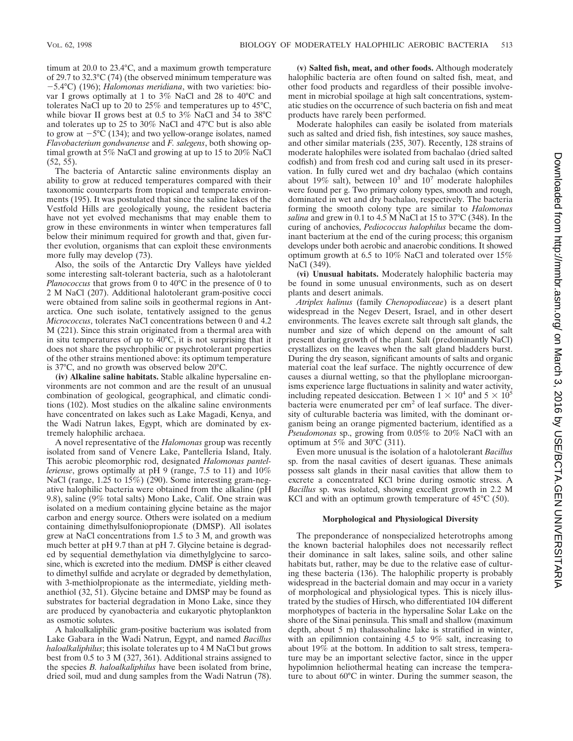timum at 20.0 to 23.4°C, and a maximum growth temperature of 29.7 to 32.3°C (74) (the observed minimum temperature was 25.4°C) (196); *Halomonas meridiana*, with two varieties: biovar I grows optimally at 1 to 3% NaCl and 28 to 40°C and tolerates NaCl up to 20 to 25% and temperatures up to 45°C, while biovar II grows best at 0.5 to 3% NaCl and 34 to 38°C and tolerates up to 25 to 30% NaCl and 47°C but is also able to grow at  $-5^{\circ}\text{C}$  (134); and two yellow-orange isolates, named *Flavobacterium gondwanense* and *F. salegens*, both showing optimal growth at 5% NaCl and growing at up to 15 to 20% NaCl  $(52, 55)$ .

The bacteria of Antarctic saline environments display an ability to grow at reduced temperatures compared with their taxonomic counterparts from tropical and temperate environments (195). It was postulated that since the saline lakes of the Vestfold Hills are geologically young, the resident bacteria have not yet evolved mechanisms that may enable them to grow in these environments in winter when temperatures fall below their minimum required for growth and that, given further evolution, organisms that can exploit these environments more fully may develop (73).

Also, the soils of the Antarctic Dry Valleys have yielded some interesting salt-tolerant bacteria, such as a halotolerant *Planococcus* that grows from 0 to 40°C in the presence of 0 to 2 M NaCl (207). Additional halotolerant gram-positive cocci were obtained from saline soils in geothermal regions in Antarctica. One such isolate, tentatively assigned to the genus *Micrococcus*, tolerates NaCl concentrations between 0 and 4.2 M (221). Since this strain originated from a thermal area with in situ temperatures of up to 40°C, it is not surprising that it does not share the psychrophilic or psychrotolerant properties of the other strains mentioned above: its optimum temperature is 37°C, and no growth was observed below 20°C.

**(iv) Alkaline saline habitats.** Stable alkaline hypersaline environments are not common and are the result of an unusual combination of geological, geographical, and climatic conditions (102). Most studies on the alkaline saline environments have concentrated on lakes such as Lake Magadi, Kenya, and the Wadi Natrun lakes, Egypt, which are dominated by extremely halophilic archaea.

A novel representative of the *Halomonas* group was recently isolated from sand of Venere Lake, Pantelleria Island, Italy. This aerobic pleomorphic rod, designated *Halomonas pantelleriense*, grows optimally at pH 9 (range, 7.5 to 11) and 10% NaCl (range, 1.25 to 15%) (290). Some interesting gram-negative halophilic bacteria were obtained from the alkaline (pH 9.8), saline (9% total salts) Mono Lake, Calif. One strain was isolated on a medium containing glycine betaine as the major carbon and energy source. Others were isolated on a medium containing dimethylsulfoniopropionate (DMSP). All isolates grew at NaCl concentrations from 1.5 to 3 M, and growth was much better at pH 9.7 than at pH 7. Glycine betaine is degraded by sequential demethylation via dimethylglycine to sarcosine, which is excreted into the medium. DMSP is either cleaved to dimethyl sulfide and acrylate or degraded by demethylation, with 3-methiolpropionate as the intermediate, yielding methanethiol (32, 51). Glycine betaine and DMSP may be found as substrates for bacterial degradation in Mono Lake, since they are produced by cyanobacteria and eukaryotic phytoplankton as osmotic solutes.

A haloalkaliphilic gram-positive bacterium was isolated from Lake Gabara in the Wadi Natrun, Egypt, and named *Bacillus haloalkaliphilus*; this isolate tolerates up to 4 M NaCl but grows best from 0.5 to 3 M (327, 361). Additional strains assigned to the species *B. haloalkaliphilus* have been isolated from brine, dried soil, mud and dung samples from the Wadi Natrun (78).

**(v) Salted fish, meat, and other foods.** Although moderately halophilic bacteria are often found on salted fish, meat, and other food products and regardless of their possible involvement in microbial spoilage at high salt concentrations, systematic studies on the occurrence of such bacteria on fish and meat products have rarely been performed.

Moderate halophiles can easily be isolated from materials such as salted and dried fish, fish intestines, soy sauce mashes, and other similar materials (235, 307). Recently, 128 strains of moderate halophiles were isolated from bachalao (dried salted codfish) and from fresh cod and curing salt used in its preservation. In fully cured wet and dry bachalao (which contains about 19% salt), between  $10^3$  and  $10^7$  moderate halophiles were found per g. Two primary colony types, smooth and rough, dominated in wet and dry bachalao, respectively. The bacteria forming the smooth colony type are similar to *Halomonas salina* and grew in 0.1 to 4.5 M NaCl at 15 to 37°C (348). In the curing of anchovies, *Pediococcus halophilus* became the dominant bacterium at the end of the curing process; this organism develops under both aerobic and anaerobic conditions. It showed optimum growth at 6.5 to 10% NaCl and tolerated over 15% NaCl (349).

**(vi) Unusual habitats.** Moderately halophilic bacteria may be found in some unusual environments, such as on desert plants and desert animals.

*Atriplex halinus* (family *Chenopodiaceae*) is a desert plant widespread in the Negev Desert, Israel, and in other desert environments. The leaves excrete salt through salt glands, the number and size of which depend on the amount of salt present during growth of the plant. Salt (predominantly NaCl) crystallizes on the leaves when the salt gland bladders burst. During the dry season, significant amounts of salts and organic material coat the leaf surface. The nightly occurrence of dew causes a diurnal wetting, so that the phylloplane microorganisms experience large fluctuations in salinity and water activity, including repeated desiccation. Between  $1 \times 10^4$  and  $5 \times 10^5$ bacteria were enumerated per  $cm<sup>2</sup>$  of leaf surface. The diversity of culturable bacteria was limited, with the dominant organism being an orange pigmented bacterium, identified as a *Pseudomonas* sp., growing from 0.05% to 20% NaCl with an optimum at  $5\%$  and  $30^{\circ}$ C (311).

Even more unusual is the isolation of a halotolerant *Bacillus* sp. from the nasal cavities of desert iguanas. These animals possess salt glands in their nasal cavities that allow them to excrete a concentrated KCl brine during osmotic stress. A *Bacillus* sp. was isolated, showing excellent growth in 2.2 M KCl and with an optimum growth temperature of 45°C (50).

# **Morphological and Physiological Diversity**

The preponderance of nonspecialized heterotrophs among the known bacterial halophiles does not necessarily reflect their dominance in salt lakes, saline soils, and other saline habitats but, rather, may be due to the relative ease of culturing these bacteria (136). The halophilic property is probably widespread in the bacterial domain and may occur in a variety of morphological and physiological types. This is nicely illustrated by the studies of Hirsch, who differentiated 104 different morphotypes of bacteria in the hypersaline Solar Lake on the shore of the Sinai peninsula. This small and shallow (maximum depth, about 5 m) thalassohaline lake is stratified in winter, with an epilimnion containing 4.5 to 9% salt, increasing to about 19% at the bottom. In addition to salt stress, temperature may be an important selective factor, since in the upper hypolimnion heliothermal heating can increase the temperature to about 60°C in winter. During the summer season, the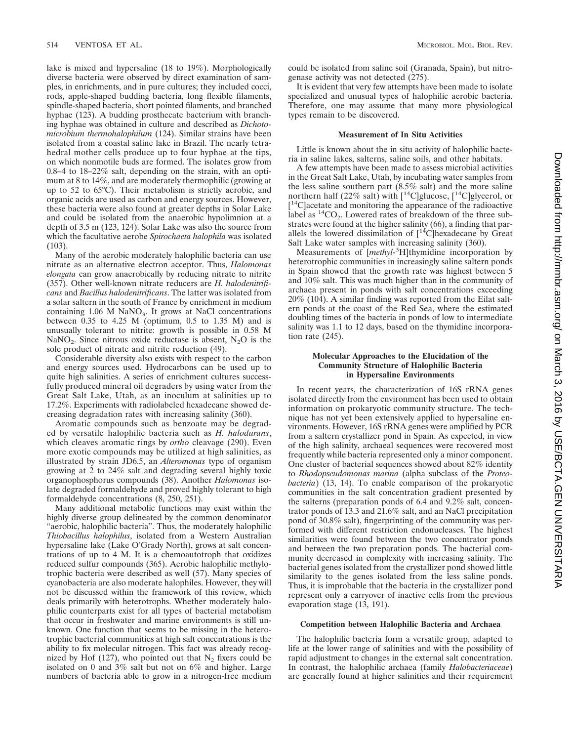lake is mixed and hypersaline (18 to 19%). Morphologically diverse bacteria were observed by direct examination of samples, in enrichments, and in pure cultures; they included cocci, rods, apple-shaped budding bacteria, long flexible filaments, spindle-shaped bacteria, short pointed filaments, and branched hyphae (123). A budding prosthecate bacterium with branching hyphae was obtained in culture and described as *Dichotomicrobium thermohalophilum* (124). Similar strains have been isolated from a coastal saline lake in Brazil. The nearly tetrahedral mother cells produce up to four hyphae at the tips, on which nonmotile buds are formed. The isolates grow from 0.8–4 to 18–22% salt, depending on the strain, with an optimum at 8 to 14%, and are moderately thermophilic (growing at up to 52 to 65°C). Their metabolism is strictly aerobic, and organic acids are used as carbon and energy sources. However, these bacteria were also found at greater depths in Solar Lake and could be isolated from the anaerobic hypolimnion at a depth of 3.5 m (123, 124). Solar Lake was also the source from which the facultative aerobe *Spirochaeta halophila* was isolated  $(103)$ 

Many of the aerobic moderately halophilic bacteria can use nitrate as an alternative electron acceptor. Thus, *Halomonas elongata* can grow anaerobically by reducing nitrate to nitrite (357). Other well-known nitrate reducers are *H. halodenitrificans* and *Bacillus halodenitrificans*. The latter was isolated from a solar saltern in the south of France by enrichment in medium containing  $1.06$  M NaNO<sub>3</sub>. It grows at NaCl concentrations between  $0.35$  to  $4.25$  M (optimum,  $0.5$  to  $1.35$  M) and is unusually tolerant to nitrite: growth is possible in 0.58 M NaNO<sub>2</sub>. Since nitrous oxide reductase is absent,  $N_2O$  is the sole product of nitrate and nitrite reduction (49).

Considerable diversity also exists with respect to the carbon and energy sources used. Hydrocarbons can be used up to quite high salinities. A series of enrichment cultures successfully produced mineral oil degraders by using water from the Great Salt Lake, Utah, as an inoculum at salinities up to 17.2%. Experiments with radiolabeled hexadecane showed decreasing degradation rates with increasing salinity (360).

Aromatic compounds such as benzoate may be degraded by versatile halophilic bacteria such as *H. halodurans*, which cleaves aromatic rings by *ortho* cleavage (290). Even more exotic compounds may be utilized at high salinities, as illustrated by strain JD6.5, an *Alteromonas* type of organism growing at 2 to 24% salt and degrading several highly toxic organophosphorus compounds (38). Another *Halomonas* isolate degraded formaldehyde and proved highly tolerant to high formaldehyde concentrations (8, 250, 251).

Many additional metabolic functions may exist within the highly diverse group delineated by the common denominator "aerobic, halophilic bacteria". Thus, the moderately halophilic *Thiobacillus halophilus*, isolated from a Western Australian hypersaline lake (Lake O'Grady North), grows at salt concentrations of up to 4 M. It is a chemoautotroph that oxidizes reduced sulfur compounds (365). Aerobic halophilic methylotrophic bacteria were described as well (57). Many species of cyanobacteria are also moderate halophiles. However, they will not be discussed within the framework of this review, which deals primarily with heterotrophs. Whether moderately halophilic counterparts exist for all types of bacterial metabolism that occur in freshwater and marine environments is still unknown. One function that seems to be missing in the heterotrophic bacterial communities at high salt concentrations is the ability to fix molecular nitrogen. This fact was already recognized by Hof (127), who pointed out that  $N_2$  fixers could be isolated on 0 and 3% salt but not on 6% and higher. Large numbers of bacteria able to grow in a nitrogen-free medium

could be isolated from saline soil (Granada, Spain), but nitrogenase activity was not detected (275).

It is evident that very few attempts have been made to isolate specialized and unusual types of halophilic aerobic bacteria. Therefore, one may assume that many more physiological types remain to be discovered.

## **Measurement of In Situ Activities**

Little is known about the in situ activity of halophilic bacteria in saline lakes, salterns, saline soils, and other habitats.

A few attempts have been made to assess microbial activities in the Great Salt Lake, Utah, by incubating water samples from the less saline southern part (8.5% salt) and the more saline northern half (22% salt) with  $\left[ {}^{14}C \right]$ glucose,  $\left[ {}^{14}C \right]$ glycerol, or [<sup>14</sup>C]acetate and monitoring the appearance of the radioactive label as  ${}^{14}CO_2$ . Lowered rates of breakdown of the three substrates were found at the higher salinity (66), a finding that parallels the lowered dissimilation of  $[14C]$ hexadecane by Great Salt Lake water samples with increasing salinity (360).

Measurements of [*methyl*-<sup>3</sup>H]thymidine incorporation by heterotrophic communities in increasingly saline saltern ponds in Spain showed that the growth rate was highest between 5 and 10% salt. This was much higher than in the community of archaea present in ponds with salt concentrations exceeding 20% (104). A similar finding was reported from the Eilat saltern ponds at the coast of the Red Sea, where the estimated doubling times of the bacteria in ponds of low to intermediate salinity was 1.1 to 12 days, based on the thymidine incorporation rate (245).

## **Molecular Approaches to the Elucidation of the Community Structure of Halophilic Bacteria in Hypersaline Environments**

In recent years, the characterization of 16S rRNA genes isolated directly from the environment has been used to obtain information on prokaryotic community structure. The technique has not yet been extensively applied to hypersaline environments. However, 16S rRNA genes were amplified by PCR from a saltern crystallizer pond in Spain. As expected, in view of the high salinity, archaeal sequences were recovered most frequently while bacteria represented only a minor component. One cluster of bacterial sequences showed about 82% identity to *Rhodopseudomonas marina* (alpha subclass of the *Proteobacteria*) (13, 14). To enable comparison of the prokaryotic communities in the salt concentration gradient presented by the salterns (preparation ponds of 6.4 and 9.2% salt, concentrator ponds of 13.3 and 21.6% salt, and an NaCl precipitation pond of 30.8% salt), fingerprinting of the community was performed with different restriction endonucleases. The highest similarities were found between the two concentrator ponds and between the two preparation ponds. The bacterial community decreased in complexity with increasing salinity. The bacterial genes isolated from the crystallizer pond showed little similarity to the genes isolated from the less saline ponds. Thus, it is improbable that the bacteria in the crystallizer pond represent only a carryover of inactive cells from the previous evaporation stage (13, 191).

#### **Competition between Halophilic Bacteria and Archaea**

The halophilic bacteria form a versatile group, adapted to life at the lower range of salinities and with the possibility of rapid adjustment to changes in the external salt concentration. In contrast, the halophilic archaea (family *Halobacteriaceae*) are generally found at higher salinities and their requirement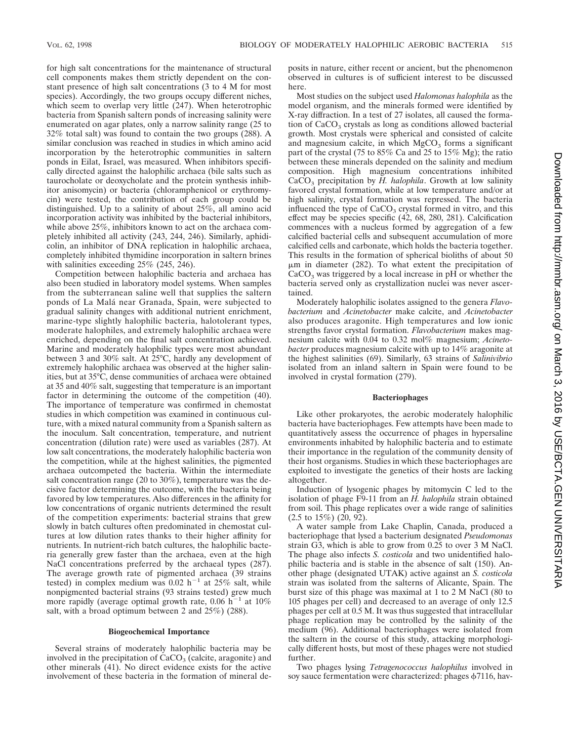for high salt concentrations for the maintenance of structural cell components makes them strictly dependent on the constant presence of high salt concentrations (3 to 4 M for most species). Accordingly, the two groups occupy different niches, which seem to overlap very little (247). When heterotrophic bacteria from Spanish saltern ponds of increasing salinity were enumerated on agar plates, only a narrow salinity range (25 to 32% total salt) was found to contain the two groups (288). A similar conclusion was reached in studies in which amino acid incorporation by the heterotrophic communities in saltern ponds in Eilat, Israel, was measured. When inhibitors specifically directed against the halophilic archaea (bile salts such as taurocholate or deoxycholate and the protein synthesis inhibitor anisomycin) or bacteria (chloramphenicol or erythromycin) were tested, the contribution of each group could be distinguished. Up to a salinity of about 25%, all amino acid incorporation activity was inhibited by the bacterial inhibitors, while above 25%, inhibitors known to act on the archaea completely inhibited all activity (243, 244, 246). Similarly, aphidicolin, an inhibitor of DNA replication in halophilic archaea, completely inhibited thymidine incorporation in saltern brines with salinities exceeding 25% (245, 246).

Competition between halophilic bacteria and archaea has also been studied in laboratory model systems. When samples from the subterranean saline well that supplies the saltern ponds of La Malá near Granada, Spain, were subjected to gradual salinity changes with additional nutrient enrichment, marine-type slightly halophilic bacteria, halotolerant types, moderate halophiles, and extremely halophilic archaea were enriched, depending on the final salt concentration achieved. Marine and moderately halophilic types were most abundant between 3 and 30% salt. At 25°C, hardly any development of extremely halophilic archaea was observed at the higher salinities, but at 35°C, dense communities of archaea were obtained at 35 and 40% salt, suggesting that temperature is an important factor in determining the outcome of the competition (40). The importance of temperature was confirmed in chemostat studies in which competition was examined in continuous culture, with a mixed natural community from a Spanish saltern as the inoculum. Salt concentration, temperature, and nutrient concentration (dilution rate) were used as variables (287). At low salt concentrations, the moderately halophilic bacteria won the competition, while at the highest salinities, the pigmented archaea outcompeted the bacteria. Within the intermediate salt concentration range (20 to 30%), temperature was the decisive factor determining the outcome, with the bacteria being favored by low temperatures. Also differences in the affinity for low concentrations of organic nutrients determined the result of the competition experiments: bacterial strains that grew slowly in batch cultures often predominated in chemostat cultures at low dilution rates thanks to their higher affinity for nutrients. In nutrient-rich batch cultures, the halophilic bacteria generally grew faster than the archaea, even at the high NaCl concentrations preferred by the archaeal types (287). The average growth rate of pigmented archaea (39 strains tested) in complex medium was  $0.02$  h<sup>-1</sup> at 25% salt, while nonpigmented bacterial strains (93 strains tested) grew much more rapidly (average optimal growth rate,  $0.06 \text{ h}^{-1}$  at  $10\%$ salt, with a broad optimum between 2 and 25%) (288).

#### **Biogeochemical Importance**

Several strains of moderately halophilic bacteria may be involved in the precipitation of  $CaCO<sub>3</sub>$  (calcite, aragonite) and other minerals (41). No direct evidence exists for the active involvement of these bacteria in the formation of mineral de-

posits in nature, either recent or ancient, but the phenomenon observed in cultures is of sufficient interest to be discussed here.

Most studies on the subject used *Halomonas halophila* as the model organism, and the minerals formed were identified by X-ray diffraction. In a test of 27 isolates, all caused the formation of  $CaCO<sub>3</sub>$  crystals as long as conditions allowed bacterial growth. Most crystals were spherical and consisted of calcite and magnesium calcite, in which  $MgCO<sub>3</sub>$  forms a significant part of the crystal (75 to 85% Ca and 25 to 15% Mg); the ratio between these minerals depended on the salinity and medium composition. High magnesium concentrations inhibited  $CaCO<sub>3</sub>$  precipitation by  $H.$  *halophila*. Growth at low salinity favored crystal formation, while at low temperature and/or at high salinity, crystal formation was repressed. The bacteria influenced the type of  $CaCO<sub>3</sub>$  crystal formed in vitro, and this effect may be species specific (42, 68, 280, 281). Calcification commences with a nucleus formed by aggregation of a few calcified bacterial cells and subsequent accumulation of more calcified cells and carbonate, which holds the bacteria together. This results in the formation of spherical bioliths of about 50  $\mu$ m in diameter (282). To what extent the precipitation of  $CaCO<sub>3</sub>$  was triggered by a local increase in pH or whether the bacteria served only as crystallization nuclei was never ascertained.

Moderately halophilic isolates assigned to the genera *Flavobacterium* and *Acinetobacter* make calcite, and *Acinetobacter* also produces aragonite. High temperatures and low ionic strengths favor crystal formation. *Flavobacterium* makes magnesium calcite with 0.04 to 0.32 mol% magnesium; *Acinetobacter* produces magnesium calcite with up to 14% aragonite at the highest salinities (69). Similarly, 63 strains of *Salinivibrio* isolated from an inland saltern in Spain were found to be involved in crystal formation (279).

#### **Bacteriophages**

Like other prokaryotes, the aerobic moderately halophilic bacteria have bacteriophages. Few attempts have been made to quantitatively assess the occurrence of phages in hypersaline environments inhabited by halophilic bacteria and to estimate their importance in the regulation of the community density of their host organisms. Studies in which these bacteriophages are exploited to investigate the genetics of their hosts are lacking altogether.

Induction of lysogenic phages by mitomycin C led to the isolation of phage F9-11 from an *H. halophila* strain obtained from soil. This phage replicates over a wide range of salinities (2.5 to 15%) (20, 92).

A water sample from Lake Chaplin, Canada, produced a bacteriophage that lysed a bacterium designated *Pseudomonas* strain G3, which is able to grow from 0.25 to over 3 M NaCl. The phage also infects *S. costicola* and two unidentified halophilic bacteria and is stable in the absence of salt (150). Another phage (designated UTAK) active against an *S. costicola* strain was isolated from the salterns of Alicante, Spain. The burst size of this phage was maximal at 1 to 2 M NaCl (80 to 105 phages per cell) and decreased to an average of only 12.5 phages per cell at 0.5 M. It was thus suggested that intracellular phage replication may be controlled by the salinity of the medium (96). Additional bacteriophages were isolated from the saltern in the course of this study, attacking morphologically different hosts, but most of these phages were not studied further.

Two phages lysing *Tetragenococcus halophilus* involved in soy sauce fermentation were characterized: phages  $\phi$ 7116, hav-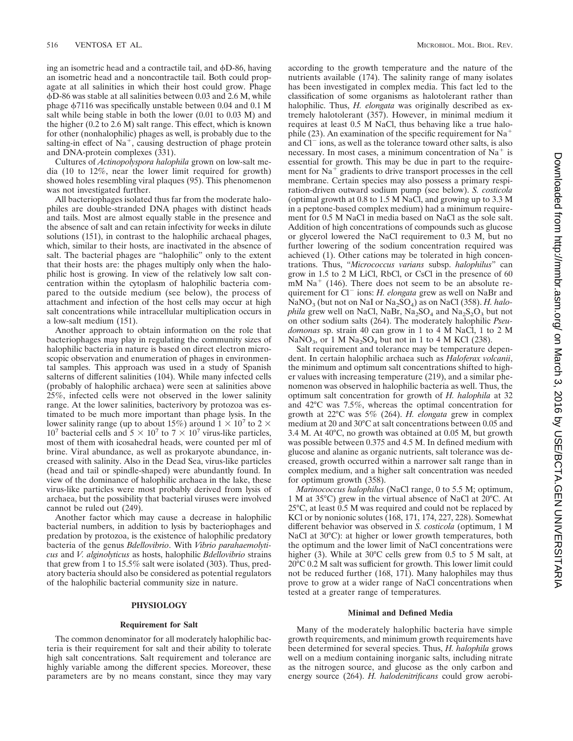ing an isometric head and a contractile tail, and  $\phi$ D-86, having an isometric head and a noncontractile tail. Both could propagate at all salinities in which their host could grow. Phage fD-86 was stable at all salinities between 0.03 and 2.6 M, while phage  $\phi$ 7116 was specifically unstable between 0.04 and 0.1 M salt while being stable in both the lower (0.01 to 0.03 M) and the higher (0.2 to 2.6 M) salt range. This effect, which is known for other (nonhalophilic) phages as well, is probably due to the salting-in effect of  $Na^+$ , causing destruction of phage protein and DNA-protein complexes (331).

Cultures of *Actinopolyspora halophila* grown on low-salt media (10 to 12%, near the lower limit required for growth) showed holes resembling viral plaques (95). This phenomenon was not investigated further.

All bacteriophages isolated thus far from the moderate halophiles are double-stranded DNA phages with distinct heads and tails. Most are almost equally stable in the presence and the absence of salt and can retain infectivity for weeks in dilute solutions (151), in contrast to the halophilic archaeal phages, which, similar to their hosts, are inactivated in the absence of salt. The bacterial phages are "halophilic" only to the extent that their hosts are: the phages multiply only when the halophilic host is growing. In view of the relatively low salt concentration within the cytoplasm of halophilic bacteria compared to the outside medium (see below), the process of attachment and infection of the host cells may occur at high salt concentrations while intracellular multiplication occurs in a low-salt medium (151).

Another approach to obtain information on the role that bacteriophages may play in regulating the community sizes of halophilic bacteria in nature is based on direct electron microscopic observation and enumeration of phages in environmental samples. This approach was used in a study of Spanish salterns of different salinities (104). While many infected cells (probably of halophilic archaea) were seen at salinities above 25%, infected cells were not observed in the lower salinity range. At the lower salinities, bacterivory by protozoa was estimated to be much more important than phage lysis. In the lower salinity range (up to about 15%) around  $1 \times 10^{7}$  to 2  $\times$  $10^7$  bacterial cells and  $5 \times 10^7$  to  $7 \times 10^7$  virus-like particles, most of them with icosahedral heads, were counted per ml of brine. Viral abundance, as well as prokaryote abundance, increased with salinity. Also in the Dead Sea, virus-like particles (head and tail or spindle-shaped) were abundantly found. In view of the dominance of halophilic archaea in the lake, these virus-like particles were most probably derived from lysis of archaea, but the possibility that bacterial viruses were involved cannot be ruled out (249).

Another factor which may cause a decrease in halophilic bacterial numbers, in addition to lysis by bacteriophages and predation by protozoa, is the existence of halophilic predatory bacteria of the genus *Bdellovibrio*. With *Vibrio parahaemolyticus* and *V. alginolyticus* as hosts, halophilic *Bdellovibrio* strains that grew from 1 to 15.5% salt were isolated (303). Thus, predatory bacteria should also be considered as potential regulators of the halophilic bacterial community size in nature.

#### **PHYSIOLOGY**

#### **Requirement for Salt**

The common denominator for all moderately halophilic bacteria is their requirement for salt and their ability to tolerate high salt concentrations. Salt requirement and tolerance are highly variable among the different species. Moreover, these parameters are by no means constant, since they may vary

according to the growth temperature and the nature of the nutrients available (174). The salinity range of many isolates has been investigated in complex media. This fact led to the classification of some organisms as halotolerant rather than halophilic. Thus, *H. elongata* was originally described as extremely halotolerant (357). However, in minimal medium it requires at least 0.5 M NaCl, thus behaving like a true halophile (23). An examination of the specific requirement for  $Na^+$ and  $Cl<sup>-</sup>$  ions, as well as the tolerance toward other salts, is also necessary. In most cases, a minimum concentration of  $Na<sup>+</sup>$  is essential for growth. This may be due in part to the requirement for Na<sup>+</sup> gradients to drive transport processes in the cell membrane. Certain species may also possess a primary respiration-driven outward sodium pump (see below). *S. costicola* (optimal growth at 0.8 to 1.5 M NaCl, and growing up to 3.3 M in a peptone-based complex medium) had a minimum requirement for 0.5 M NaCl in media based on NaCl as the sole salt. Addition of high concentrations of compounds such as glucose or glycerol lowered the NaCl requirement to 0.3 M, but no further lowering of the sodium concentration required was achieved (1). Other cations may be tolerated in high concentrations. Thus, "*Micrococcus varians* subsp. *halophilus*" can grow in 1.5 to 2 M LiCl, RbCl, or CsCl in the presence of 60 mM  $Na<sup>+</sup>$  (146). There does not seem to be an absolute requirement for Cl<sup>-</sup> ions: *H. elongata* grew as well on NaBr and  $\text{NaNO}_3$  (but not on NaI or  $\text{Na}_2\text{SO}_4$ ) as on NaCl (358). *H. halophila* grew well on NaCl, NaBr,  $Na<sub>2</sub>SO<sub>4</sub>$  and  $Na<sub>2</sub>S<sub>2</sub>O<sub>3</sub>$  but not on other sodium salts (264). The moderately halophilic *Pseudomonas* sp. strain 40 can grow in 1 to 4 M NaCl, 1 to 2 M NaNO<sub>3</sub>, or 1 M Na<sub>2</sub>SO<sub>4</sub> but not in 1 to 4 M KCl (238).

Salt requirement and tolerance may be temperature dependent. In certain halophilic archaea such as *Haloferax volcanii*, the minimum and optimum salt concentrations shifted to higher values with increasing temperature (219), and a similar phenomenon was observed in halophilic bacteria as well. Thus, the optimum salt concentration for growth of *H. halophila* at 32 and 42°C was 7.5%, whereas the optimal concentration for growth at 22°C was 5% (264). *H. elongata* grew in complex medium at 20 and 30°C at salt concentrations between 0.05 and 3.4 M. At 40°C, no growth was obtained at 0.05 M, but growth was possible between 0.375 and 4.5 M. In defined medium with glucose and alanine as organic nutrients, salt tolerance was decreased, growth occurred within a narrower salt range than in complex medium, and a higher salt concentration was needed for optimum growth (358).

*Marinococcus halophilus* (NaCl range, 0 to 5.5 M; optimum, 1 M at 35°C) grew in the virtual absence of NaCl at 20°C. At 25°C, at least 0.5 M was required and could not be replaced by KCl or by nonionic solutes (168, 171, 174, 227, 228). Somewhat different behavior was observed in *S. costicola* (optimum, 1 M NaCl at  $30^{\circ}$ C): at higher or lower growth temperatures, both the optimum and the lower limit of NaCl concentrations were higher (3). While at 30°C cells grew from 0.5 to 5 M salt, at 20°C 0.2 M salt was sufficient for growth. This lower limit could not be reduced further (168, 171). Many halophiles may thus prove to grow at a wider range of NaCl concentrations when tested at a greater range of temperatures.

# **Minimal and Defined Media**

Many of the moderately halophilic bacteria have simple growth requirements, and minimum growth requirements have been determined for several species. Thus, *H. halophila* grows well on a medium containing inorganic salts, including nitrate as the nitrogen source, and glucose as the only carbon and energy source (264). *H. halodenitrificans* could grow aerobi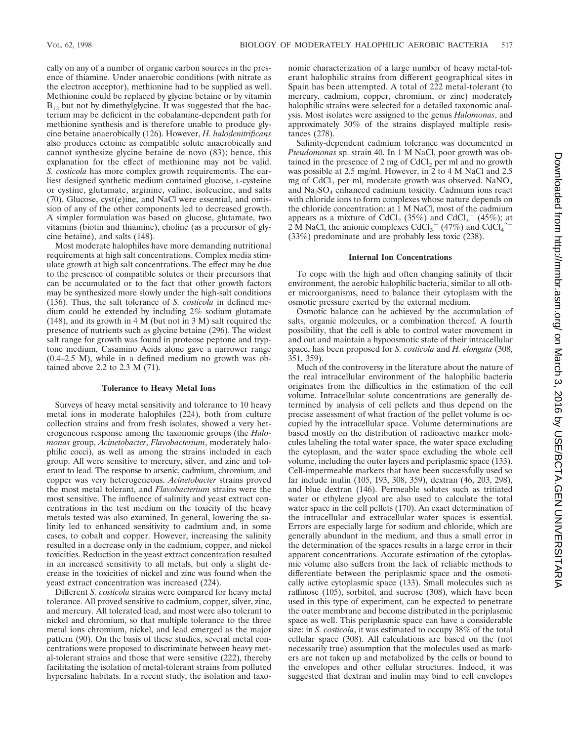cally on any of a number of organic carbon sources in the presence of thiamine. Under anaerobic conditions (with nitrate as the electron acceptor), methionine had to be supplied as well. Methionine could be replaced by glycine betaine or by vitamin  $B_{12}$  but not by dimethylglycine. It was suggested that the bacterium may be deficient in the cobalamine-dependent path for methionine synthesis and is therefore unable to produce glycine betaine anaerobically (126). However, *H. halodenitrificans* also produces ectoine as compatible solute anaerobically and cannot synthesize glycine betaine de novo (83); hence, this explanation for the effect of methionine may not be valid. *S. costicola* has more complex growth requirements. The earliest designed synthetic medium contained glucose, L-cysteine or cystine, glutamate, arginine, valine, isoleucine, and salts (70). Glucose, cyst(e)ine, and NaCl were essential, and omission of any of the other components led to decreased growth. A simpler formulation was based on glucose, glutamate, two vitamins (biotin and thiamine), choline (as a precursor of glycine betaine), and salts (148).

Most moderate halophiles have more demanding nutritional requirements at high salt concentrations. Complex media stimulate growth at high salt concentrations. The effect may be due to the presence of compatible solutes or their precursors that can be accumulated or to the fact that other growth factors may be synthesized more slowly under the high-salt conditions (136). Thus, the salt tolerance of *S. costicola* in defined medium could be extended by including 2% sodium glutamate (148), and its growth in 4 M (but not in 3 M) salt required the presence of nutrients such as glycine betaine (296). The widest salt range for growth was found in proteose peptone and tryptone medium, Casamino Acids alone gave a narrower range (0.4–2.5 M), while in a defined medium no growth was obtained above 2.2 to 2.3 M (71).

### **Tolerance to Heavy Metal Ions**

Surveys of heavy metal sensitivity and tolerance to 10 heavy metal ions in moderate halophiles (224), both from culture collection strains and from fresh isolates, showed a very heterogeneous response among the taxonomic groups (the *Halomonas* group, *Acinetobacter*, *Flavobacterium*, moderately halophilic cocci), as well as among the strains included in each group. All were sensitive to mercury, silver, and zinc and tolerant to lead. The response to arsenic, cadmium, chromium, and copper was very heterogeneous. *Acinetobacter* strains proved the most metal tolerant, and *Flavobacterium* strains were the most sensitive. The influence of salinity and yeast extract concentrations in the test medium on the toxicity of the heavy metals tested was also examined. In general, lowering the salinity led to enhanced sensitivity to cadmium and, in some cases, to cobalt and copper. However, increasing the salinity resulted in a decrease only in the cadmium, copper, and nickel toxicities. Reduction in the yeast extract concentration resulted in an increased sensitivity to all metals, but only a slight decrease in the toxicities of nickel and zinc was found when the yeast extract concentration was increased (224).

Different *S. costicola* strains were compared for heavy metal tolerance. All proved sensitive to cadmium, copper, silver, zinc, and mercury. All tolerated lead, and most were also tolerant to nickel and chromium, so that multiple tolerance to the three metal ions chromium, nickel, and lead emerged as the major pattern (90). On the basis of these studies, several metal concentrations were proposed to discriminate between heavy metal-tolerant strains and those that were sensitive (222), thereby facilitating the isolation of metal-tolerant strains from polluted hypersaline habitats. In a recent study, the isolation and taxonomic characterization of a large number of heavy metal-tolerant halophilic strains from different geographical sites in Spain has been attempted. A total of 222 metal-tolerant (to mercury, cadmium, copper, chromium, or zinc) moderately halophilic strains were selected for a detailed taxonomic analysis. Most isolates were assigned to the genus *Halomonas*, and approximately 30% of the strains displayed multiple resistances (278).

Salinity-dependent cadmium tolerance was documented in *Pseudomonas* sp. strain 40. In 1 M NaCl, poor growth was obtained in the presence of 2 mg of  $CdCl<sub>2</sub>$  per ml and no growth was possible at 2.5 mg/ml. However, in 2 to 4 M NaCl and 2.5 mg of CdCl<sub>2</sub> per ml, moderate growth was observed. NaNO<sub>3</sub> and  $Na<sub>2</sub>SO<sub>4</sub>$  enhanced cadmium toxicity. Cadmium ions react with chloride ions to form complexes whose nature depends on the chloride concentration: at 1 M NaCl, most of the cadmium appears as a mixture of CdCl<sub>2</sub> (35%) and CdCl<sub>3</sub><sup>-</sup> (45%); at 2 M N<sub>2</sub>Cl the anionic complexes CdCl<sup>-</sup> (47%) and CdCl<sup>2-</sup> 2 M NaCl, the anionic complexes  $CdCl<sub>3</sub><sup>-</sup> (47%)$  and  $CdCl<sub>4</sub>$ (33%) predominate and are probably less toxic (238).

# **Internal Ion Concentrations**

To cope with the high and often changing salinity of their environment, the aerobic halophilic bacteria, similar to all other microorganisms, need to balance their cytoplasm with the osmotic pressure exerted by the external medium.

Osmotic balance can be achieved by the accumulation of salts, organic molecules, or a combination thereof. A fourth possibility, that the cell is able to control water movement in and out and maintain a hypoosmotic state of their intracellular space, has been proposed for *S. costicola* and *H. elongata* (308, 351, 359).

Much of the controversy in the literature about the nature of the real intracellular environment of the halophilic bacteria originates from the difficulties in the estimation of the cell volume. Intracellular solute concentrations are generally determined by analysis of cell pellets and thus depend on the precise assessment of what fraction of the pellet volume is occupied by the intracellular space. Volume determinations are based mostly on the distribution of radioactive marker molecules labeling the total water space, the water space excluding the cytoplasm, and the water space excluding the whole cell volume, including the outer layers and periplasmic space (133). Cell-impermeable markers that have been successfully used so far include inulin (105, 193, 308, 359), dextran (46, 203, 298), and blue dextran (146). Permeable solutes such as tritiated water or ethylene glycol are also used to calculate the total water space in the cell pellets (170). An exact determination of the intracellular and extracellular water spaces is essential. Errors are especially large for sodium and chloride, which are generally abundant in the medium, and thus a small error in the determination of the spaces results in a large error in their apparent concentrations. Accurate estimation of the cytoplasmic volume also suffers from the lack of reliable methods to differentiate between the periplasmic space and the osmotically active cytoplasmic space (133). Small molecules such as raffinose (105), sorbitol, and sucrose (308), which have been used in this type of experiment, can be expected to penetrate the outer membrane and become distributed in the periplasmic space as well. This periplasmic space can have a considerable size: in *S. costicola*, it was estimated to occupy 38% of the total cellular space (308). All calculations are based on the (not necessarily true) assumption that the molecules used as markers are not taken up and metabolized by the cells or bound to the envelopes and other cellular structures. Indeed, it was suggested that dextran and inulin may bind to cell envelopes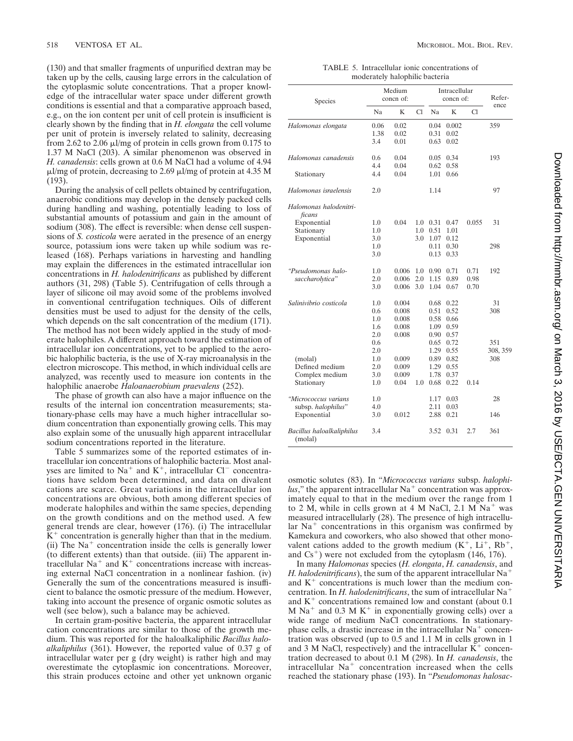(130) and that smaller fragments of unpurified dextran may be taken up by the cells, causing large errors in the calculation of the cytoplasmic solute concentrations. That a proper knowledge of the intracellular water space under different growth conditions is essential and that a comparative approach based, e.g., on the ion content per unit of cell protein is insufficient is clearly shown by the finding that in *H. elongata* the cell volume per unit of protein is inversely related to salinity, decreasing from 2.62 to 2.06  $\mu$ l/mg of protein in cells grown from 0.175 to 1.37 M NaCl (203). A similar phenomenon was observed in *H. canadensis*: cells grown at 0.6 M NaCl had a volume of 4.94  $\mu$ l/mg of protein, decreasing to 2.69  $\mu$ l/mg of protein at 4.35 M (193).

During the analysis of cell pellets obtained by centrifugation, anaerobic conditions may develop in the densely packed cells during handling and washing, potentially leading to loss of substantial amounts of potassium and gain in the amount of sodium (308). The effect is reversible: when dense cell suspensions of *S. costicola* were aerated in the presence of an energy source, potassium ions were taken up while sodium was released (168). Perhaps variations in harvesting and handling may explain the differences in the estimated intracellular ion concentrations in *H. halodenitrificans* as published by different authors (31, 298) (Table 5). Centrifugation of cells through a layer of silicone oil may avoid some of the problems involved in conventional centrifugation techniques. Oils of different densities must be used to adjust for the density of the cells, which depends on the salt concentration of the medium  $(171)$ . The method has not been widely applied in the study of moderate halophiles. A different approach toward the estimation of intracellular ion concentrations, yet to be applied to the aerobic halophilic bacteria, is the use of X-ray microanalysis in the electron microscope. This method, in which individual cells are analyzed, was recently used to measure ion contents in the halophilic anaerobe *Haloanaerobium praevalens* (252).

The phase of growth can also have a major influence on the results of the internal ion concentration measurements; stationary-phase cells may have a much higher intracellular sodium concentration than exponentially growing cells. This may also explain some of the unusually high apparent intracellular sodium concentrations reported in the literature.

Table 5 summarizes some of the reported estimates of intracellular ion concentrations of halophilic bacteria. Most analyses are limited to  $Na^+$  and  $K^+$ , intracellular  $Cl^-$  concentrations have seldom been determined, and data on divalent cations are scarce. Great variations in the intracellular ion concentrations are obvious, both among different species of moderate halophiles and within the same species, depending on the growth conditions and on the method used. A few general trends are clear, however (176). (i) The intracellular  $K^+$  concentration is generally higher than that in the medium. (ii) The  $Na<sup>+</sup>$  concentration inside the cells is generally lower (to different extents) than that outside. (iii) The apparent intracellular  $Na<sup>+</sup>$  and  $K<sup>+</sup>$  concentrations increase with increasing external NaCl concentration in a nonlinear fashion. (iv) Generally the sum of the concentrations measured is insufficient to balance the osmotic pressure of the medium. However, taking into account the presence of organic osmotic solutes as well (see below), such a balance may be achieved.

In certain gram-positive bacteria, the apparent intracellular cation concentrations are similar to those of the growth medium. This was reported for the haloalkaliphilic *Bacillus haloalkaliphilus* (361). However, the reported value of 0.37 g of intracellular water per g (dry weight) is rather high and may overestimate the cytoplasmic ion concentrations. Moreover, this strain produces ectoine and other yet unknown organic

TABLE 5. Intracellular ionic concentrations of moderately halophilic bacteria

| Species                              |      | Medium<br>concn of: |         | Intracellular<br>concn of: |       |       | Refer-   |
|--------------------------------------|------|---------------------|---------|----------------------------|-------|-------|----------|
|                                      | Na   | K                   | Cl      | Na                         | K     | Cl    | ence     |
| Halomonas elongata                   | 0.06 | 0.02                |         | 0.04                       | 0.002 |       | 359      |
|                                      | 1.38 | 0.02                |         | 0.31                       | 0.02  |       |          |
|                                      | 3.4  | 0.01                |         | 0.63                       | 0.02  |       |          |
| Halomonas canadensis                 | 0.6  | 0.04                |         | 0.05                       | 0.34  |       | 193      |
|                                      | 4.4  | 0.04                |         | 0.62                       | 0.58  |       |          |
| Stationary                           | 4.4  | 0.04                |         | 1.01                       | 0.66  |       |          |
| Halomonas israelensis                | 2.0  |                     |         | 1.14                       |       |       | 97       |
| Halomonas halodenitri-<br>ficans     |      |                     |         |                            |       |       |          |
| Exponential                          | 1.0  | 0.04                | 1.0     | 0.31                       | 0.47  | 0.055 | 31       |
| Stationary                           | 1.0  |                     | $1.0 -$ | 0.51                       | 1.01  |       |          |
| Exponential                          | 3.0  |                     | 3.0     | 1.07                       | 0.12  |       |          |
|                                      | 1.0  |                     |         | 0.11                       | 0.30  |       | 298      |
|                                      | 3.0  |                     |         | 0.13                       | 0.33  |       |          |
| "Pseudomonas halo-                   | 1.0  | 0.006               | $1.0 -$ | 0.90                       | 0.71  | 0.71  | 192      |
| saccharolytica"                      | 2.0  | 0.006               | 2.0     | 1.15                       | 0.89  | 0.98  |          |
|                                      | 3.0  | 0.006               | 3.0     | 1.04                       | 0.67  | 0.70  |          |
| Salinivibrio costicola               | 1.0  | 0.004               |         | 0.68                       | 0.22  |       | 31       |
|                                      | 0.6  | 0.008               |         | 0.51                       | 0.52  |       | 308      |
|                                      | 1.0  | 0.008               |         | 0.58                       | 0.66  |       |          |
|                                      | 1.6  | 0.008               |         | 1.09                       | 0.59  |       |          |
|                                      | 2.0  | 0.008               |         | 0.90                       | 0.57  |       |          |
|                                      | 0.6  |                     |         | 0.65                       | 0.72  |       | 351      |
|                                      | 2.0  |                     |         | 1.29                       | 0.55  |       | 308, 359 |
| (molal)                              | 1.0  | 0.009               |         | 0.89                       | 0.82  |       | 308      |
| Defined medium                       | 2.0  | 0.009               |         | 1.29                       | 0.55  |       |          |
| Complex medium                       | 3.0  | 0.009               |         | 1.78                       | 0.37  |       |          |
| Stationary                           | 1.0  | 0.04                | 1.0     | 0.68                       | 0.22  | 0.14  |          |
| "Micrococcus varians                 | 1.0  |                     |         | 1.17                       | 0.03  |       | 28       |
| subsp. halophilus"                   | 4.0  |                     |         | 2.11                       | 0.03  |       |          |
| Exponential                          | 3.0  | 0.012               |         | 2.88                       | 0.21  |       | 146      |
| Bacillus haloalkaliphilus<br>(molal) | 3.4  |                     |         | 3.52                       | 0.31  | 2.7   | 361      |

osmotic solutes (83). In "*Micrococcus varians* subsp. *halophilus*," the apparent intracellular Na<sup>+</sup> concentration was approximately equal to that in the medium over the range from 1 to 2 M, while in cells grown at 4 M NaCl, 2.1 M  $Na<sup>+</sup>$  was measured intracellularly (28). The presence of high intracellular  $Na<sup>+</sup>$  concentrations in this organism was confirmed by Kamekura and coworkers, who also showed that other monovalent cations added to the growth medium  $(K^+, Li^+, Rb^+,$ and  $Cs^+$ ) were not excluded from the cytoplasm (146, 176).

In many *Halomonas* species (*H. elongata*, *H. canadensis*, and *H. halodenitrificans*), the sum of the apparent intracellular  $Na<sup>+</sup>$ and  $K^+$  concentrations is much lower than the medium concentration. In *H. halodenitrificans*, the sum of intracellular Na<sup>+</sup> and  $K^+$  concentrations remained low and constant (about 0.1) M Na<sup>+</sup> and 0.3 M K<sup>+</sup> in exponentially growing cells) over a wide range of medium NaCl concentrations. In stationaryphase cells, a drastic increase in the intracellular  $Na<sup>+</sup>$  concentration was observed (up to 0.5 and 1.1 M in cells grown in 1 and 3 M NaCl, respectively) and the intracellular  $K^+$  concentration decreased to about 0.1 M (298). In *H. canadensis*, the intracellular  $Na<sup>+</sup>$  concentration increased when the cells reached the stationary phase (193). In "*Pseudomonas halosac-*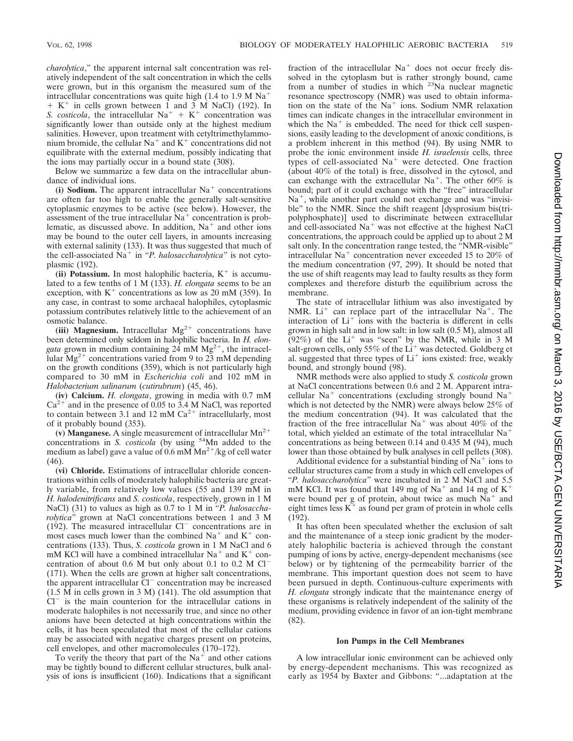*charolytica*," the apparent internal salt concentration was relatively independent of the salt concentration in which the cells were grown, but in this organism the measured sum of the intracellular concentrations was quite high (1.4 to 1.9 M  $\mathrm{Na}^+$ )  $+ K^+$  in cells grown between 1 and 3 M NaCl) (192). In *S. costicola*, the intracellular  $Na<sup>+</sup> + K<sup>+</sup>$  concentration was significantly lower than outside only at the highest medium salinities. However, upon treatment with cetyltrimethylammonium bromide, the cellular  $Na^+$  and  $K^+$  concentrations did not equilibrate with the external medium, possibly indicating that the ions may partially occur in a bound state (308).

Below we summarize a few data on the intracellular abundance of individual ions.

 $(i)$  **Sodium.** The apparent intracellular  $Na<sup>+</sup>$  concentrations are often far too high to enable the generally salt-sensitive cytoplasmic enzymes to be active (see below). However, the assessment of the true intracellular  $Na<sup>+</sup>$  concentration is problematic, as discussed above. In addition,  $Na<sup>+</sup>$  and other ions may be bound to the outer cell layers, in amounts increasing with external salinity (133). It was thus suggested that much of the cell-associated Na<sup>+</sup> in "*P. halosaccharolytica*" is not cytoplasmic (192).

(ii) Potassium. In most halophilic bacteria,  $K^+$  is accumulated to a few tenths of 1 M (133). *H. elongata* seems to be an exception, with  $K^+$  concentrations as low as 20 mM (359). In any case, in contrast to some archaeal halophiles, cytoplasmic potassium contributes relatively little to the achievement of an osmotic balance.

(iii) Magnesium. Intracellular  $Mg^{2+}$  concentrations have been determined only seldom in halophilic bacteria. In *H. elongata* grown in medium containing  $24 \text{ mM } Mg^{2+}$ , the intracellular  $Mg^{2+}$  concentrations varied from 9 to  $2\overline{3}$  mM depending on the growth conditions (359), which is not particularly high compared to 30 mM in *Escherichia coli* and 102 mM in *Halobacterium salinarum* (*cutirubrum*) (45, 46).

**(iv) Calcium.** *H. elongata*, growing in media with 0.7 mM  $Ca^{2+}$  and in the presence of 0.05 to 3.4 M NaCl, was reported to contain between 3.1 and 12 mM  $Ca^{2+}$  intracellularly, most of it probably bound (353).

(v) Manganese. A single measurement of intracellular  $Mn^{2+}$ concentrations in *S. costicola* (by using <sup>54</sup>Mn added to the medium as label) gave a value of  $0.6$  mM Mn<sup>2+</sup>/kg of cell water (46).

**(vi) Chloride.** Estimations of intracellular chloride concentrations within cells of moderately halophilic bacteria are greatly variable, from relatively low values (55 and 139 mM in *H. halodenitrificans* and *S. costicola*, respectively, grown in 1 M NaCl) (31) to values as high as 0.7 to 1 M in "*P. halosaccharolytica*" grown at NaCl concentrations between 1 and 3 M (192). The measured intracellular  $Cl^-$  concentrations are in most cases much lower than the combined  $Na<sup>+</sup>$  and  $K<sup>+</sup>$  concentrations (133). Thus, *S. costicola* grown in 1 M NaCl and 6 mM KCl will have a combined intracellular  $Na<sup>+</sup>$  and  $K<sup>+</sup>$  concentration of about 0.6 M but only about 0.1 to 0.2 M  $Cl^-$ (171). When the cells are grown at higher salt concentrations, the apparent intracellular  $Cl^-$  concentration may be increased  $(1.5 M)$  in cells grown in 3 M)  $(141)$ . The old assumption that  $Cl^-$  is the main counterion for the intracellular cations in moderate halophiles is not necessarily true, and since no other anions have been detected at high concentrations within the cells, it has been speculated that most of the cellular cations may be associated with negative charges present on proteins, cell envelopes, and other macromolecules (170–172).

To verify the theory that part of the  $Na<sup>+</sup>$  and other cations may be tightly bound to different cellular structures, bulk analysis of ions is insufficient (160). Indications that a significant

fraction of the intracellular  $Na<sup>+</sup>$  does not occur freely dissolved in the cytoplasm but is rather strongly bound, came from a number of studies in which  $23$ Na nuclear magnetic resonance spectroscopy (NMR) was used to obtain information on the state of the  $Na<sup>+</sup>$  ions. Sodium NMR relaxation times can indicate changes in the intracellular environment in which the  $Na<sup>+</sup>$  is embedded. The need for thick cell suspensions, easily leading to the development of anoxic conditions, is a problem inherent in this method (94). By using NMR to probe the ionic environment inside *H. israelensis* cells, three types of cell-associated  $Na<sup>+</sup>$  were detected. One fraction (about 40% of the total) is free, dissolved in the cytosol, and can exchange with the extracellular  $Na<sup>+</sup>$ . The other 60% is bound; part of it could exchange with the "free" intracellular  $Na<sup>+</sup>$ , while another part could not exchange and was "invisible" to the NMR. Since the shift reagent [dysprosium bis(tripolyphosphate)] used to discriminate between extracellular and cell-associated  $Na<sup>+</sup>$  was not effective at the highest NaCl concentrations, the approach could be applied up to about 2 M salt only. In the concentration range tested, the "NMR-visible" intracellular  $Na<sup>+</sup>$  concentration never exceeded 15 to 20% of the medium concentration (97, 299). It should be noted that the use of shift reagents may lead to faulty results as they form complexes and therefore disturb the equilibrium across the membrane.

The state of intracellular lithium was also investigated by NMR. Li<sup>+</sup> can replace part of the intracellular Na<sup>+</sup>. The interaction of  $Li<sup>+</sup>$  ions with the bacteria is different in cells grown in high salt and in low salt: in low salt (0.5 M), almost all  $(92\%)$  of the Li<sup>+</sup> was "seen" by the NMR, while in 3 M salt-grown cells, only 55% of the  $Li<sup>+</sup>$  was detected. Goldberg et al. suggested that three types of  $Li<sup>+</sup>$  ions existed: free, weakly bound, and strongly bound (98).

NMR methods were also applied to study *S. costicola* grown at NaCl concentrations between 0.6 and 2 M. Apparent intracellular  $Na<sup>+</sup>$  concentrations (excluding strongly bound  $Na<sup>+</sup>$ which is not detected by the NMR) were always below 25% of the medium concentration (94). It was calculated that the fraction of the free intracellular  $Na<sup>+</sup>$  was about 40% of the total, which yielded an estimate of the total intracellular  $Na<sup>+</sup>$ concentrations as being between 0.14 and 0.435 M (94), much lower than those obtained by bulk analyses in cell pellets (308).

Additional evidence for a substantial binding of  $Na<sup>+</sup>$  ions to cellular structures came from a study in which cell envelopes of "*P. halosaccharolytica*" were incubated in 2 M NaCl and 5.5 mM KCl. It was found that 149 mg of Na<sup>+</sup> and 14 mg of  $K^+$ were bound per g of protein, about twice as much  $\tilde{Na}^+$  and eight times less  $K^+$  as found per gram of protein in whole cells (192).

It has often been speculated whether the exclusion of salt and the maintenance of a steep ionic gradient by the moderately halophilic bacteria is achieved through the constant pumping of ions by active, energy-dependent mechanisms (see below) or by tightening of the permeability barrier of the membrane. This important question does not seem to have been pursued in depth. Continuous-culture experiments with *H. elongata* strongly indicate that the maintenance energy of these organisms is relatively independent of the salinity of the medium, providing evidence in favor of an ion-tight membrane (82).

#### **Ion Pumps in the Cell Membranes**

A low intracellular ionic environment can be achieved only by energy-dependent mechanisms. This was recognized as early as 1954 by Baxter and Gibbons: "...adaptation at the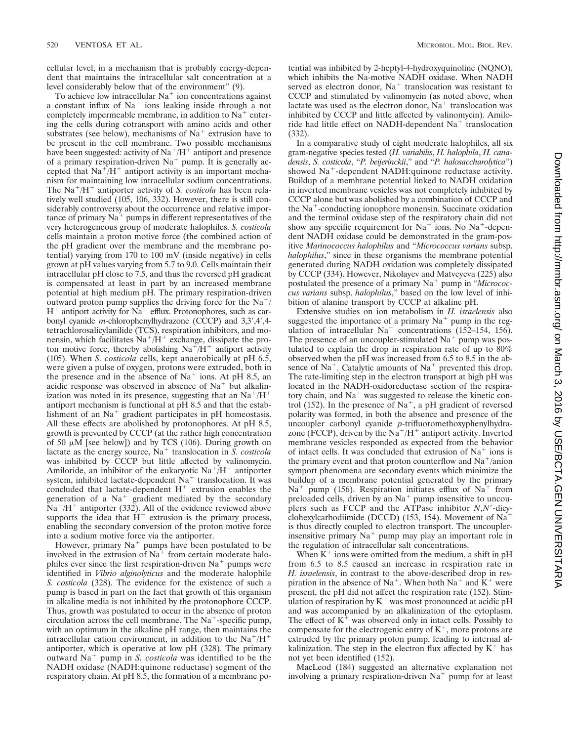cellular level, in a mechanism that is probably energy-dependent that maintains the intracellular salt concentration at a level considerably below that of the environment" (9).

To achieve low intracellular  $Na<sup>+</sup>$  ion concentrations against a constant influx of  $Na<sup>+</sup>$  ions leaking inside through a not completely impermeable membrane, in addition to  $Na<sup>+</sup>$  entering the cells during cotransport with amino acids and other substrates (see below), mechanisms of  $Na<sup>+</sup>$  extrusion have to be present in the cell membrane. Two possible mechanisms have been suggested: activity of  $Na^+/H^+$  antiport and presence of a primary respiration-driven  $Na<sup>+</sup>$  pump. It is generally accepted that  $Na<sup>+</sup>/H<sup>+</sup>$  antiport activity is an important mechanism for maintaining low intracellular sodium concentrations. The  $Na^+/H^+$  antiporter activity of *S. costicola* has been relatively well studied (105, 106, 332). However, there is still considerably controversy about the occurrence and relative importance of primary  $Na<sup>+</sup>$  pumps in different representatives of the very heterogeneous group of moderate halophiles. *S. costicola* cells maintain a proton motive force (the combined action of the pH gradient over the membrane and the membrane potential) varying from 170 to 100 mV (inside negative) in cells grown at pH values varying from 5.7 to 9.0. Cells maintain their intracellular pH close to 7.5, and thus the reversed pH gradient is compensated at least in part by an increased membrane potential at high medium pH. The primary respiration-driven outward proton pump supplies the driving force for the  $Na^{+}/$  $H^+$  antiport activity for Na<sup>+</sup> efflux. Protonophores, such as carbonyl cyanide *m*-chlorophenylhydrazone (CCCP) and  $3,3',4',4$ tetrachlorosalicylanilide (TCS), respiration inhibitors, and monensin, which facilitates  $Na^+/H^+$  exchange, dissipate the proton motive force, thereby abolishing  $\text{Na}^+\text{/H}^+$  antiport activity (105). When *S. costicola* cells, kept anaerobically at pH 6.5, were given a pulse of oxygen, protons were extruded, both in the presence and in the absence of  $Na<sup>+</sup>$  ions. At pH 8.5, an acidic response was observed in absence of  $Na<sup>+</sup>$  but alkalinization was noted in its presence, suggesting that an  $Na^+/H^+$ antiport mechanism is functional at pH 8.5 and that the establishment of an  $Na<sup>+</sup>$  gradient participates in pH homeostasis. All these effects are abolished by protonophores. At pH 8.5, growth is prevented by CCCP (at the rather high concentration of 50  $\mu$ M [see below]) and by TCS (106). During growth on lactate as the energy source, Na<sup>+</sup> translocation in *S. costicola* was inhibited by CCCP but little affected by valinomycin. Amiloride, an inhibitor of the eukaryotic  $Na<sup>+</sup>/H<sup>+</sup>$  antiporter system, inhibited lactate-dependent  $Na<sup>+</sup>$  translocation. It was concluded that lactate-dependent  $H^+$  extrusion enables the generation of a  $Na<sup>+</sup>$  gradient mediated by the secondary  $Na^+/H^+$  antiporter (332). All of the evidence reviewed above supports the idea that  $H^+$  extrusion is the primary process, enabling the secondary conversion of the proton motive force into a sodium motive force via the antiporter.

However, primary  $Na<sup>+</sup>$  pumps have been postulated to be involved in the extrusion of  $Na<sup>+</sup>$  from certain moderate halophiles ever since the first respiration-driven  $Na<sup>+</sup>$  pumps were identified in *Vibrio alginolyticus* and the moderate halophile *S. costicola* (328). The evidence for the existence of such a pump is based in part on the fact that growth of this organism in alkaline media is not inhibited by the protonophore CCCP. Thus, growth was postulated to occur in the absence of proton circulation across the cell membrane. The  $Na<sup>+</sup>$ -specific pump, with an optimum in the alkaline pH range, then maintains the intracellular cation environment, in addition to the  $Na^+/H^+$ antiporter, which is operative at low pH (328). The primary outward Na<sup>+</sup> pump in *S. costicola* was identified to be the NADH oxidase (NADH:quinone reductase) segment of the respiratory chain. At pH 8.5, the formation of a membrane potential was inhibited by 2-heptyl-4-hydroxyquinoline (NQNO), which inhibits the Na-motive NADH oxidase. When NADH served as electron donor,  $Na<sup>+</sup>$  translocation was resistant to CCCP and stimulated by valinomycin (as noted above, when lactate was used as the electron donor,  $Na<sup>+</sup>$  translocation was inhibited by CCCP and little affected by valinomycin). Amiloride had little effect on NADH-dependent  $Na<sup>+</sup>$  translocation (332).

In a comparative study of eight moderate halophiles, all six gram-negative species tested (*H. variabilis*, *H. halophila*, *H. canadensis*, *S. costicola*, "*P. beijerinckii*," and "*P. halosaccharolytica*") showed  $Na<sup>+</sup>$ -dependent NADH:quinone reductase activity. Buildup of a membrane potential linked to NADH oxidation in inverted membrane vesicles was not completely inhibited by CCCP alone but was abolished by a combination of CCCP and the  $Na<sup>+</sup>$ -conducting ionophore monensin. Succinate oxidation and the terminal oxidase step of the respiratory chain did not show any specific requirement for  $Na<sup>+</sup>$  ions. No  $Na<sup>+</sup>$ -dependent NADH oxidase could be demonstrated in the gram-positive *Marinococcus halophilus* and "*Micrococcus varians* subsp. *halophilus*," since in these organisms the membrane potential generated during NADH oxidation was completely dissipated by CCCP (334). However, Nikolayev and Matveyeva (225) also postulated the presence of a primary Na<sup>+</sup> pump in "*Micrococcus varians* subsp. *halophilus*," based on the low level of inhibition of alanine transport by CCCP at alkaline pH.

Extensive studies on ion metabolism in *H. israelensis* also suggested the importance of a primary  $Na<sup>+</sup>$  pump in the regulation of intracellular  $Na^+$  concentrations (152–154, 156). The presence of an uncoupler-stimulated  $Na<sup>+</sup>$  pump was postulated to explain the drop in respiration rate of up to 80% observed when the pH was increased from 6.5 to 8.5 in the absence of Na<sup>+</sup>. Catalytic amounts of Na<sup>+</sup> prevented this drop. The rate-limiting step in the electron transport at high pH was located in the NADH-oxidoreductase section of the respiratory chain, and  $Na<sup>+</sup>$  was suggested to release the kinetic control (152). In the presence of  $Na^+$ , a pH gradient of reversed polarity was formed, in both the absence and presence of the uncoupler carbonyl cyanide *p*-trifluoromethoxyphenylhydrazone (FCCP), driven by the  $N\hat{a}^+/H^+$  antiport activity. Inverted membrane vesicles responded as expected from the behavior of intact cells. It was concluded that extrusion of  $Na<sup>+</sup>$  ions is the primary event and that proton counterflow and  $Na^+$ /anion symport phenomena are secondary events which minimize the buildup of a membrane potential generated by the primary  $Na<sup>+</sup>$  pump (156). Respiration initiates efflux of Na<sup>+</sup> from preloaded cells, driven by an  $Na<sup>+</sup>$  pump insensitive to uncouplers such as FCCP and the ATPase inhibitor *N*,*N'*-dicyclohexylcarbodiimide (DCCD) (153, 154). Movement of Na<sup>+</sup> is thus directly coupled to electron transport. The uncouplerinsensitive primary  $Na<sup>+</sup>$  pump may play an important role in the regulation of intracellular salt concentrations.

When  $K^+$  ions were omitted from the medium, a shift in pH from 6.5 to 8.5 caused an increase in respiration rate in *H. israelensis*, in contrast to the above-described drop in respiration in the absence of Na<sup>+</sup>. When both Na<sup>+</sup> and K<sup>+</sup> were present, the pH did not affect the respiration rate (152). Stimulation of respiration by  $K^+$  was most pronounced at acidic pH and was accompanied by an alkalinization of the cytoplasm. The effect of  $K^+$  was observed only in intact cells. Possibly to compensate for the electrogenic entry of  $K^+$ , more protons are extruded by the primary proton pump, leading to internal alkalinization. The step in the electron flux affected by  $K^+$  has not yet been identified (152).

MacLeod (184) suggested an alternative explanation not involving a primary respiration-driven  $Na<sup>+</sup>$  pump for at least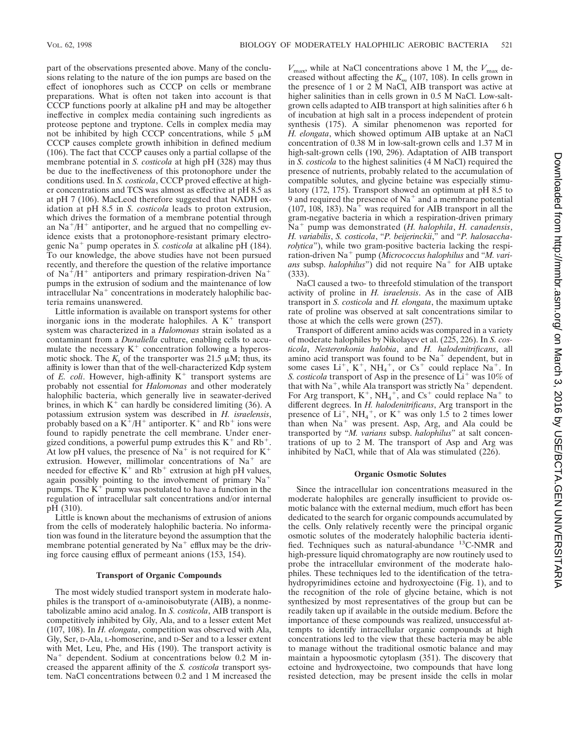part of the observations presented above. Many of the conclusions relating to the nature of the ion pumps are based on the effect of ionophores such as CCCP on cells or membrane preparations. What is often not taken into account is that CCCP functions poorly at alkaline pH and may be altogether ineffective in complex media containing such ingredients as proteose peptone and tryptone. Cells in complex media may not be inhibited by high CCCP concentrations, while  $5 \mu M$ CCCP causes complete growth inhibition in defined medium (106). The fact that CCCP causes only a partial collapse of the membrane potential in *S. costicola* at high pH (328) may thus be due to the ineffectiveness of this protonophore under the conditions used. In *S. costicola*, CCCP proved effective at higher concentrations and TCS was almost as effective at pH 8.5 as at pH 7 (106). MacLeod therefore suggested that NADH oxidation at pH 8.5 in *S. costicola* leads to proton extrusion, which drives the formation of a membrane potential through an  $Na^+/H^+$  antiporter, and he argued that no compelling evidence exists that a protonophore-resistant primary electrogenic Na<sup>+</sup> pump operates in *S. costicola* at alkaline pH (184). To our knowledge, the above studies have not been pursued recently, and therefore the question of the relative importance of  $Na^+/H^+$  antiporters and primary respiration-driven  $Na^+$ pumps in the extrusion of sodium and the maintenance of low intracellular  $Na<sup>+</sup>$  concentrations in moderately halophilic bacteria remains unanswered.

Little information is available on transport systems for other inorganic ions in the moderate halophiles. A  $K^+$  transport system was characterized in a *Halomonas* strain isolated as a contaminant from a *Dunaliella* culture, enabling cells to accumulate the necessary  $K^+$  concentration following a hyperosmotic shock. The  $K<sub>s</sub>$  of the transporter was 21.5  $\mu$ M; thus, its affinity is lower than that of the well-characterized Kdp system of *E. coli.* However, high-affinity  $K^+$  transport systems are probably not essential for *Halomonas* and other moderately halophilic bacteria, which generally live in seawater-derived brines, in which  $K^+$  can hardly be considered limiting (36). A potassium extrusion system was described in *H. israelensis*, probably based on a  $K^+/H^+$  antiporter.  $K^+$  and  $Rb^+$  ions were found to rapidly penetrate the cell membrane. Under energized conditions, a powerful pump extrudes this  $K^+$  and  $Rb^+$ . At low pH values, the presence of  $Na<sup>+</sup>$  is not required for  $K<sup>+</sup>$ extrusion. However, millimolar concentrations of  $Na<sup>+</sup>$  are needed for effective  $K^+$  and  $Rb^+$  extrusion at high pH values, again possibly pointing to the involvement of primary  $Na<sup>+</sup>$ pumps. The  $K^+$  pump was postulated to have a function in the regulation of intracellular salt concentrations and/or internal pH (310).

Little is known about the mechanisms of extrusion of anions from the cells of moderately halophilic bacteria. No information was found in the literature beyond the assumption that the membrane potential generated by  $Na<sup>+</sup>$  efflux may be the driving force causing efflux of permeant anions (153, 154).

# **Transport of Organic Compounds**

The most widely studied transport system in moderate halophiles is the transport of  $\alpha$ -aminoisobutyrate (AIB), a nonmetabolizable amino acid analog. In *S. costicola*, AIB transport is competitively inhibited by Gly, Ala, and to a lesser extent Met (107, 108). In *H. elongata*, competition was observed with Ala, Gly, Ser, D-Ala, L-homoserine, and D-Ser and to a lesser extent with Met, Leu, Phe, and His (190). The transport activity is  $Na<sup>+</sup>$  dependent. Sodium at concentrations below 0.2 M increased the apparent affinity of the *S. costicola* transport system. NaCl concentrations between 0.2 and 1 M increased the

 $V_{\text{max}}$ , while at NaCl concentrations above 1 M, the  $V_{\text{max}}$  decreased without affecting the  $K_m$  (107, 108). In cells grown in the presence of 1 or 2 M NaCl, AIB transport was active at higher salinities than in cells grown in 0.5 M NaCl. Low-saltgrown cells adapted to AIB transport at high salinities after 6 h of incubation at high salt in a process independent of protein synthesis (175). A similar phenomenon was reported for *H. elongata*, which showed optimum AIB uptake at an NaCl concentration of 0.38 M in low-salt-grown cells and 1.37 M in high-salt-grown cells (190, 296). Adaptation of AIB transport in *S. costicola* to the highest salinities (4 M NaCl) required the presence of nutrients, probably related to the accumulation of compatible solutes, and glycine betaine was especially stimulatory (172, 175). Transport showed an optimum at pH 8.5 to 9 and required the presence of  $Na<sup>+</sup>$  and a membrane potential  $(107, 108, 183)$ . Na<sup>+</sup> was required for AIB transport in all the gram-negative bacteria in which a respiration-driven primary Na<sup>+</sup> pump was demonstrated (*H. halophila*, *H. canadensis*, *H. variabilis*, *S. costicola*, "*P. beijerinckii*," and "*P. halosaccharolytica*"), while two gram-positive bacteria lacking the respiration-driven Na<sup>+</sup> pump (*Micrococcus halophilus* and "*M. varians* subsp. *halophilus*") did not require  $Na<sup>+</sup>$  for AIB uptake (333).

NaCl caused a two- to threefold stimulation of the transport activity of proline in *H. israelensis*. As in the case of AIB transport in *S. costicola* and *H. elongata*, the maximum uptake rate of proline was observed at salt concentrations similar to those at which the cells were grown (257).

Transport of different amino acids was compared in a variety of moderate halophiles by Nikolayev et al. (225, 226). In *S. costicola*, *Nesterenkonia halobia*, and *H. halodenitrificans*, all amino acid transport was found to be  $Na<sup>+</sup>$  dependent, but in some cases  $Li^+$ ,  $K^+$ ,  $NH_4^+$ , or  $Cs^+$  could replace  $Na^+$ . In *S. costicola* transport of Asp in the presence of  $Li<sup>+</sup>$  was 10% of that with  $Na^+$ , while Ala transport was strictly  $Na^+$  dependent. For Arg transport,  $K^+$ ,  $NH_4^+$ , and  $Cs^+$  could replace  $Na^+$  to different degrees. In *H. halodenitrificans*, Arg transport in the presence of  $\text{Li}^+$ , NH<sub>4</sub><sup>+</sup>, or K<sup>+</sup> was only 1.5 to 2 times lower than when  $Na<sup>+</sup>$  was present. Asp, Arg, and Ala could be transported by "*M. varians* subsp. *halophilus*" at salt concentrations of up to 2 M. The transport of Asp and Arg was inhibited by NaCl, while that of Ala was stimulated (226).

#### **Organic Osmotic Solutes**

Since the intracellular ion concentrations measured in the moderate halophiles are generally insufficient to provide osmotic balance with the external medium, much effort has been dedicated to the search for organic compounds accumulated by the cells. Only relatively recently were the principal organic osmotic solutes of the moderately halophilic bacteria identified. Techniques such as natural-abundance <sup>13</sup>C-NMR and high-pressure liquid chromatography are now routinely used to probe the intracellular environment of the moderate halophiles. These techniques led to the identification of the tetrahydropyrimidines ectoine and hydroxyectoine (Fig. 1), and to the recognition of the role of glycine betaine, which is not synthesized by most representatives of the group but can be readily taken up if available in the outside medium. Before the importance of these compounds was realized, unsuccessful attempts to identify intracellular organic compounds at high concentrations led to the view that these bacteria may be able to manage without the traditional osmotic balance and may maintain a hypoosmotic cytoplasm (351). The discovery that ectoine and hydroxyectoine, two compounds that have long resisted detection, may be present inside the cells in molar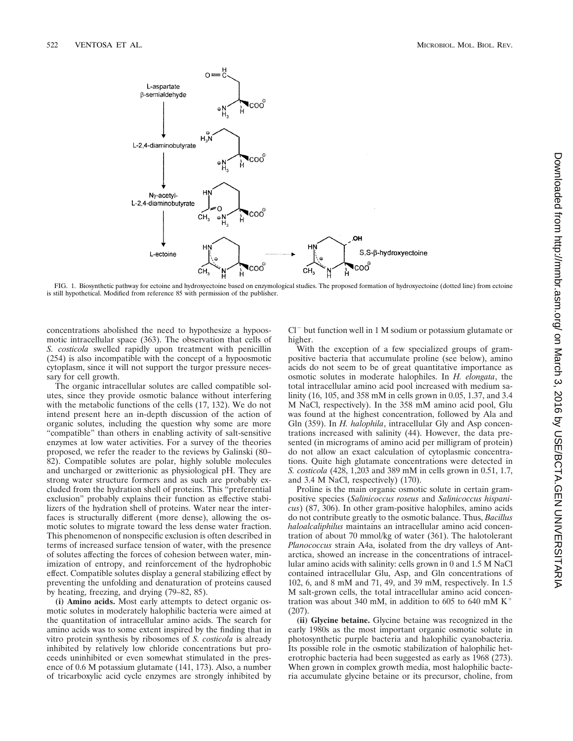

FIG. 1. Biosynthetic pathway for ectoine and hydroxyectoine based on enzymological studies. The proposed formation of hydroxyectoine (dotted line) from ectoine is still hypothetical. Modified from reference 85 with permission of the publisher.

concentrations abolished the need to hypothesize a hypoosmotic intracellular space (363). The observation that cells of *S. costicola* swelled rapidly upon treatment with penicillin (254) is also incompatible with the concept of a hypoosmotic cytoplasm, since it will not support the turgor pressure necessary for cell growth.

The organic intracellular solutes are called compatible solutes, since they provide osmotic balance without interfering with the metabolic functions of the cells (17, 132). We do not intend present here an in-depth discussion of the action of organic solutes, including the question why some are more "compatible" than others in enabling activity of salt-sensitive enzymes at low water activities. For a survey of the theories proposed, we refer the reader to the reviews by Galinski (80– 82). Compatible solutes are polar, highly soluble molecules and uncharged or zwitterionic as physiological pH. They are strong water structure formers and as such are probably excluded from the hydration shell of proteins. This "preferential exclusion" probably explains their function as effective stabilizers of the hydration shell of proteins. Water near the interfaces is structurally different (more dense), allowing the osmotic solutes to migrate toward the less dense water fraction. This phenomenon of nonspecific exclusion is often described in terms of increased surface tension of water, with the presence of solutes affecting the forces of cohesion between water, minimization of entropy, and reinforcement of the hydrophobic effect. Compatible solutes display a general stabilizing effect by preventing the unfolding and denaturation of proteins caused by heating, freezing, and drying (79–82, 85).

**(i) Amino acids.** Most early attempts to detect organic osmotic solutes in moderately halophilic bacteria were aimed at the quantitation of intracellular amino acids. The search for amino acids was to some extent inspired by the finding that in vitro protein synthesis by ribosomes of *S. costicola* is already inhibited by relatively low chloride concentrations but proceeds uninhibited or even somewhat stimulated in the presence of 0.6 M potassium glutamate (141, 173). Also, a number of tricarboxylic acid cycle enzymes are strongly inhibited by

 $Cl^-$  but function well in 1 M sodium or potassium glutamate or higher.

With the exception of a few specialized groups of grampositive bacteria that accumulate proline (see below), amino acids do not seem to be of great quantitative importance as osmotic solutes in moderate halophiles. In *H. elongata*, the total intracellular amino acid pool increased with medium salinity (16, 105, and 358 mM in cells grown in 0.05, 1.37, and 3.4 M NaCl, respectively). In the 358 mM amino acid pool, Glu was found at the highest concentration, followed by Ala and Gln (359). In *H. halophila*, intracellular Gly and Asp concentrations increased with salinity (44). However, the data presented (in micrograms of amino acid per milligram of protein) do not allow an exact calculation of cytoplasmic concentrations. Quite high glutamate concentrations were detected in *S. costicola* (428, 1,203 and 389 mM in cells grown in 0.51, 1.7, and 3.4 M NaCl, respectively) (170).

Proline is the main organic osmotic solute in certain grampositive species (*Salinicoccus roseus* and *Salinicoccus hispanicus*) (87, 306). In other gram-positive halophiles, amino acids do not contribute greatly to the osmotic balance. Thus, *Bacillus haloalcaliphilus* maintains an intracellular amino acid concentration of about 70 mmol/kg of water (361). The halotolerant *Planococcus* strain A4a, isolated from the dry valleys of Antarctica, showed an increase in the concentrations of intracellular amino acids with salinity: cells grown in 0 and 1.5 M NaCl contained intracellular Glu, Asp, and Gln concentrations of 102, 6, and 8 mM and 71, 49, and 39 mM, respectively. In 1.5 M salt-grown cells, the total intracellular amino acid concentration was about 340 mM, in addition to 605 to 640 mM  $K^+$  $(207)$ 

**(ii) Glycine betaine.** Glycine betaine was recognized in the early 1980s as the most important organic osmotic solute in photosynthetic purple bacteria and halophilic cyanobacteria. Its possible role in the osmotic stabilization of halophilic heterotrophic bacteria had been suggested as early as 1968 (273). When grown in complex growth media, most halophilic bacteria accumulate glycine betaine or its precursor, choline, from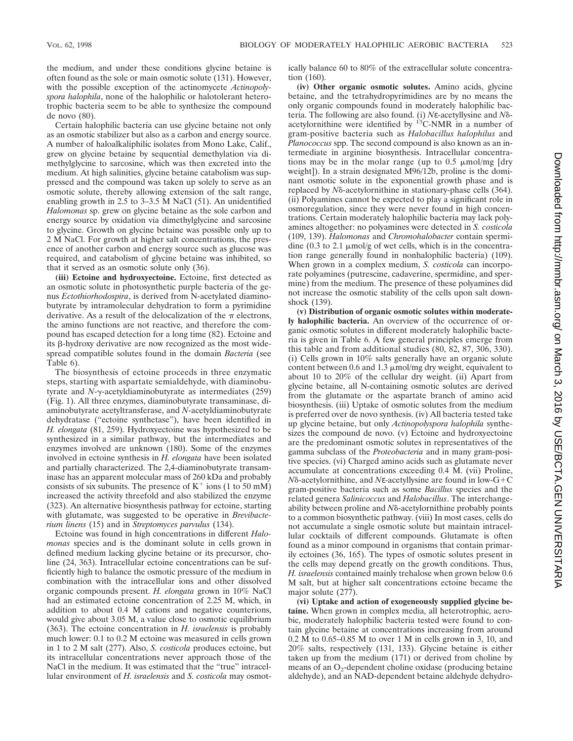the medium, and under these conditions glycine betaine is often found as the sole or main osmotic solute (131). However, with the possible exception of the actinomycete *Actinopolyspora halophila*, none of the halophilic or halotolerant heterotrophic bacteria seem to be able to synthesize the compound de novo (80).

Certain halophilic bacteria can use glycine betaine not only as an osmotic stabilizer but also as a carbon and energy source. A number of haloalkaliphilic isolates from Mono Lake, Calif., grew on glycine betaine by sequential demethylation via dimethylglycine to sarcosine, which was then excreted into the medium. At high salinities, glycine betaine catabolism was suppressed and the compound was taken up solely to serve as an osmotic solute, thereby allowing extension of the salt range, enabling growth in 2.5 to 3–3.5 M NaCl (51). An unidentified *Halomonas* sp. grew on glycine betaine as the sole carbon and energy source by oxidation via dimethylglycine and sarcosine to glycine. Growth on glycine betaine was possible only up to 2 M NaCl. For growth at higher salt concentrations, the presence of another carbon and energy source such as glucose was required, and catabolism of glycine betaine was inhibited, so that it served as an osmotic solute only (36).

**(iii) Ectoine and hydroxyectoine.** Ectoine, first detected as an osmotic solute in photosynthetic purple bacteria of the genus *Ectothiorhodospira*, is derived from N-acetylated diaminobutyrate by intramolecular dehydration to form a pyrimidine derivative. As a result of the delocalization of the  $\pi$  electrons, the amino functions are not reactive, and therefore the compound has escaped detection for a long time (82). Ectoine and its  $\beta$ -hydroxy derivative are now recognized as the most widespread compatible solutes found in the domain *Bacteria* (see Table 6).

The biosynthesis of ectoine proceeds in three enzymatic steps, starting with aspartate semialdehyde, with diaminobutyrate and  $N$ - $\gamma$ -acetyldiaminobutyrate as intermediates (259) (Fig. 1). All three enzymes, diaminobutyrate transaminase, diaminobutyrate acetyltransferase, and *N*-acetyldiaminobutyrate dehydratase ("ectoine synthetase"), have been identified in *H. elongata* (81, 259). Hydroxyectoine was hypothesized to be synthesized in a similar pathway, but the intermediates and enzymes involved are unknown (180). Some of the enzymes involved in ectoine synthesis in *H. elongata* have been isolated and partially characterized. The 2,4-diaminobutyrate transaminase has an apparent molecular mass of 260 kDa and probably consists of six subunits. The presence of  $K^+$  ions (1 to 50 mM) increased the activity threefold and also stabilized the enzyme (323). An alternative biosynthesis pathway for ectoine, starting with glutamate, was suggested to be operative in *Brevibacterium linens* (15) and in *Streptomyces parvulus* (134).

Ectoine was found in high concentrations in different *Halomonas* species and is the dominant solute in cells grown in defined medium lacking glycine betaine or its precursor, choline (24, 363). Intracellular ectoine concentrations can be sufficiently high to balance the osmotic pressure of the medium in combination with the intracellular ions and other dissolved organic compounds present. *H. elongata* grown in 10% NaCl had an estimated ectoine concentration of 2.25 M, which, in addition to about 0.4 M cations and negative counterions, would give about 3.05 M, a value close to osmotic equilibrium (363). The ectoine concentration in *H. israelensis* is probably much lower: 0.1 to 0.2 M ectoine was measured in cells grown in 1 to 2 M salt (277). Also, *S. costicola* produces ectoine, but its intracellular concentrations never approach those of the NaCl in the medium. It was estimated that the "true" intracellular environment of *H. israelensis* and *S. costicola* may osmotically balance 60 to 80% of the extracellular solute concentration (160).

**(iv) Other organic osmotic solutes.** Amino acids, glycine betaine, and the tetrahydropyrimidines are by no means the only organic compounds found in moderately halophilic bacteria. The following are also found. (i) *N*ε-acetyllysine and *N*dacetylornithine were identified by  $^{13}$ C-NMR in a number of gram-positive bacteria such as *Halobacillus halophilus* and *Planococcus* spp. The second compound is also known as an intermediate in arginine biosynthesis. Intracellular concentrations may be in the molar range (up to  $0.5 \mu$ mol/mg [dry weight]). In a strain designated M96/12b, proline is the dominant osmotic solute in the exponential growth phase and is replaced by *N*δ-acetylornithine in stationary-phase cells (364). (ii) Polyamines cannot be expected to play a significant role in osmoregulation, since they were never found in high concentrations. Certain moderately halophilic bacteria may lack polyamines altogether: no polyamines were detected in *S. costicola* (109, 139). *Halomonas* and *Chromohalobacter* contain spermidine  $(0.3 \text{ to } 2.1 \text{ }\mu\text{mol/g}$  of wet cells, which is in the concentration range generally found in nonhalophilic bacteria) (109). When grown in a complex medium, *S. costicola* can incorporate polyamines (putrescine, cadaverine, spermidine, and spermine) from the medium. The presence of these polyamines did not increase the osmotic stability of the cells upon salt downshock (139).

**(v) Distribution of organic osmotic solutes within moderately halophilic bacteria.** An overview of the occurrence of organic osmotic solutes in different moderately halophilic bacteria is given in Table 6. A few general principles emerge from this table and from additional studies (80, 82, 87, 306, 330). (i) Cells grown in 10% salts generally have an organic solute content between 0.6 and 1.3  $\mu$ mol/mg dry weight, equivalent to about 10 to 20% of the cellular dry weight. (ii) Apart from glycine betaine, all N-containing osmotic solutes are derived from the glutamate or the aspartate branch of amino acid biosynthesis. (iii) Uptake of osmotic solutes from the medium is preferred over de novo synthesis. (iv) All bacteria tested take up glycine betaine, but only *Actinopolyspora halophila* synthesizes the compound de novo. (v) Ectoine and hydroxyectoine are the predominant osmotic solutes in representatives of the gamma subclass of the *Proteobacteria* and in many gram-positive species. (vi) Charged amino acids such as glutamate never accumulate at concentrations exceeding 0.4 M. (vii) Proline, *N*δ-acetylornithine, and *N*ε-acetyllysine are found in low-G+C gram-positive bacteria such as some *Bacillus* species and the related genera *Salinicoccus* and *Halobacillus*. The interchangeability between proline and *N*<sub>0</sub>-acetylornithine probably points to a common biosynthetic pathway. (viii) In most cases, cells do not accumulate a single osmotic solute but maintain intracellular cocktails of different compounds. Glutamate is often found as a minor compound in organisms that contain primarily ectoines (36, 165). The types of osmotic solutes present in the cells may depend greatly on the growth conditions. Thus, *H. israelensis* contained mainly trehalose when grown below 0.6 M salt, but at higher salt concentrations ectoine became the major solute (277).

**(vi) Uptake and action of exogeneously supplied glycine betaine.** When grown in complex media, all heterotrophic, aerobic, moderately halophilic bacteria tested were found to contain glycine betaine at concentrations increasing from around 0.2 M to 0.65–0.85 M to over 1 M in cells grown in 3, 10, and 20% salts, respectively (131, 133). Glycine betaine is either taken up from the medium (171) or derived from choline by means of an  $O_2$ -dependent choline oxidase (producing betaine aldehyde), and an NAD-dependent betaine aldehyde dehydro-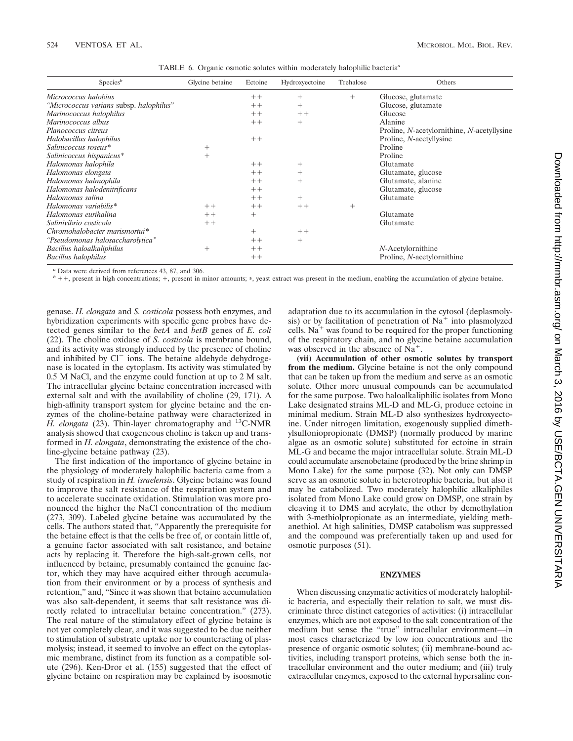| $S$ pecies <sup><math>b</math></sup>    | Glycine betaine | Ectoine | Hydroxyectoine | Trehalose | Others                                                     |
|-----------------------------------------|-----------------|---------|----------------|-----------|------------------------------------------------------------|
| Micrococcus halobius                    |                 | $++$    | $^+$           | $^{+}$    | Glucose, glutamate                                         |
| "Micrococcus varians subsp. halophilus" |                 | $++$    | $^+$           |           | Glucose, glutamate                                         |
| Marinococcus halophilus                 |                 | $++$    | $++$           |           | Glucose                                                    |
| Marinococcus albus                      |                 | $++$    | $^{+}$         |           | Alanine                                                    |
| Planococcus citreus                     |                 |         |                |           | Proline, <i>N</i> -acetylornithine, <i>N</i> -acetyllysine |
| Halobacillus halophilus                 |                 | $++$    |                |           | Proline, <i>N</i> -acetyllysine                            |
| Salinicoccus roseus*                    | $^+$            |         |                |           | Proline                                                    |
| Salinicoccus hispanicus*                | $^+$            |         |                |           | Proline                                                    |
| Halomonas halophila                     |                 | $++$    | $^{+}$         |           | Glutamate                                                  |
| Halomonas elongata                      |                 | $++$    | $^{+}$         |           | Glutamate, glucose                                         |
| Halomonas halmophila                    |                 | $++$    | $^{+}$         |           | Glutamate, alanine                                         |
| Halomonas halodenitrificans             |                 | $++$    |                |           | Glutamate, glucose                                         |
| Halomonas salina                        |                 | $++$    | $^{+}$         |           | Glutamate                                                  |
| Halomonas variabilis*                   | $++$            | $++$    | $++$           | $^{+}$    |                                                            |
| Halomonas eurihalina                    | $++$            | $^{+}$  |                |           | Glutamate                                                  |
| Salinivibrio costicola                  | $++$            |         |                |           | Glutamate                                                  |
| Chromohalobacter marismortui*           |                 | $^{+}$  | $++$           |           |                                                            |
| "Pseudomonas halosaccharolytica"        |                 | $++$    | $^{+}$         |           |                                                            |
| Bacillus haloalkaliphilus               | $^{+}$          | $++$    |                |           | N-Acetylornithine                                          |
| Bacillus halophilus                     |                 | $++$    |                |           | Proline, <i>N</i> -acetylornithine                         |

TABLE 6. Organic osmotic solutes within moderately halophilic bacteria*<sup>a</sup>*

*<sup>a</sup>* Data were derived from references 43, 87, and 306.

 $b$  + +, present in high concentrations; +, present in minor amounts; \*, yeast extract was present in the medium, enabling the accumulation of glycine betaine.

genase. *H. elongata* and *S. costicola* possess both enzymes, and hybridization experiments with specific gene probes have detected genes similar to the *betA* and *betB* genes of *E. coli* (22). The choline oxidase of *S. costicola* is membrane bound, and its activity was strongly induced by the presence of choline and inhibited by  $Cl^-$  ions. The betaine aldehyde dehydrogenase is located in the cytoplasm. Its activity was stimulated by 0.5 M NaCl, and the enzyme could function at up to 2 M salt. The intracellular glycine betaine concentration increased with external salt and with the availability of choline (29, 171). A high-affinity transport system for glycine betaine and the enzymes of the choline-betaine pathway were characterized in *H. elongata* (23). Thin-layer chromatography and <sup>13</sup>C-NMR analysis showed that exogeneous choline is taken up and transformed in *H. elongata*, demonstrating the existence of the choline-glycine betaine pathway (23).

The first indication of the importance of glycine betaine in the physiology of moderately halophilic bacteria came from a study of respiration in *H. israelensis*. Glycine betaine was found to improve the salt resistance of the respiration system and to accelerate succinate oxidation. Stimulation was more pronounced the higher the NaCl concentration of the medium (273, 309). Labeled glycine betaine was accumulated by the cells. The authors stated that, "Apparently the prerequisite for the betaine effect is that the cells be free of, or contain little of, a genuine factor associated with salt resistance, and betaine acts by replacing it. Therefore the high-salt-grown cells, not influenced by betaine, presumably contained the genuine factor, which they may have acquired either through accumulation from their environment or by a process of synthesis and retention," and, "Since it was shown that betaine accumulation was also salt-dependent, it seems that salt resistance was directly related to intracellular betaine concentration." (273). The real nature of the stimulatory effect of glycine betaine is not yet completely clear, and it was suggested to be due neither to stimulation of substrate uptake nor to counteracting of plasmolysis; instead, it seemed to involve an effect on the cytoplasmic membrane, distinct from its function as a compatible solute (296). Ken-Dror et al. (155) suggested that the effect of glycine betaine on respiration may be explained by isoosmotic

adaptation due to its accumulation in the cytosol (deplasmolysis) or by facilitation of penetration of  $Na<sup>+</sup>$  into plasmolyzed cells.  $Na<sup>+</sup>$  was found to be required for the proper functioning of the respiratory chain, and no glycine betaine accumulation was observed in the absence of  $Na<sup>+</sup>$ .

**(vii) Accumulation of other osmotic solutes by transport from the medium.** Glycine betaine is not the only compound that can be taken up from the medium and serve as an osmotic solute. Other more unusual compounds can be accumulated for the same purpose. Two haloalkaliphilic isolates from Mono Lake designated strains ML-D and ML-G, produce ectoine in minimal medium. Strain ML-D also synthesizes hydroxyectoine. Under nitrogen limitation, exogenously supplied dimethylsulfoniopropionate (DMSP) (normally produced by marine algae as an osmotic solute) substituted for ectoine in strain ML-G and became the major intracellular solute. Strain ML-D could accumulate arsenobetaine (produced by the brine shrimp in Mono Lake) for the same purpose (32). Not only can DMSP serve as an osmotic solute in heterotrophic bacteria, but also it may be catabolized. Two moderately halophilic alkaliphiles isolated from Mono Lake could grow on DMSP, one strain by cleaving it to DMS and acrylate, the other by demethylation with 3-methiolpropionate as an intermediate, yielding methanethiol. At high salinities, DMSP catabolism was suppressed and the compound was preferentially taken up and used for osmotic purposes (51).

## **ENZYMES**

When discussing enzymatic activities of moderately halophilic bacteria, and especially their relation to salt, we must discriminate three distinct categories of activities: (i) intracellular enzymes, which are not exposed to the salt concentration of the medium but sense the "true" intracellular environment—in most cases characterized by low ion concentrations and the presence of organic osmotic solutes; (ii) membrane-bound activities, including transport proteins, which sense both the intracellular environment and the outer medium; and (iii) truly extracellular enzymes, exposed to the external hypersaline con-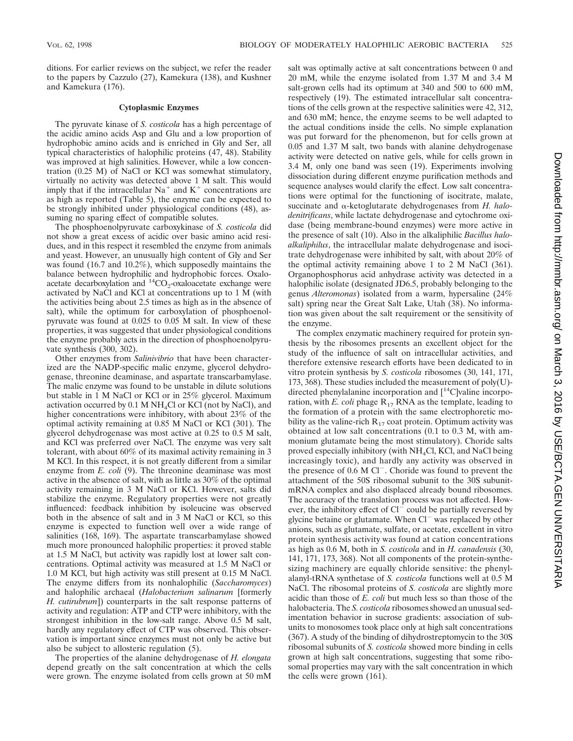ditions. For earlier reviews on the subject, we refer the reader to the papers by Cazzulo (27), Kamekura (138), and Kushner and Kamekura (176).

#### **Cytoplasmic Enzymes**

The pyruvate kinase of *S. costicola* has a high percentage of the acidic amino acids Asp and Glu and a low proportion of hydrophobic amino acids and is enriched in Gly and Ser, all typical characteristics of halophilic proteins (47, 48). Stability was improved at high salinities. However, while a low concentration (0.25 M) of NaCl or KCl was somewhat stimulatory, virtually no activity was detected above 1 M salt. This would imply that if the intracellular  $Na<sup>+</sup>$  and  $K<sup>+</sup>$  concentrations are as high as reported (Table 5), the enzyme can be expected to be strongly inhibited under physiological conditions (48), assuming no sparing effect of compatible solutes.

The phosphoenolpyruvate carboxykinase of *S. costicola* did not show a great excess of acidic over basic amino acid residues, and in this respect it resembled the enzyme from animals and yeast. However, an unusually high content of Gly and Ser was found (16.7 and 10.2%), which supposedly maintains the balance between hydrophilic and hydrophobic forces. Oxaloacetate decarboxylation and  ${}^{14}CO_2$ -oxaloacetate exchange were activated by NaCl and KCl at concentrations up to 1 M (with the activities being about 2.5 times as high as in the absence of salt), while the optimum for carboxylation of phosphoenolpyruvate was found at 0.025 to 0.05 M salt. In view of these properties, it was suggested that under physiological conditions the enzyme probably acts in the direction of phosphoenolpyruvate synthesis (300, 302).

Other enzymes from *Salinivibrio* that have been characterized are the NADP-specific malic enzyme, glycerol dehydrogenase, threonine deaminase, and aspartate transcarbamylase. The malic enzyme was found to be unstable in dilute solutions but stable in 1 M NaCl or KCl or in 25% glycerol. Maximum activation occurred by  $0.1$  M NH<sub>4</sub>Cl or KCl (not by NaCl), and higher concentrations were inhibitory, with about 23% of the optimal activity remaining at 0.85 M NaCl or KCl (301). The glycerol dehydrogenase was most active at 0.25 to 0.5 M salt, and KCl was preferred over NaCl. The enzyme was very salt tolerant, with about 60% of its maximal activity remaining in 3 M KCl. In this respect, it is not greatly different from a similar enzyme from *E. coli* (9). The threonine deaminase was most active in the absence of salt, with as little as 30% of the optimal activity remaining in 3 M NaCl or KCl. However, salts did stabilize the enzyme. Regulatory properties were not greatly influenced: feedback inhibition by isoleucine was observed both in the absence of salt and in 3 M NaCl or KCl, so this enzyme is expected to function well over a wide range of salinities (168, 169). The aspartate transcarbamylase showed much more pronounced halophilic properties: it proved stable at 1.5 M NaCl, but activity was rapidly lost at lower salt concentrations. Optimal activity was measured at 1.5 M NaCl or 1.0 M KCl, but high activity was still present at 0.15 M NaCl. The enzyme differs from its nonhalophilic (*Saccharomyces*) and halophilic archaeal (*Halobacterium salinarum* [formerly *H. cutirubrum*]) counterparts in the salt response patterns of activity and regulation: ATP and CTP were inhibitory, with the strongest inhibition in the low-salt range. Above 0.5 M salt, hardly any regulatory effect of CTP was observed. This observation is important since enzymes must not only be active but also be subject to allosteric regulation (5).

The properties of the alanine dehydrogenase of *H. elongata* depend greatly on the salt concentration at which the cells were grown. The enzyme isolated from cells grown at 50 mM

salt was optimally active at salt concentrations between 0 and 20 mM, while the enzyme isolated from 1.37 M and 3.4 M salt-grown cells had its optimum at 340 and 500 to 600 mM, respectively (19). The estimated intracellular salt concentrations of the cells grown at the respective salinities were 42, 312, and 630 mM; hence, the enzyme seems to be well adapted to the actual conditions inside the cells. No simple explanation was put forward for the phenomenon, but for cells grown at 0.05 and 1.37 M salt, two bands with alanine dehydrogenase activity were detected on native gels, while for cells grown in 3.4 M, only one band was seen (19). Experiments involving dissociation during different enzyme purification methods and sequence analyses would clarify the effect. Low salt concentrations were optimal for the functioning of isocitrate, malate, succinate and a-ketoglutarate dehydrogenases from *H. halodenitrificans*, while lactate dehydrogenase and cytochrome oxidase (being membrane-bound enzymes) were more active in the presence of salt (10). Also in the alkaliphilic *Bacillus haloalkaliphilus*, the intracellular malate dehydrogenase and isocitrate dehydrogenase were inhibited by salt, with about 20% of the optimal activity remaining above 1 to 2 M NaCl (361). Organophosphorus acid anhydrase activity was detected in a halophilic isolate (designated JD6.5, probably belonging to the genus *Alteromonas*) isolated from a warm, hypersaline (24% salt) spring near the Great Salt Lake, Utah (38). No information was given about the salt requirement or the sensitivity of the enzyme.

The complex enzymatic machinery required for protein synthesis by the ribosomes presents an excellent object for the study of the influence of salt on intracellular activities, and therefore extensive research efforts have been dedicated to in vitro protein synthesis by *S. costicola* ribosomes (30, 141, 171, 173, 368). These studies included the measurement of  $poly(U)$ directed phenylalanine incorporation and  $[14C]$ valine incorporation, with *E. coli* phage  $R_{17}$  RNA as the template, leading to the formation of a protein with the same electrophoretic mobility as the valine-rich  $R_{17}$  coat protein. Optimum activity was obtained at low salt concentrations (0.1 to 0.3 M, with ammonium glutamate being the most stimulatory). Choride salts proved especially inhibitory (with  $NH<sub>4</sub>Cl$ , KCl, and NaCl being increasingly toxic), and hardly any activity was observed in the presence of  $0.6 \text{ M Cl}^{-}$ . Choride was found to prevent the attachment of the 50S ribosomal subunit to the 30S subunitmRNA complex and also displaced already bound ribosomes. The accuracy of the translation process was not affected. However, the inhibitory effect of  $Cl^-$  could be partially reversed by glycine betaine or glutamate. When  $Cl^-$  was replaced by other anions, such as glutamate, sulfate, or acetate, excellent in vitro protein synthesis activity was found at cation concentrations as high as 0.6 M, both in *S. costicola* and in *H. canadensis* (30, 141, 171, 173, 368). Not all components of the protein-synthesizing machinery are equally chloride sensitive: the phenylalanyl-tRNA synthetase of *S. costicola* functions well at 0.5 M NaCl. The ribosomal proteins of *S. costicola* are slightly more acidic than those of *E. coli* but much less so than those of the halobacteria. The *S. costicola* ribosomes showed an unusual sedimentation behavior in sucrose gradients: association of subunits to monosomes took place only at high salt concentrations (367). A study of the binding of dihydrostreptomycin to the 30S ribosomal subunits of *S. costicola* showed more binding in cells grown at high salt concentrations, suggesting that some ribosomal properties may vary with the salt concentration in which the cells were grown (161).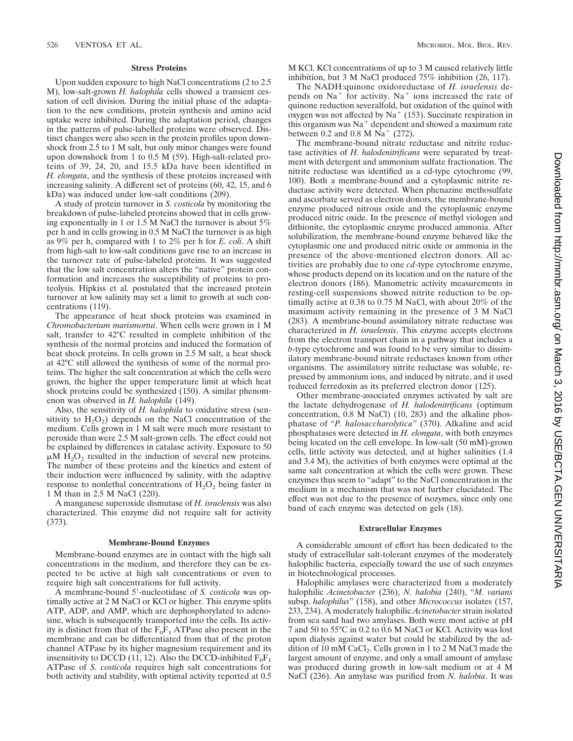#### **Stress Proteins**

Upon sudden exposure to high NaCl concentrations (2 to 2.5 M), low-salt-grown *H. halophila* cells showed a transient cessation of cell division. During the initial phase of the adaptation to the new conditions, protein synthesis and amino acid uptake were inhibited. During the adaptation period, changes in the patterns of pulse-labelled proteins were observed. Distinct changes were also seen in the protein profiles upon downshock from 2.5 to 1 M salt, but only minor changes were found upon downshock from 1 to 0.5 M (59). High-salt-related proteins of 39, 24, 20, and 15.5 kDa have been identified in *H. elongata*, and the synthesis of these proteins increased with increasing salinity. A different set of proteins (60, 42, 15, and 6 kDa) was induced under low-salt conditions (209).

A study of protein turnover in *S. costicola* by monitoring the breakdown of pulse-labeled proteins showed that in cells growing exponentially in 1 or 1.5 M NaCl the turnover is about 5% per h and in cells growing in 0.5 M NaCl the turnover is as high as 9% per h, compared with 1 to 2% per h for *E. coli*. A shift from high-salt to low-salt conditions gave rise to an increase in the turnover rate of pulse-labeled proteins. It was suggested that the low salt concentration alters the "native" protein conformation and increases the susceptibility of proteins to proteolysis. Hipkiss et al. postulated that the increased protein turnover at low salinity may set a limit to growth at such concentrations (119).

The appearance of heat shock proteins was examined in *Chromobacterium marismortui*. When cells were grown in 1 M salt, transfer to 42°C resulted in complete inhibition of the synthesis of the normal proteins and induced the formation of heat shock proteins. In cells grown in 2.5 M salt, a heat shock at 42°C still allowed the synthesis of some of the normal proteins. The higher the salt concentration at which the cells were grown, the higher the upper temperature limit at which heat shock proteins could be synthesized (150). A similar phenomenon was observed in *H. halophila* (149).

Also, the sensitivity of *H. halophila* to oxidative stress (sensitivity to  $H_2O_2$ ) depends on the NaCl concentration of the medium. Cells grown in 1 M salt were much more resistant to peroxide than were 2.5 M salt-grown cells. The effect could not be explained by differences in catalase activity. Exposure to 50  $\mu$ M H<sub>2</sub>O<sub>2</sub> resulted in the induction of several new proteins. The number of these proteins and the kinetics and extent of their induction were influenced by salinity, with the adaptive response to nonlethal concentrations of  $H_2O_2$  being faster in 1 M than in 2.5 M NaCl (220).

A manganese superoxide dismutase of *H. israelensis* was also characterized. This enzyme did not require salt for activity (373).

#### **Membrane-Bound Enzymes**

Membrane-bound enzymes are in contact with the high salt concentrations in the medium, and therefore they can be expected to be active at high salt concentrations or even to require high salt concentrations for full activity.

A membrane-bound 5'-nucleotidase of *S. costicola* was optimally active at 2 M NaCl or KCl or higher. This enzyme splits ATP, ADP, and AMP, which are dephosphorylated to adenosine, which is subsequently transported into the cells. Its activity is distinct from that of the  $F_0F_1$  ATPase also present in the membrane and can be differentiated from that of the proton channel ATPase by its higher magnesium requirement and its insensitivity to DCCD (11, 12). Also the DCCD-inhibited  $F_0F_1$ ATPase of *S. costicola* requires high salt concentrations for both activity and stability, with optimal activity reported at 0.5

M KCl. KCl concentrations of up to 3 M caused relatively little inhibition, but 3 M NaCl produced 75% inhibition (26, 117).

The NADH:quinone oxidoreductase of *H. israelensis* depends on  $Na<sup>+</sup>$  for activity.  $Na<sup>+</sup>$  ions increased the rate of quinone reduction severalfold, but oxidation of the quinol with oxygen was not affected by  $Na<sup>+</sup>$  (153). Succinate respiration in this organism was  $Na<sup>+</sup>$  dependent and showed a maximum rate between 0.2 and 0.8 M  $\text{Na}^+$  (272).

The membrane-bound nitrate reductase and nitrite reductase activities of *H. halodenitrificans* were separated by treatment with detergent and ammonium sulfate fractionation. The nitrite reductase was identified as a cd-type cytochrome (99, 100). Both a membrane-bound and a cytoplasmic nitrite reductase activity were detected. When phenazine methosulfate and ascorbate served as electron donors, the membrane-bound enzyme produced nitrous oxide and the cytoplasmic enzyme produced nitric oxide. In the presence of methyl viologen and dithionite, the cytoplasmic enzyme produced ammonia. After solubilization, the membrane-bound enzyme behaved like the cytoplasmic one and produced nitric oxide or ammonia in the presence of the above-mentioned electron donors. All activities are probably due to one *cd*-type cytochrome enzyme, whose products depend on its location and on the nature of the electron donors (186). Manometric activity measurements in resting-cell suspensions showed nitrite reduction to be optimally active at 0.38 to 0.75 M NaCl, with about 20% of the maximum activity remaining in the presence of 3 M NaCl (283). A membrane-bound assimilatory nitrate reductase was characterized in *H. israelensis*. This enzyme accepts electrons from the electron transport chain in a pathway that includes a *b*-type cytochrome and was found to be very similar to dissimilatory membrane-bound nitrate reductases known from other organisms. The assimilatory nitrite reductase was soluble, repressed by ammonium ions, and induced by nitrate, and it used reduced ferredoxin as its preferred electron donor (125).

Other membrane-associated enzymes activated by salt are the lactate dehydrogenase of *H. halodenitrificans* (optimum concentration, 0.8 M NaCl) (10, 283) and the alkaline phosphatase of "*P. halosaccharolytica*" (370). Alkaline and acid phosphatases were detected in *H. elongata*, with both enzymes being located on the cell envelope. In low-salt (50 mM)-grown cells, little activity was detected, and at higher salinities (1.4 and 3.4 M), the activities of both enzymes were optimal at the same salt concentration at which the cells were grown. These enzymes thus seem to "adapt" to the NaCl concentration in the medium in a mechanism that was not further elucidated. The effect was not due to the presence of isozymes, since only one band of each enzyme was detected on gels (18).

#### **Extracellular Enzymes**

A considerable amount of effort has been dedicated to the study of extracellular salt-tolerant enzymes of the moderately halophilic bacteria, especially toward the use of such enzymes in biotechnological processes.

Halophilic amylases were characterized from a moderately halophilic *Acinetobacter* (236), *N. halobia* (240), "*M. varians* subsp. *halophilus*" (158), and other *Micrococcus* isolates (157, 233, 234). A moderately halophilic *Acinetobacter* strain isolated from sea sand had two amylases. Both were most active at pH 7 and 50 to 55°C in 0.2 to 0.6 M NaCl or KCl. Activity was lost upon dialysis against water but could be stabilized by the addition of 10 mM CaCl<sub>2</sub>. Cells grown in 1 to 2 M NaCl made the largest amount of enzyme, and only a small amount of amylase was produced during growth in low-salt medium or at 4 M NaCl (236). An amylase was purified from *N. halobia*. It was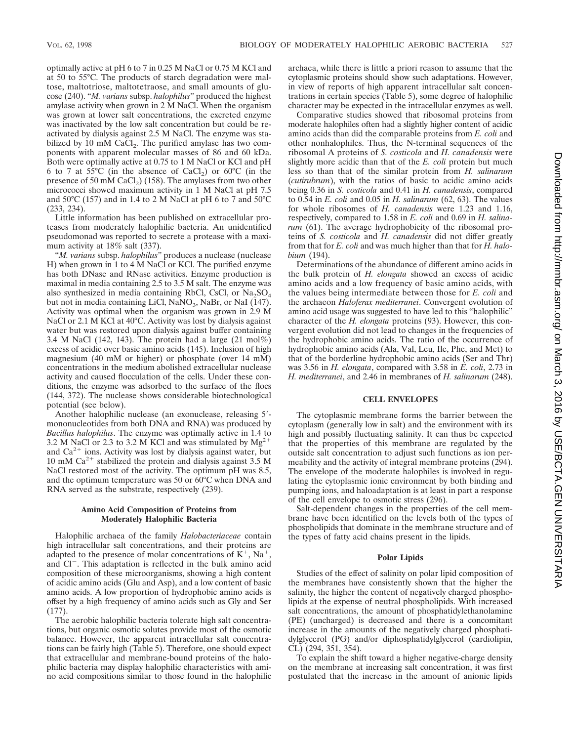optimally active at pH 6 to 7 in 0.25 M NaCl or 0.75 M KCl and at 50 to 55°C. The products of starch degradation were maltose, maltotriose, maltotetraose, and small amounts of glucose (240). "*M. varians* subsp. *halophilus*" produced the highest amylase activity when grown in 2 M NaCl. When the organism was grown at lower salt concentrations, the excreted enzyme was inactivated by the low salt concentration but could be reactivated by dialysis against 2.5 M NaCl. The enzyme was stabilized by 10 mM  $CaCl<sub>2</sub>$ . The purified amylase has two components with apparent molecular masses of 86 and 60 kDa. Both were optimally active at 0.75 to 1 M NaCl or KCl and pH 6 to 7 at 55 $\degree$ C (in the absence of CaCl<sub>2</sub>) or 60 $\degree$ C (in the presence of 50 mM  $CaCl<sub>2</sub>$ ) (158). The amylases from two other micrococci showed maximum activity in 1 M NaCl at pH 7.5 and 50°C (157) and in 1.4 to 2 M NaCl at pH 6 to 7 and 50°C (233, 234).

Little information has been published on extracellular proteases from moderately halophilic bacteria. An unidentified pseudomonad was reported to secrete a protease with a maximum activity at 18% salt (337).

"*M. varians* subsp. *halophilus*" produces a nuclease (nuclease H) when grown in  $1$  to  $4\overline{M}$  NaCl or KCl. The purified enzyme has both DNase and RNase activities. Enzyme production is maximal in media containing 2.5 to 3.5 M salt. The enzyme was also synthesized in media containing RbCl, CsCl, or  $Na<sub>2</sub>SO<sub>4</sub>$ but not in media containing LiCl, NaNO<sub>3</sub>, NaBr, or NaI (147). Activity was optimal when the organism was grown in 2.9 M NaCl or 2.1 M KCl at 40°C. Activity was lost by dialysis against water but was restored upon dialysis against buffer containing 3.4 M NaCl (142, 143). The protein had a large (21 mol%) excess of acidic over basic amino acids (145). Inclusion of high magnesium (40 mM or higher) or phosphate (over 14 mM) concentrations in the medium abolished extracellular nuclease activity and caused flocculation of the cells. Under these conditions, the enzyme was adsorbed to the surface of the flocs (144, 372). The nuclease shows considerable biotechnological potential (see below).

Another halophilic nuclease (an exonuclease, releasing 5'mononucleotides from both DNA and RNA) was produced by *Bacillus halophilus*. The enzyme was optimally active in 1.4 to 3.2 M NaCl or 2.3 to 3.2 M KCl and was stimulated by  $Mg^{2+}$ and  $Ca<sup>2+</sup>$  ions. Activity was lost by dialysis against water, but 10 mM  $Ca^{2+}$  stabilized the protein and dialysis against 3.5 M NaCl restored most of the activity. The optimum pH was 8.5, and the optimum temperature was 50 or 60°C when DNA and RNA served as the substrate, respectively (239).

#### **Amino Acid Composition of Proteins from Moderately Halophilic Bacteria**

Halophilic archaea of the family *Halobacteriaceae* contain high intracellular salt concentrations, and their proteins are adapted to the presence of molar concentrations of  $K^+$ , Na<sup>+</sup>, and  $Cl^-$ . This adaptation is reflected in the bulk amino acid composition of these microorganisms, showing a high content of acidic amino acids (Glu and Asp), and a low content of basic amino acids. A low proportion of hydrophobic amino acids is offset by a high frequency of amino acids such as Gly and Ser (177).

The aerobic halophilic bacteria tolerate high salt concentrations, but organic osmotic solutes provide most of the osmotic balance. However, the apparent intracellular salt concentrations can be fairly high (Table 5). Therefore, one should expect that extracellular and membrane-bound proteins of the halophilic bacteria may display halophilic characteristics with amino acid compositions similar to those found in the halophilic archaea, while there is little a priori reason to assume that the cytoplasmic proteins should show such adaptations. However, in view of reports of high apparent intracellular salt concentrations in certain species (Table 5), some degree of halophilic character may be expected in the intracellular enzymes as well.

Comparative studies showed that ribosomal proteins from moderate halophiles often had a slightly higher content of acidic amino acids than did the comparable proteins from *E. coli* and other nonhalophiles. Thus, the N-terminal sequences of the ribosomal A proteins of *S. costicola* and *H. canadensis* were slightly more acidic than that of the *E. coli* protein but much less so than that of the similar protein from *H. salinarum* (*cutirubrum*), with the ratios of basic to acidic amino acids being 0.36 in *S. costicola* and 0.41 in *H. canadensis*, compared to 0.54 in *E. coli* and 0.05 in *H. salinarum* (62, 63). The values for whole ribosomes of *H. canadensis* were 1.23 and 1.16, respectively, compared to 1.58 in *E. coli* and 0.69 in *H. salinarum* (61). The average hydrophobicity of the ribosomal proteins of *S. costicola* and *H. canadensis* did not differ greatly from that for *E. coli* and was much higher than that for *H. halobium* (194).

Determinations of the abundance of different amino acids in the bulk protein of *H. elongata* showed an excess of acidic amino acids and a low frequency of basic amino acids, with the values being intermediate between those for *E. coli* and the archaeon *Haloferax mediterranei*. Convergent evolution of amino acid usage was suggested to have led to this "halophilic" character of the *H. elongata* proteins (93). However, this convergent evolution did not lead to changes in the frequencies of the hydrophobic amino acids. The ratio of the occurrence of hydrophobic amino acids (Ala, Val, Leu, Ile, Phe, and Met) to that of the borderline hydrophobic amino acids (Ser and Thr) was 3.56 in *H. elongata*, compared with 3.58 in *E. coli*, 2.73 in *H. mediterranei*, and 2.46 in membranes of *H. salinarum* (248).

### **CELL ENVELOPES**

The cytoplasmic membrane forms the barrier between the cytoplasm (generally low in salt) and the environment with its high and possibly fluctuating salinity. It can thus be expected that the properties of this membrane are regulated by the outside salt concentration to adjust such functions as ion permeability and the activity of integral membrane proteins (294). The envelope of the moderate halophiles is involved in regulating the cytoplasmic ionic environment by both binding and pumping ions, and haloadaptation is at least in part a response of the cell envelope to osmotic stress (296).

Salt-dependent changes in the properties of the cell membrane have been identified on the levels both of the types of phospholipids that dominate in the membrane structure and of the types of fatty acid chains present in the lipids.

#### **Polar Lipids**

Studies of the effect of salinity on polar lipid composition of the membranes have consistently shown that the higher the salinity, the higher the content of negatively charged phospholipids at the expense of neutral phospholipids. With increased salt concentrations, the amount of phosphatidylethanolamine (PE) (uncharged) is decreased and there is a concomitant increase in the amounts of the negatively charged phosphatidylglycerol (PG) and/or diphosphatidylglycerol (cardiolipin, CL) (294, 351, 354).

To explain the shift toward a higher negative-charge density on the membrane at increasing salt concentration, it was first postulated that the increase in the amount of anionic lipids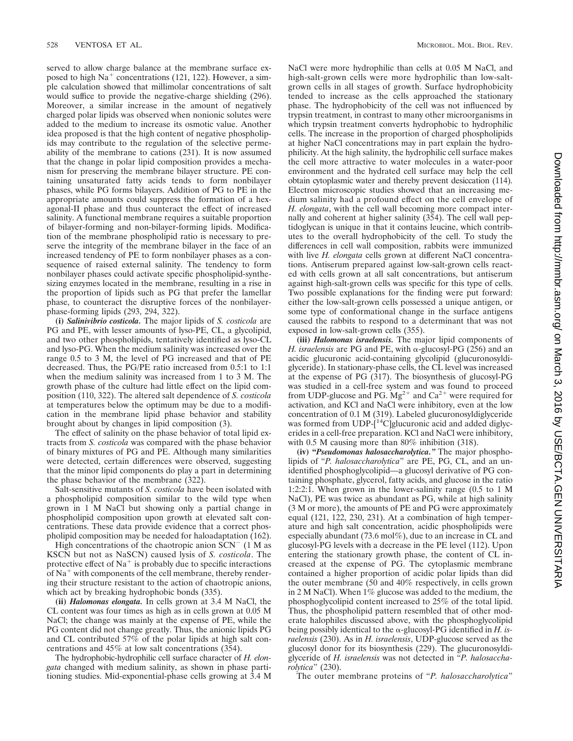served to allow charge balance at the membrane surface exposed to high  $Na<sup>+</sup>$  concentrations (121, 122). However, a simple calculation showed that millimolar concentrations of salt would suffice to provide the negative-charge shielding (296). Moreover, a similar increase in the amount of negatively charged polar lipids was observed when nonionic solutes were added to the medium to increase its osmotic value. Another idea proposed is that the high content of negative phospholipids may contribute to the regulation of the selective permeability of the membrane to cations (231). It is now assumed that the change in polar lipid composition provides a mechanism for preserving the membrane bilayer structure. PE containing unsaturated fatty acids tends to form nonbilayer phases, while PG forms bilayers. Addition of PG to PE in the appropriate amounts could suppress the formation of a hexagonal-II phase and thus counteract the effect of increased salinity. A functional membrane requires a suitable proportion of bilayer-forming and non-bilayer-forming lipids. Modification of the membrane phospholipid ratio is necessary to preserve the integrity of the membrane bilayer in the face of an increased tendency of PE to form nonbilayer phases as a consequence of raised external salinity. The tendency to form nonbilayer phases could activate specific phospholipid-synthesizing enzymes located in the membrane, resulting in a rise in the proportion of lipids such as PG that prefer the lamellar phase, to counteract the disruptive forces of the nonbilayerphase-forming lipids (293, 294, 322).

**(i)** *Salinivibrio costicola.* The major lipids of *S. costicola* are PG and PE, with lesser amounts of lyso-PE, CL, a glycolipid, and two other phospholipids, tentatively identified as lyso-CL and lyso-PG. When the medium salinity was increased over the range 0.5 to 3 M, the level of PG increased and that of PE decreased. Thus, the PG/PE ratio increased from 0.5:1 to 1:1 when the medium salinity was increased from 1 to 3 M. The growth phase of the culture had little effect on the lipid composition (110, 322). The altered salt dependence of *S. costicola* at temperatures below the optimum may be due to a modification in the membrane lipid phase behavior and stability brought about by changes in lipid composition (3).

The effect of salinity on the phase behavior of total lipid extracts from *S. costicola* was compared with the phase behavior of binary mixtures of PG and PE. Although many similarities were detected, certain differences were observed, suggesting that the minor lipid components do play a part in determining the phase behavior of the membrane (322).

Salt-sensitive mutants of *S. costicola* have been isolated with a phospholipid composition similar to the wild type when grown in 1 M NaCl but showing only a partial change in phospholipid composition upon growth at elevated salt concentrations. These data provide evidence that a correct phospholipid composition may be needed for haloadaptation (162).

High concentrations of the chaotropic anion  $SCN<sup>-</sup>$  (1 M as KSCN but not as NaSCN) caused lysis of *S. costicola*. The protective effect of  $Na<sup>+</sup>$  is probably due to specific interactions of  $Na<sup>+</sup>$  with components of the cell membrane, thereby rendering their structure resistant to the action of chaotropic anions, which act by breaking hydrophobic bonds (335).

**(ii)** *Halomonas elongata.* In cells grown at 3.4 M NaCl, the CL content was four times as high as in cells grown at 0.05 M NaCl; the change was mainly at the expense of PE, while the PG content did not change greatly. Thus, the anionic lipids PG and CL contributed 57% of the polar lipids at high salt concentrations and 45% at low salt concentrations (354).

The hydrophobic-hydrophilic cell surface character of *H. elongata* changed with medium salinity, as shown in phase partitioning studies. Mid-exponential-phase cells growing at 3.4 M NaCl were more hydrophilic than cells at 0.05 M NaCl, and high-salt-grown cells were more hydrophilic than low-saltgrown cells in all stages of growth. Surface hydrophobicity tended to increase as the cells approached the stationary phase. The hydrophobicity of the cell was not influenced by trypsin treatment, in contrast to many other microorganisms in which trypsin treatment converts hydrophobic to hydrophilic cells. The increase in the proportion of charged phospholipids at higher NaCl concentrations may in part explain the hydrophilicity. At the high salinity, the hydrophilic cell surface makes the cell more attractive to water molecules in a water-poor environment and the hydrated cell surface may help the cell obtain cytoplasmic water and thereby prevent desiccation (114). Electron microscopic studies showed that an increasing medium salinity had a profound effect on the cell envelope of *H. elongata*, with the cell wall becoming more compact internally and coherent at higher salinity (354). The cell wall peptidoglycan is unique in that it contains leucine, which contributes to the overall hydrophobicity of the cell. To study the differences in cell wall composition, rabbits were immunized with live *H. elongata* cells grown at different NaCl concentrations. Antiserum prepared against low-salt-grown cells reacted with cells grown at all salt concentrations, but antiserum against high-salt-grown cells was specific for this type of cells. Two possible explanations for the finding were put forward: either the low-salt-grown cells possessed a unique antigen, or some type of conformational change in the surface antigens caused the rabbits to respond to a determinant that was not exposed in low-salt-grown cells (355).

**(iii)** *Halomonas israelensis.* The major lipid components of *H. israelensis* are PG and PE, with  $\alpha$ -glucosyl-PG (256) and an acidic glucuronic acid-containing glycolipid (glucuronosyldiglyceride). In stationary-phase cells, the CL level was increased at the expense of PG (317). The biosynthesis of glucosyl-PG was studied in a cell-free system and was found to proceed from UDP-glucose and PG.  $Mg^{2+}$  and  $Ca^{2+}$  were required for activation, and KCl and NaCl were inhibitory, even at the low concentration of 0.1 M (319). Labeled glucuronosyldiglyceride was formed from UDP- $\int_0^{14}$ C glucuronic acid and added diglycerides in a cell-free preparation. KCl and NaCl were inhibitory, with 0.5 M causing more than 80% inhibition (318).

**(iv) "***Pseudomonas halosaccharolytica."* The major phospholipids of "*P. halosaccharolytica*" are PE, PG, CL, and an unidentified phosphoglycolipid—a glucosyl derivative of PG containing phosphate, glycerol, fatty acids, and glucose in the ratio 1:2:2:1. When grown in the lower-salinity range (0.5 to 1 M NaCl), PE was twice as abundant as PG, while at high salinity (3 M or more), the amounts of PE and PG were approximately equal (121, 122, 230, 231). At a combination of high temperature and high salt concentration, acidic phospholipids were especially abundant (73.6 mol%), due to an increase in CL and glucosyl-PG levels with a decrease in the PE level (112). Upon entering the stationary growth phase, the content of CL increased at the expense of PG. The cytoplasmic membrane contained a higher proportion of acidic polar lipids than did the outer membrane (50 and 40% respectively, in cells grown in 2 M NaCl). When 1% glucose was added to the medium, the phosphoglycolipid content increased to 25% of the total lipid. Thus, the phospholipid pattern resembled that of other moderate halophiles discussed above, with the phosphoglycolipid being possibly identical to the  $\alpha$ -glucosyl-PG identified in *H. israelensis* (230). As in *H. israelensis*, UDP-glucose served as the glucosyl donor for its biosynthesis (229). The glucuronosyldiglyceride of *H. israelensis* was not detected in "*P. halosaccharolytica*" (230).

The outer membrane proteins of "*P. halosaccharolytica*"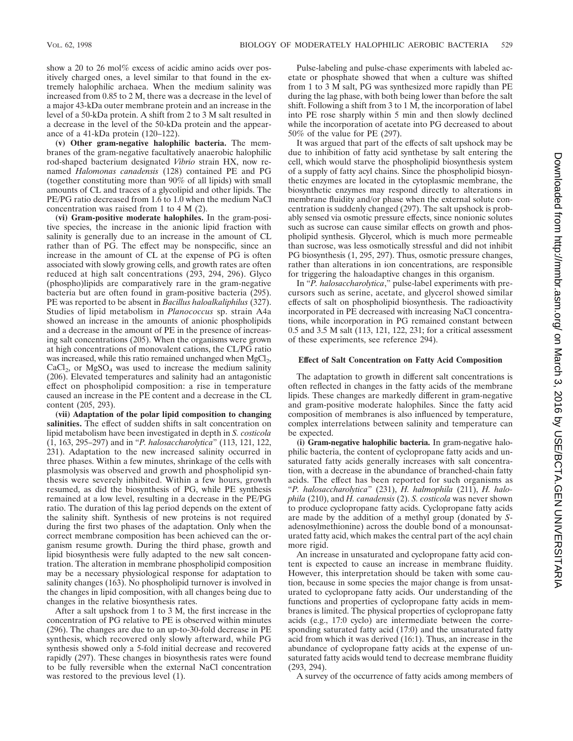show a 20 to 26 mol $\%$  excess of acidic amino acids over positively charged ones, a level similar to that found in the extremely halophilic archaea. When the medium salinity was increased from 0.85 to 2 M, there was a decrease in the level of a major 43-kDa outer membrane protein and an increase in the level of a 50-kDa protein. A shift from 2 to 3 M salt resulted in a decrease in the level of the 50-kDa protein and the appearance of a 41-kDa protein (120–122).

**(v) Other gram-negative halophilic bacteria.** The membranes of the gram-negative facultatively anaerobic halophilic rod-shaped bacterium designated *Vibrio* strain HX, now renamed *Halomonas canadensis* (128) contained PE and PG (together constituting more than 90% of all lipids) with small amounts of CL and traces of a glycolipid and other lipids. The PE/PG ratio decreased from 1.6 to 1.0 when the medium NaCl concentration was raised from 1 to 4 M (2).

**(vi) Gram-positive moderate halophiles.** In the gram-positive species, the increase in the anionic lipid fraction with salinity is generally due to an increase in the amount of CL rather than of PG. The effect may be nonspecific, since an increase in the amount of CL at the expense of PG is often associated with slowly growing cells, and growth rates are often reduced at high salt concentrations (293, 294, 296). Glyco (phospho)lipids are comparatively rare in the gram-negative bacteria but are often found in gram-positive bacteria (295). PE was reported to be absent in *Bacillus haloalkaliphilus* (327). Studies of lipid metabolism in *Planococcus* sp. strain A4a showed an increase in the amounts of anionic phospholipids and a decrease in the amount of PE in the presence of increasing salt concentrations (205). When the organisms were grown at high concentrations of monovalent cations, the CL/PG ratio was increased, while this ratio remained unchanged when  $MgCl<sub>2</sub>$ , CaCl<sub>2</sub>, or MgSO<sub>4</sub> was used to increase the medium salinity (206). Elevated temperatures and salinity had an antagonistic effect on phospholipid composition: a rise in temperature caused an increase in the PE content and a decrease in the CL content (205, 293).

**(vii) Adaptation of the polar lipid composition to changing salinities.** The effect of sudden shifts in salt concentration on lipid metabolism have been investigated in depth in *S. costicola* (1, 163, 295–297) and in "*P. halosaccharolytica*" (113, 121, 122, 231). Adaptation to the new increased salinity occurred in three phases. Within a few minutes, shrinkage of the cells with plasmolysis was observed and growth and phospholipid synthesis were severely inhibited. Within a few hours, growth resumed, as did the biosynthesis of PG, while PE synthesis remained at a low level, resulting in a decrease in the PE/PG ratio. The duration of this lag period depends on the extent of the salinity shift. Synthesis of new proteins is not required during the first two phases of the adaptation. Only when the correct membrane composition has been achieved can the organism resume growth. During the third phase, growth and lipid biosynthesis were fully adapted to the new salt concentration. The alteration in membrane phospholipid composition may be a necessary physiological response for adaptation to salinity changes (163). No phospholipid turnover is involved in the changes in lipid composition, with all changes being due to changes in the relative biosynthesis rates.

After a salt upshock from 1 to 3 M, the first increase in the concentration of PG relative to PE is observed within minutes (296). The changes are due to an up-to-30-fold decrease in PE synthesis, which recovered only slowly afterward, while PG synthesis showed only a 5-fold initial decrease and recovered rapidly (297). These changes in biosynthesis rates were found to be fully reversible when the external NaCl concentration was restored to the previous level (1).

Pulse-labeling and pulse-chase experiments with labeled acetate or phosphate showed that when a culture was shifted from 1 to 3 M salt, PG was synthesized more rapidly than PE during the lag phase, with both being lower than before the salt shift. Following a shift from 3 to 1 M, the incorporation of label into PE rose sharply within 5 min and then slowly declined while the incorporation of acetate into PG decreased to about 50% of the value for PE (297).

It was argued that part of the effects of salt upshock may be due to inhibition of fatty acid synthetase by salt entering the cell, which would starve the phospholipid biosynthesis system of a supply of fatty acyl chains. Since the phospholipid biosynthetic enzymes are located in the cytoplasmic membrane, the biosynthetic enzymes may respond directly to alterations in membrane fluidity and/or phase when the external solute concentration is suddenly changed (297). The salt upshock is probably sensed via osmotic pressure effects, since nonionic solutes such as sucrose can cause similar effects on growth and phospholipid synthesis. Glycerol, which is much more permeable than sucrose, was less osmotically stressful and did not inhibit PG biosynthesis (1, 295, 297). Thus, osmotic pressure changes, rather than alterations in ion concentrations, are responsible for triggering the haloadaptive changes in this organism.

In "*P. halosaccharolytica*," pulse-label experiments with precursors such as serine, acetate, and glycerol showed similar effects of salt on phospholipid biosynthesis. The radioactivity incorporated in PE decreased with increasing NaCl concentrations, while incorporation in PG remained constant between 0.5 and 3.5 M salt (113, 121, 122, 231; for a critical assessment of these experiments, see reference 294).

## **Effect of Salt Concentration on Fatty Acid Composition**

The adaptation to growth in different salt concentrations is often reflected in changes in the fatty acids of the membrane lipids. These changes are markedly different in gram-negative and gram-positive moderate halophiles. Since the fatty acid composition of membranes is also influenced by temperature, complex interrelations between salinity and temperature can be expected.

**(i) Gram-negative halophilic bacteria.** In gram-negative halophilic bacteria, the content of cyclopropane fatty acids and unsaturated fatty acids generally increases with salt concentration, with a decrease in the abundance of branched-chain fatty acids. The effect has been reported for such organisms as "*P. halosaccharolytica*" (231), *H. halmophila* (211), *H. halophila* (210), and *H. canadensis* (2). *S. costicola* was never shown to produce cyclopropane fatty acids. Cyclopropane fatty acids are made by the addition of a methyl group (donated by *S*adenosylmethionine) across the double bond of a monounsaturated fatty acid, which makes the central part of the acyl chain more rigid.

An increase in unsaturated and cyclopropane fatty acid content is expected to cause an increase in membrane fluidity. However, this interpretation should be taken with some caution, because in some species the major change is from unsaturated to cyclopropane fatty acids. Our understanding of the functions and properties of cyclopropane fatty acids in membranes is limited. The physical properties of cyclopropane fatty acids (e.g., 17:0 cyclo) are intermediate between the corresponding saturated fatty acid (17:0) and the unsaturated fatty acid from which it was derived (16:1). Thus, an increase in the abundance of cyclopropane fatty acids at the expense of unsaturated fatty acids would tend to decrease membrane fluidity (293, 294).

A survey of the occurrence of fatty acids among members of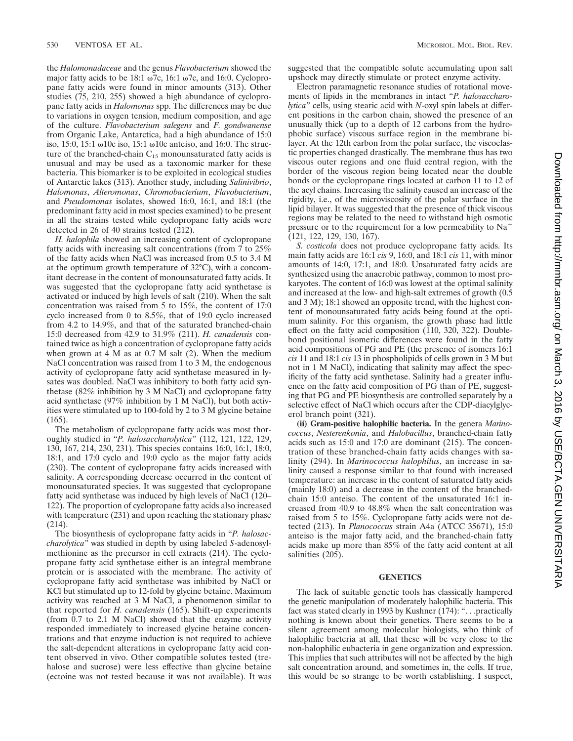the *Halomonadaceae* and the genus *Flavobacterium* showed the major fatty acids to be 18:1  $\omega$ 7c, 16:1  $\omega$ 7c, and 16:0. Cyclopropane fatty acids were found in minor amounts (313). Other studies (75, 210, 255) showed a high abundance of cyclopropane fatty acids in *Halomonas* spp. The differences may be due to variations in oxygen tension, medium composition, and age of the culture. *Flavobacterium salegens* and *F. gondwanense* from Organic Lake, Antarctica, had a high abundance of 15:0 iso, 15:0, 15:1  $\omega$ 10c iso, 15:1  $\omega$ 10c anteiso, and 16:0. The structure of the branched-chain  $C_{15}$  monounsaturated fatty acids is unusual and may be used as a taxonomic marker for these bacteria. This biomarker is to be exploited in ecological studies of Antarctic lakes (313). Another study, including *Salinivibrio*, *Halomonas*, *Alteromonas*, *Chromobacterium*, *Flavobacterium*, and *Pseudomonas* isolates, showed 16:0, 16:1, and 18:1 (the predominant fatty acid in most species examined) to be present in all the strains tested while cyclopropane fatty acids were detected in 26 of 40 strains tested (212).

*H. halophila* showed an increasing content of cyclopropane fatty acids with increasing salt concentrations (from 7 to 25% of the fatty acids when NaCl was increased from 0.5 to 3.4 M at the optimum growth temperature of 32°C), with a concomitant decrease in the content of monounsaturated fatty acids. It was suggested that the cyclopropane fatty acid synthetase is activated or induced by high levels of salt (210). When the salt concentration was raised from 5 to 15%, the content of 17:0 cyclo increased from 0 to 8.5%, that of 19:0 cyclo increased from 4.2 to 14.9%, and that of the saturated branched-chain 15:0 decreased from 42.9 to 31.9% (211). *H. canadensis* contained twice as high a concentration of cyclopropane fatty acids when grown at 4 M as at 0.7 M salt (2). When the medium NaCl concentration was raised from 1 to 3 M, the endogenous activity of cyclopropane fatty acid synthetase measured in lysates was doubled. NaCl was inhibitory to both fatty acid synthetase (82% inhibition by 3 M NaCl) and cyclopropane fatty acid synthetase (97% inhibition by 1 M NaCl), but both activities were stimulated up to 100-fold by 2 to 3 M glycine betaine (165).

The metabolism of cyclopropane fatty acids was most thoroughly studied in "*P. halosaccharolytica*" (112, 121, 122, 129, 130, 167, 214, 230, 231). This species contains 16:0, 16:1, 18:0, 18:1, and 17:0 cyclo and 19:0 cyclo as the major fatty acids (230). The content of cyclopropane fatty acids increased with salinity. A corresponding decrease occurred in the content of monounsaturated species. It was suggested that cyclopropane fatty acid synthetase was induced by high levels of NaCl (120– 122). The proportion of cyclopropane fatty acids also increased with temperature (231) and upon reaching the stationary phase (214).

The biosynthesis of cyclopropane fatty acids in "*P. halosaccharolytica*" was studied in depth by using labeled *S*-adenosylmethionine as the precursor in cell extracts (214). The cyclopropane fatty acid synthetase either is an integral membrane protein or is associated with the membrane. The activity of cyclopropane fatty acid synthetase was inhibited by NaCl or KCl but stimulated up to 12-fold by glycine betaine. Maximum activity was reached at 3 M NaCl, a phenomenon similar to that reported for *H. canadensis* (165). Shift-up experiments (from 0.7 to 2.1 M NaCl) showed that the enzyme activity responded immediately to increased glycine betaine concentrations and that enzyme induction is not required to achieve the salt-dependent alterations in cyclopropane fatty acid content observed in vivo. Other compatible solutes tested (trehalose and sucrose) were less effective than glycine betaine (ectoine was not tested because it was not available). It was

suggested that the compatible solute accumulating upon salt upshock may directly stimulate or protect enzyme activity.

Electron paramagnetic resonance studies of rotational movements of lipids in the membranes in intact "*P. halosaccharolytica*" cells, using stearic acid with *N*-oxyl spin labels at different positions in the carbon chain, showed the presence of an unusually thick (up to a depth of 12 carbons from the hydrophobic surface) viscous surface region in the membrane bilayer. At the 12th carbon from the polar surface, the viscoelastic properties changed drastically. The membrane thus has two viscous outer regions and one fluid central region, with the border of the viscous region being located near the double bonds or the cyclopropane rings located at carbon 11 to 12 of the acyl chains. Increasing the salinity caused an increase of the rigidity, i.e., of the microviscosity of the polar surface in the lipid bilayer. It was suggested that the presence of thick viscous regions may be related to the need to withstand high osmotic pressure or to the requirement for a low permeability to  $Na<sup>+</sup>$ (121, 122, 129, 130, 167).

*S. costicola* does not produce cyclopropane fatty acids. Its main fatty acids are 16:1 *cis* 9, 16:0, and 18:1 *cis* 11, with minor amounts of 14:0, 17:1, and 18:0. Unsaturated fatty acids are synthesized using the anaerobic pathway, common to most prokaryotes. The content of 16:0 was lowest at the optimal salinity and increased at the low- and high-salt extremes of growth (0.5 and 3 M); 18:1 showed an opposite trend, with the highest content of monounsaturated fatty acids being found at the optimum salinity. For this organism, the growth phase had little effect on the fatty acid composition (110, 320, 322). Doublebond positional isomeric differences were found in the fatty acid compositions of PG and PE (the presence of isomers 16:1 *cis* 11 and 18:1 *cis* 13 in phospholipids of cells grown in 3 M but not in 1 M NaCl), indicating that salinity may affect the specificity of the fatty acid synthetase. Salinity had a greater influence on the fatty acid composition of PG than of PE, suggesting that PG and PE biosynthesis are controlled separately by a selective effect of NaCl which occurs after the CDP-diacylglycerol branch point (321).

**(ii) Gram-positive halophilic bacteria.** In the genera *Marinococcus*, *Nesterenkonia*, and *Halobacillus*, branched-chain fatty acids such as 15:0 and 17:0 are dominant (215). The concentration of these branched-chain fatty acids changes with salinity (294). In *Marinococcus halophilus*, an increase in salinity caused a response similar to that found with increased temperature: an increase in the content of saturated fatty acids (mainly 18:0) and a decrease in the content of the branchedchain 15:0 anteiso. The content of the unsaturated 16:1 increased from 40.9 to 48.8% when the salt concentration was raised from 5 to 15%. Cyclopropane fatty acids were not detected (213). In *Planococcus* strain A4a (ATCC 35671), 15:0 anteiso is the major fatty acid, and the branched-chain fatty acids make up more than 85% of the fatty acid content at all salinities (205).

#### **GENETICS**

The lack of suitable genetic tools has classically hampered the genetic manipulation of moderately halophilic bacteria. This fact was stated clearly in 1993 by Kushner  $(174)$ : "... practically nothing is known about their genetics. There seems to be a silent agreement among molecular biologists, who think of halophilic bacteria at all, that these will be very close to the non-halophilic eubacteria in gene organization and expression. This implies that such attributes will not be affected by the high salt concentration around, and sometimes in, the cells. If true, this would be so strange to be worth establishing. I suspect,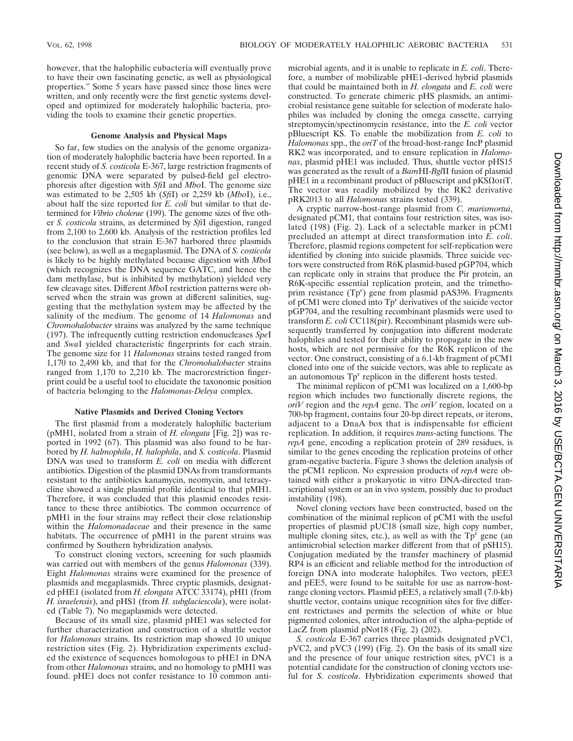however, that the halophilic eubacteria will eventually prove to have their own fascinating genetic, as well as physiological properties." Some 5 years have passed since those lines were written, and only recently were the first genetic systems developed and optimized for moderately halophilic bacteria, providing the tools to examine their genetic properties.

#### **Genome Analysis and Physical Maps**

So far, few studies on the analysis of the genome organization of moderately halophilic bacteria have been reported. In a recent study of *S. costicola* E-367, large restriction fragments of genomic DNA were separated by pulsed-field gel electrophoresis after digestion with *Sfi*I and *Mbo*I. The genome size was estimated to be 2,505 kb (*Sfi*I) or 2,259 kb (*Mbo*I), i.e., about half the size reported for *E. coli* but similar to that determined for *Vibrio cholerae* (199). The genome sizes of five other *S. costicola* strains, as determined by *Sfi*I digestion, ranged from 2,100 to 2,600 kb. Analysis of the restriction profiles led to the conclusion that strain E-367 harbored three plasmids (see below), as well as a megaplasmid. The DNA of *S. costicola* is likely to be highly methylated because digestion with *Mbo*I (which recognizes the DNA sequence GATC, and hence the dam methylase, but is inhibited by methylation) yielded very few cleavage sites. Different *Mbo*I restriction patterns were observed when the strain was grown at different salinities, suggesting that the methylation system may be affected by the salinity of the medium. The genome of 14 *Halomonas* and *Chromohalobacter* strains was analyzed by the same technique (197). The infrequently cutting restriction endonucleases *Spe*I and *Swa*I yielded characteristic fingerprints for each strain. The genome size for 11 *Halomonas* strains tested ranged from 1,170 to 2,490 kb, and that for the *Chromohalobacter* strains ranged from 1,170 to 2,210 kb. The macrorestriction fingerprint could be a useful tool to elucidate the taxonomic position of bacteria belonging to the *Halomonas-Deleya* complex.

### **Native Plasmids and Derived Cloning Vectors**

The first plasmid from a moderately halophilic bacterium (pMH1, isolated from a strain of *H. elongata* [Fig. 2]) was reported in 1992 (67). This plasmid was also found to be harbored by *H. halmophila*, *H. halophila*, and *S. costicola*. Plasmid DNA was used to transform *E. coli* on media with different antibiotics. Digestion of the plasmid DNAs from transformants resistant to the antibiotics kanamycin, neomycin, and tetracycline showed a single plasmid profile identical to that pMH1. Therefore, it was concluded that this plasmid encodes resistance to these three antibiotics. The common occurrence of pMH1 in the four strains may reflect their close relationship within the *Halomonadaceae* and their presence in the same habitats. The occurrence of pMH1 in the parent strains was confirmed by Southern hybridization analysis.

To construct cloning vectors, screening for such plasmids was carried out with members of the genus *Halomonas* (339). Eight *Halomonas* strains were examined for the presence of plasmids and megaplasmids. Three cryptic plasmids, designated pHE1 (isolated from *H. elongata* ATCC 33174), pHI1 (from *H. israelensis*), and pHS1 (from *H. subglaciescola*), were isolated (Table 7). No megaplasmids were detected.

Because of its small size, plasmid pHE1 was selected for further characterization and construction of a shuttle vector for *Halomonas* strains. Its restriction map showed 10 unique restriction sites (Fig. 2). Hybridization experiments excluded the existence of sequences homologous to pHE1 in DNA from other *Halomonas* strains, and no homology to pMH1 was found. pHE1 does not confer resistance to 10 common anti-

microbial agents, and it is unable to replicate in *E. coli*. Therefore, a number of mobilizable pHE1-derived hybrid plasmids that could be maintained both in *H. elongata* and *E. coli* were constructed. To generate chimeric pHS plasmids, an antimicrobial resistance gene suitable for selection of moderate halophiles was included by cloning the omega cassette, carrying streptomycin/spectinomycin resistance, into the *E. coli* vector pBluescript KS. To enable the mobilization from *E. coli* to *Halomonas* spp., the *oriT* of the broad-host-range IncP plasmid RK2 was incorporated, and to ensure replication in *Halomonas*, plasmid pHE1 was included. Thus, shuttle vector pHS15 was generated as the result of a *Bam*HI-*Bgl*II fusion of plasmid  $pHE1$  in a recombinant product of pBluescript and  $pKS\Omega$ oriT. The vector was readily mobilized by the RK2 derivative pRK2013 to all *Halomonas* strains tested (339).

A cryptic narrow-host-range plasmid from *C. marismortui*, designated pCM1, that contains four restriction sites, was isolated (198) (Fig. 2). Lack of a selectable marker in pCM1 precluded an attempt at direct transformation into *E. coli*. Therefore, plasmid regions competent for self-replication were identified by cloning into suicide plasmids. Three suicide vectors were constructed from R6K plasmid-based pGP704, which can replicate only in strains that produce the Pir protein, an R6K-specific essential replication protein, and the trimethoprim resistance (Tp<sup>r</sup>) gene from plasmid pAS396. Fragments of  $pCM1$  were cloned into  $Tp<sup>r</sup>$  derivatives of the suicide vector pGP704, and the resulting recombinant plasmids were used to transform *E. coli* CC118(pir). Recombinant plasmids were subsequently transferred by conjugation into different moderate halophiles and tested for their ability to propagate in the new hosts, which are not permissive for the R6K replicon of the vector. One construct, consisting of a 6.1-kb fragment of pCM1 cloned into one of the suicide vectors, was able to replicate as an autonomous  $Tp<sup>r</sup>$  replicon in the different hosts tested.

The minimal replicon of pCM1 was localized on a 1,600-bp region which includes two functionally discrete regions, the *oriV* region and the *repA* gene. The *oriV* region, located on a 700-bp fragment, contains four 20-bp direct repeats, or iterons, adjacent to a DnaA box that is indispensable for efficient replication. In addition, it requires *trans*-acting functions. The *repA* gene, encoding a replication protein of 289 residues, is similar to the genes encoding the replication proteins of other gram-negative bacteria. Figure 3 shows the deletion analysis of the pCM1 replicon. No expression products of *repA* were obtained with either a prokaryotic in vitro DNA-directed transcriptional system or an in vivo system, possibly due to product instability (198).

Novel cloning vectors have been constructed, based on the combination of the minimal replicon of pCM1 with the useful properties of plasmid pUC18 (small size, high copy number, multiple cloning sites, etc.), as well as with the  $Tp<sup>r</sup>$  gene (an antimicrobial selection marker different from that of pSH15). Conjugation mediated by the transfer machinery of plasmid RP4 is an efficient and reliable method for the introduction of foreign DNA into moderate halophiles. Two vectors, pEE3 and pEE5, were found to be suitable for use as narrow-hostrange cloning vectors. Plasmid pEE5, a relatively small (7.0-kb) shuttle vector, contains unique recognition sites for five different restrictases and permits the selection of white or blue pigmented colonies, after introduction of the alpha-peptide of LacZ from plasmid pNot18 (Fig. 2) (202).

*S. costicola* E-367 carries three plasmids designated pVC1, pVC2, and pVC3 (199) (Fig. 2). On the basis of its small size and the presence of four unique restriction sites, pVC1 is a potential candidate for the construction of cloning vectors useful for *S. costicola*. Hybridization experiments showed that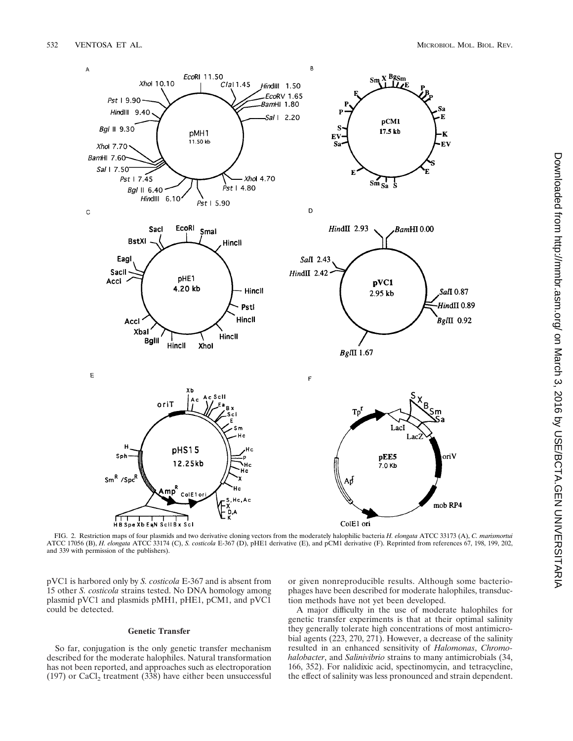

FIG. 2. Restriction maps of four plasmids and two derivative cloning vectors from the moderately halophilic bacteria *H. elongata* ATCC 33173 (A), *C. marismortui* ATCC 17056 (B), *H. elongata* ATCC 33174 (C), *S. costicola* E-367 (D), pHE1 derivative (E), and pCM1 derivative (F). Reprinted from references 67, 198, 199, 202, and 339 with permission of the publishers).

pVC1 is harbored only by *S. costicola* E-367 and is absent from 15 other *S. costicola* strains tested. No DNA homology among plasmid pVC1 and plasmids pMH1, pHE1, pCM1, and pVC1 could be detected.

### **Genetic Transfer**

So far, conjugation is the only genetic transfer mechanism described for the moderate halophiles. Natural transformation has not been reported, and approaches such as electroporation (197) or  $CaCl<sub>2</sub>$  treatment (338) have either been unsuccessful

or given nonreproducible results. Although some bacteriophages have been described for moderate halophiles, transduction methods have not yet been developed.

A major difficulty in the use of moderate halophiles for genetic transfer experiments is that at their optimal salinity they generally tolerate high concentrations of most antimicrobial agents (223, 270, 271). However, a decrease of the salinity resulted in an enhanced sensitivity of *Halomonas*, *Chromohalobacter*, and *Salinivibrio* strains to many antimicrobials (34, 166, 352). For nalidixic acid, spectinomycin, and tetracycline, the effect of salinity was less pronounced and strain dependent.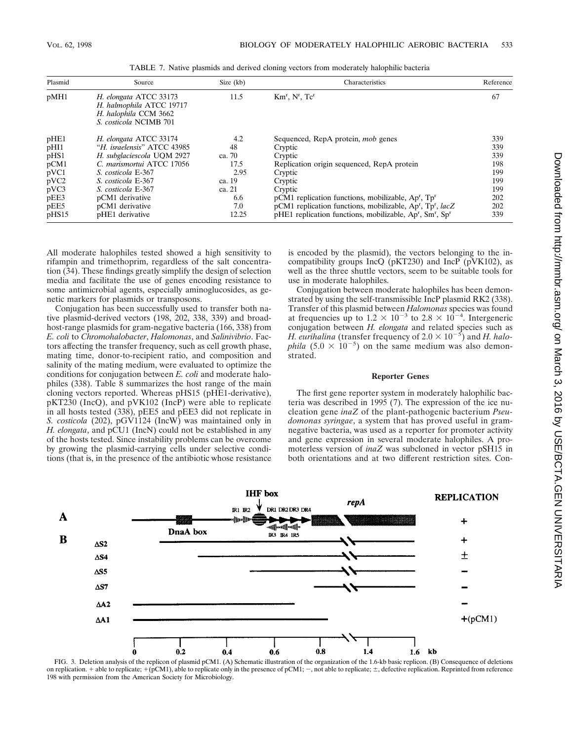| Plasmid          | Source                                                                                                | Size (kb) | Characteristics                                                 | Reference |
|------------------|-------------------------------------------------------------------------------------------------------|-----------|-----------------------------------------------------------------|-----------|
| pMH1             | H. elongata ATCC 33173<br>H. halmophila ATCC 19717<br>H. halophila CCM 3662<br>S. costicola NCIMB 701 | 11.5      | Km <sup>r</sup> , N <sup>r</sup> , Tc <sup>r</sup>              | 67        |
| pHE1             | H. elongata ATCC 33174                                                                                | 4.2       | Sequenced, RepA protein, mob genes                              | 339       |
| pHI1             | "H. israelensis" ATCC 43985                                                                           | 48        | Cryptic                                                         | 339       |
| pHS1             | H. subglaciescola UOM 2927                                                                            | ca. 70    | Cryptic                                                         | 339       |
| pCM1             | C. marismortui ATCC 17056                                                                             | 17.5      | Replication origin sequenced, RepA protein                      | 198       |
| pVC1             | S. costicola E-367                                                                                    | 2.95      | Cryptic                                                         | 199       |
| pVC <sub>2</sub> | S. costicola E-367                                                                                    | ca. 19    | Cryptic                                                         | 199       |
| pVC3             | S. costicola E-367                                                                                    | ca. 21    | Cryptic                                                         | 199       |
| pEE3             | pCM1 derivative                                                                                       | 6.6       | $pCM1$ replication functions, mobilizable, $Apr$ , $Tpr$        | 202       |
| pEE5             | pCM1 derivative                                                                                       | 7.0       | pCM1 replication functions, mobilizable, $Apr$ , $Tpr$ , $lacZ$ | 202       |
| pHS15            | pHE1 derivative                                                                                       | 12.25     | pHE1 replication functions, mobilizable, $Apr$ , $Smr$ , $Spr$  | 339       |

TABLE 7. Native plasmids and derived cloning vectors from moderately halophilic bacteria

All moderate halophiles tested showed a high sensitivity to rifampin and trimethoprim, regardless of the salt concentration (34). These findings greatly simplify the design of selection media and facilitate the use of genes encoding resistance to some antimicrobial agents, especially aminoglucosides, as genetic markers for plasmids or transposons.

Conjugation has been successfully used to transfer both native plasmid-derived vectors (198, 202, 338, 339) and broadhost-range plasmids for gram-negative bacteria (166, 338) from *E. coli* to *Chromohalobacter*, *Halomonas*, and *Salinivibrio*. Factors affecting the transfer frequency, such as cell growth phase, mating time, donor-to-recipient ratio, and composition and salinity of the mating medium, were evaluated to optimize the conditions for conjugation between *E. coli* and moderate halophiles (338). Table 8 summarizes the host range of the main cloning vectors reported. Whereas pHS15 (pHE1-derivative), pKT230 (IncQ), and pVK102 (IncP) were able to replicate in all hosts tested (338), pEE5 and pEE3 did not replicate in *S. costicola* (202), pGV1124 (IncW) was maintained only in *H. elongata*, and pCU1 (IncN) could not be established in any of the hosts tested. Since instability problems can be overcome by growing the plasmid-carrying cells under selective conditions (that is, in the presence of the antibiotic whose resistance

is encoded by the plasmid), the vectors belonging to the incompatibility groups IncQ (pKT230) and IncP (pVK102), as well as the three shuttle vectors, seem to be suitable tools for use in moderate halophiles.

Conjugation between moderate halophiles has been demonstrated by using the self-transmissible IncP plasmid RK2 (338). Transfer of this plasmid between *Halomonas* species was found at frequencies up to  $1.2 \times 10^{-3}$  to  $2.8 \times 10^{-4}$ . Intergeneric conjugation between *H. elongata* and related species such as *H. eurihalina* (transfer frequency of  $2.0 \times 10^{-5}$ ) and *H. halophila*  $(5.0 \times 10^{-5})$  on the same medium was also demonstrated.

#### **Reporter Genes**

The first gene reporter system in moderately halophilic bacteria was described in 1995 (7). The expression of the ice nucleation gene *inaZ* of the plant-pathogenic bacterium *Pseudomonas syringae*, a system that has proved useful in gramnegative bacteria, was used as a reporter for promoter activity and gene expression in several moderate halophiles. A promoterless version of *inaZ* was subcloned in vector pSH15 in both orientations and at two different restriction sites. Con-



FIG. 3. Deletion analysis of the replicon of plasmid pCM1. (A) Schematic illustration of the organization of the 1.6-kb basic replicon. (B) Consequence of deletions on replication. + able to replicate;  $+(pCM1)$ , able to replicate only in the presence of  $pCM1$ ;  $-,$  not able to replicate;  $\pm$ , defective replication. Reprinted from reference 198 with permission from the American Society for Microbiology.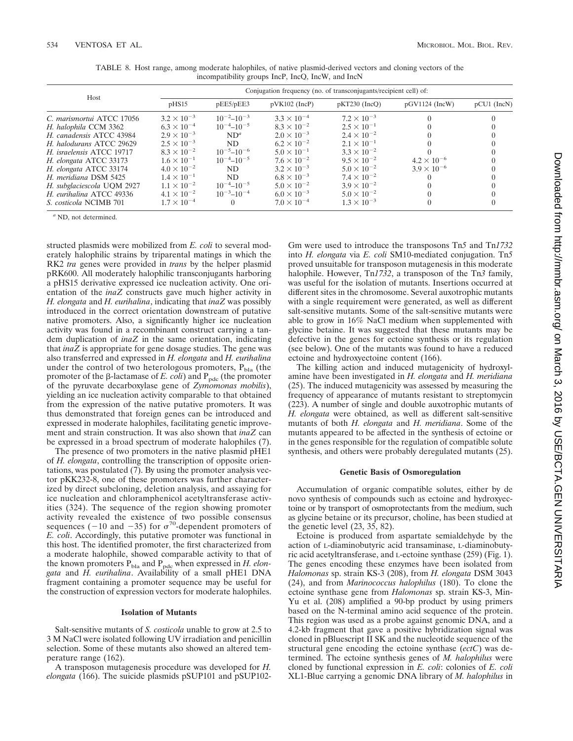|                            | Conjugation frequency (no. of transconjugants/recipient cell) of: |                     |                      |                      |                      |               |  |  |  |
|----------------------------|-------------------------------------------------------------------|---------------------|----------------------|----------------------|----------------------|---------------|--|--|--|
| Host                       | pHS15                                                             | pEE5/pEE3           | $pVK102$ (IncP)      | $pKT230$ (IncQ)      | $pGV1124$ (IncW)     | $pCU1$ (IncN) |  |  |  |
| C. marismortui ATCC 17056  | $3.2 \times 10^{-3}$                                              | $10^{-2} - 10^{-3}$ | $3.3 \times 10^{-4}$ | $7.2 \times 10^{-3}$ |                      |               |  |  |  |
| H. halophila CCM 3362      | $6.3 \times 10^{-4}$                                              | $10^{-4} - 10^{-5}$ | $8.3 \times 10^{-2}$ | $2.5 \times 10^{-1}$ |                      |               |  |  |  |
| H. canadensis ATCC 43984   | $2.9 \times 10^{-3}$                                              | $ND^a$              | $2.0 \times 10^{-3}$ | $2.4 \times 10^{-2}$ |                      |               |  |  |  |
| H. halodurans ATCC 29629   | $2.5 \times 10^{-3}$                                              | ND.                 | $6.2 \times 10^{-2}$ | $2.1 \times 10^{-1}$ |                      |               |  |  |  |
| H. israelensis ATCC 19717  | $8.3 \times 10^{-2}$                                              | $10^{-5} - 10^{-6}$ | $5.0 \times 10^{-1}$ | $3.3 \times 10^{-2}$ |                      |               |  |  |  |
| H. elongata ATCC 33173     | $1.6 \times 10^{-1}$                                              | $10^{-4} - 10^{-5}$ | $7.6 \times 10^{-2}$ | $9.5 \times 10^{-2}$ | $4.2 \times 10^{-6}$ |               |  |  |  |
| H. elongata ATCC 33174     | $4.0 \times 10^{-2}$                                              | ND.                 | $3.2 \times 10^{-3}$ | $5.0 \times 10^{-2}$ | $3.9 \times 10^{-6}$ |               |  |  |  |
| H. meridiana DSM 5425      | $1.4 \times 10^{-1}$                                              | ND.                 | $6.8 \times 10^{-3}$ | $7.4 \times 10^{-2}$ |                      |               |  |  |  |
| H. subglaciescola UOM 2927 | $1.1 \times 10^{-2}$                                              | $10^{-4} - 10^{-5}$ | $5.0 \times 10^{-2}$ | $3.9 \times 10^{-2}$ |                      |               |  |  |  |
| H. eurihalina ATCC 49336   | $4.1 \times 10^{-2}$                                              | $10^{-3} - 10^{-4}$ | $6.0 \times 10^{-3}$ | $5.0 \times 10^{-2}$ |                      |               |  |  |  |
| S. costicola NCIMB 701     | $1.7 \times 10^{-4}$                                              | $\theta$            | $7.0 \times 10^{-4}$ | $1.3 \times 10^{-3}$ |                      |               |  |  |  |

TABLE 8. Host range, among moderate halophiles, of native plasmid-derived vectors and cloning vectors of the incompatibility groups IncP, IncQ, IncW, and IncN

*<sup>a</sup>* ND, not determined.

structed plasmids were mobilized from *E. coli* to several moderately halophilic strains by triparental matings in which the RK2 *tra* genes were provided in *trans* by the helper plasmid pRK600. All moderately halophilic transconjugants harboring a pHS15 derivative expressed ice nucleation activity. One orientation of the *inaZ* constructs gave much higher activity in *H. elongata* and *H. eurihalina*, indicating that *inaZ* was possibly introduced in the correct orientation downstream of putative native promoters. Also, a significantly higher ice nucleation activity was found in a recombinant construct carrying a tandem duplication of *inaZ* in the same orientation, indicating that *inaZ* is appropriate for gene dosage studies. The gene was also transferred and expressed in *H. elongata* and *H. eurihalina* under the control of two heterologous promoters,  $P_{b1a}$  (the promoter of the  $\beta$ -lactamase of *E. coli*) and  $P_{\text{pdc}}$  (the promoter of the pyruvate decarboxylase gene of *Zymomonas mobilis*), yielding an ice nucleation activity comparable to that obtained from the expression of the native putative promoters. It was thus demonstrated that foreign genes can be introduced and expressed in moderate halophiles, facilitating genetic improvement and strain construction. It was also shown that *inaZ* can be expressed in a broad spectrum of moderate halophiles (7).

The presence of two promoters in the native plasmid pHE1 of *H. elongata*, controlling the transcription of opposite orientations, was postulated (7). By using the promoter analysis vector pKK232-8, one of these promoters was further characterized by direct subcloning, deletion analysis, and assaying for ice nucleation and chloramphenicol acetyltransferase activities (324). The sequence of the region showing promoter activity revealed the existence of two possible consensus sequences (-10 and -35) for  $\sigma^{70}$ -dependent promoters of *E. coli*. Accordingly, this putative promoter was functional in this host. The identified promoter, the first characterized from a moderate halophile, showed comparable activity to that of the known promoters  $P_{bla}$  and  $P_{pdc}$  when expressed in *H. elongata* and *H. eurihalina*. Availability of a small pHE1 DNA fragment containing a promoter sequence may be useful for the construction of expression vectors for moderate halophiles.

#### **Isolation of Mutants**

Salt-sensitive mutants of *S. costicola* unable to grow at 2.5 to 3 M NaCl were isolated following UV irradiation and penicillin selection. Some of these mutants also showed an altered temperature range (162).

A transposon mutagenesis procedure was developed for *H. elongata* (166). The suicide plasmids pSUP101 and pSUP102-

Gm were used to introduce the transposons Tn*5* and Tn*1732* into *H. elongata* via *E. coli* SM10-mediated conjugation. Tn*5* proved unsuitable for transposon mutagenesis in this moderate halophile. However, Tn*1732*, a transposon of the Tn*3* family, was useful for the isolation of mutants. Insertions occurred at different sites in the chromosome. Several auxotrophic mutants with a single requirement were generated, as well as different salt-sensitive mutants. Some of the salt-sensitive mutants were able to grow in 16% NaCl medium when supplemented with glycine betaine. It was suggested that these mutants may be defective in the genes for ectoine synthesis or its regulation (see below). One of the mutants was found to have a reduced ectoine and hydroxyectoine content (166).

The killing action and induced mutagenicity of hydroxylamine have been investigated in *H. elongata* and *H. meridiana* (25). The induced mutagenicity was assessed by measuring the frequency of appearance of mutants resistant to streptomycin (223). A number of single and double auxotrophic mutants of *H. elongata* were obtained, as well as different salt-sensitive mutants of both *H. elongata* and *H. meridiana*. Some of the mutants appeared to be affected in the synthesis of ectoine or in the genes responsible for the regulation of compatible solute synthesis, and others were probably deregulated mutants (25).

#### **Genetic Basis of Osmoregulation**

Accumulation of organic compatible solutes, either by de novo synthesis of compounds such as ectoine and hydroxyectoine or by transport of osmoprotectants from the medium, such as glycine betaine or its precursor, choline, has been studied at the genetic level (23, 35, 82).

Ectoine is produced from aspartate semialdehyde by the action of L-diaminobutyric acid transaminase, L-diaminobutyric acid acetyltransferase, and L-ectoine synthase (259) (Fig. 1). The genes encoding these enzymes have been isolated from *Halomonas* sp. strain KS-3 (208), from *H. elongata* DSM 3043 (24), and from *Marinococcus halophilus* (180). To clone the ectoine synthase gene from *Halomonas* sp. strain KS-3, Min-Yu et al. (208) amplified a 90-bp product by using primers based on the N-terminal amino acid sequence of the protein. This region was used as a probe against genomic DNA, and a 4.2-kb fragment that gave a positive hybridization signal was cloned in pBluescript II SK and the nucleotide sequence of the structural gene encoding the ectoine synthase (*ectC*) was determined. The ectoine synthesis genes of *M. halophilus* were cloned by functional expression in *E. coli*: colonies of *E. coli* XL1-Blue carrying a genomic DNA library of *M. halophilus* in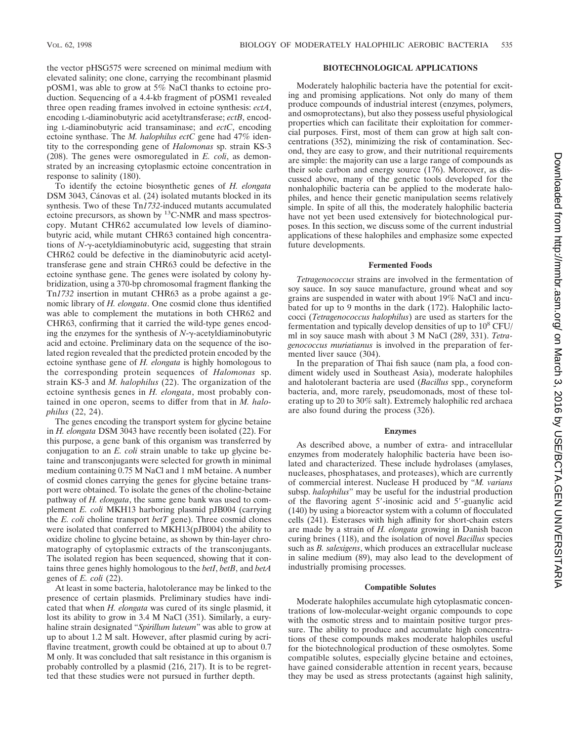the vector pHSG575 were screened on minimal medium with elevated salinity; one clone, carrying the recombinant plasmid pOSM1, was able to grow at 5% NaCl thanks to ectoine production. Sequencing of a 4.4-kb fragment of pOSM1 revealed three open reading frames involved in ectoine synthesis: *ectA*, encoding L-diaminobutyric acid acetyltransferase; *ectB*, encoding L-diaminobutyric acid transaminase; and *ectC*, encoding ectoine synthase. The *M. halophilus ectC* gene had 47% identity to the corresponding gene of *Halomonas* sp. strain KS-3 (208). The genes were osmoregulated in *E. coli*, as demonstrated by an increasing cytoplasmic ectoine concentration in response to salinity (180).

To identify the ectoine biosynthetic genes of *H. elongata* DSM 3043, Cánovas et al. (24) isolated mutants blocked in its synthesis. Two of these Tn*1732*-induced mutants accumulated ectoine precursors, as shown by 13C-NMR and mass spectroscopy. Mutant CHR62 accumulated low levels of diaminobutyric acid, while mutant CHR63 contained high concentrations of  $N$ - $\gamma$ -acetyldiaminobutyric acid, suggesting that strain CHR62 could be defective in the diaminobutyric acid acetyltransferase gene and strain CHR63 could be defective in the ectoine synthase gene. The genes were isolated by colony hybridization, using a 370-bp chromosomal fragment flanking the Tn*1732* insertion in mutant CHR63 as a probe against a genomic library of *H. elongata*. One cosmid clone thus identified was able to complement the mutations in both CHR62 and CHR63, confirming that it carried the wild-type genes encoding the enzymes for the synthesis of  $N-\gamma$ -acetyldiaminobutyric acid and ectoine. Preliminary data on the sequence of the isolated region revealed that the predicted protein encoded by the ectoine synthase gene of *H. elongata* is highly homologous to the corresponding protein sequences of *Halomonas* sp. strain KS-3 and *M. halophilus* (22). The organization of the ectoine synthesis genes in *H. elongata*, most probably contained in one operon, seems to differ from that in *M. halophilus* (22, 24).

The genes encoding the transport system for glycine betaine in *H. elongata* DSM 3043 have recently been isolated (22). For this purpose, a gene bank of this organism was transferred by conjugation to an *E. coli* strain unable to take up glycine betaine and transconjugants were selected for growth in minimal medium containing 0.75 M NaCl and 1 mM betaine. A number of cosmid clones carrying the genes for glycine betaine transport were obtained. To isolate the genes of the choline-betaine pathway of *H. elongata*, the same gene bank was used to complement *E. coli* MKH13 harboring plasmid pJB004 (carrying the *E. coli* choline transport *betT* gene). Three cosmid clones were isolated that conferred to MKH13(pJB004) the ability to oxidize choline to glycine betaine, as shown by thin-layer chromatography of cytoplasmic extracts of the transconjugants. The isolated region has been sequenced, showing that it contains three genes highly homologous to the *betI*, *betB*, and *betA* genes of *E. coli* (22).

At least in some bacteria, halotolerance may be linked to the presence of certain plasmids. Preliminary studies have indicated that when *H. elongata* was cured of its single plasmid, it lost its ability to grow in 3.4 M NaCl (351). Similarly, a euryhaline strain designated "*Spirillum luteum*" was able to grow at up to about 1.2 M salt. However, after plasmid curing by acriflavine treatment, growth could be obtained at up to about 0.7 M only. It was concluded that salt resistance in this organism is probably controlled by a plasmid (216, 217). It is to be regretted that these studies were not pursued in further depth.

## **BIOTECHNOLOGICAL APPLICATIONS**

Moderately halophilic bacteria have the potential for exciting and promising applications. Not only do many of them produce compounds of industrial interest (enzymes, polymers, and osmoprotectans), but also they possess useful physiological properties which can facilitate their exploitation for commercial purposes. First, most of them can grow at high salt concentrations (352), minimizing the risk of contamination. Second, they are easy to grow, and their nutritional requirements are simple: the majority can use a large range of compounds as their sole carbon and energy source (176). Moreover, as discussed above, many of the genetic tools developed for the nonhalophilic bacteria can be applied to the moderate halophiles, and hence their genetic manipulation seems relatively simple. In spite of all this, the moderately halophilic bacteria have not yet been used extensively for biotechnological purposes. In this section, we discuss some of the current industrial applications of these halophiles and emphasize some expected future developments.

#### **Fermented Foods**

*Tetragenococcus* strains are involved in the fermentation of soy sauce. In soy sauce manufacture, ground wheat and soy grains are suspended in water with about 19% NaCl and incubated for up to 9 months in the dark (172). Halophilic lactococci (*Tetragenococcus halophilus*) are used as starters for the fermentation and typically develop densities of up to  $10^8$  CFU/ ml in soy sauce mash with about 3 M NaCl (289, 331). *Tetragenococcus muriatianus* is involved in the preparation of fermented liver sauce (304).

In the preparation of Thai fish sauce (nam pla, a food condiment widely used in Southeast Asia), moderate halophiles and halotolerant bacteria are used (*Bacillus* spp., coryneform bacteria, and, more rarely, pseudomonads, most of these tolerating up to 20 to 30% salt). Extremely halophilic red archaea are also found during the process (326).

#### **Enzymes**

As described above, a number of extra- and intracellular enzymes from moderately halophilic bacteria have been isolated and characterized. These include hydrolases (amylases, nucleases, phosphatases, and proteases), which are currently of commercial interest. Nuclease H produced by "*M. varians* subsp. *halophilus*" may be useful for the industrial production of the flavoring agent  $5'$ -inosinic acid and  $5'$ -guanylic acid (140) by using a bioreactor system with a column of flocculated cells (241). Esterases with high affinity for short-chain esters are made by a strain of *H. elongata* growing in Danish bacon curing brines (118), and the isolation of novel *Bacillus* species such as *B. salexigens*, which produces an extracellular nuclease in saline medium (89), may also lead to the development of industrially promising processes.

#### **Compatible Solutes**

Moderate halophiles accumulate high cytoplasmatic concentrations of low-molecular-weight organic compounds to cope with the osmotic stress and to maintain positive turgor pressure. The ability to produce and accumulate high concentrations of these compounds makes moderate halophiles useful for the biotechnological production of these osmolytes. Some compatible solutes, especially glycine betaine and ectoines, have gained considerable attention in recent years, because they may be used as stress protectants (against high salinity,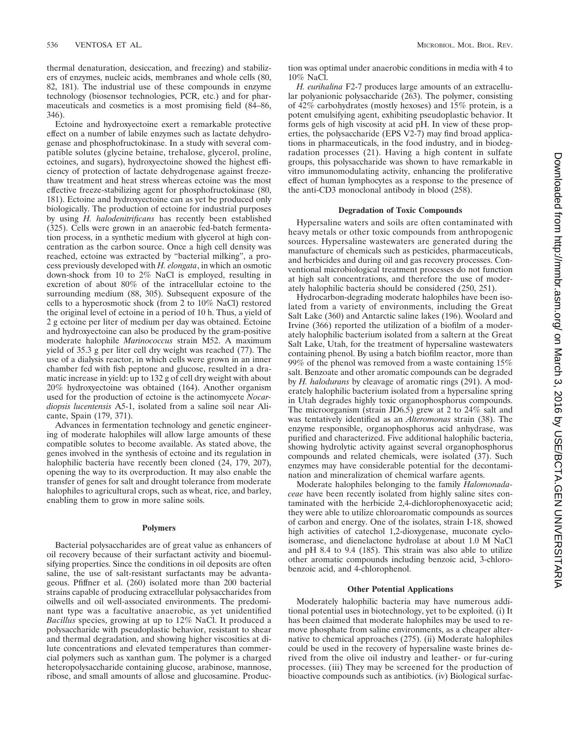thermal denaturation, desiccation, and freezing) and stabilizers of enzymes, nucleic acids, membranes and whole cells (80, 82, 181). The industrial use of these compounds in enzyme technology (biosensor technologies, PCR, etc.) and for pharmaceuticals and cosmetics is a most promising field (84–86, 346).

Ectoine and hydroxyectoine exert a remarkable protective effect on a number of labile enzymes such as lactate dehydrogenase and phosphofructokinase. In a study with several compatible solutes (glycine betaine, trehalose, glycerol, proline, ectoines, and sugars), hydroxyectoine showed the highest efficiency of protection of lactate dehydrogenase against freezethaw treatment and heat stress whereas ectoine was the most effective freeze-stabilizing agent for phosphofructokinase (80, 181). Ectoine and hydroxyectoine can as yet be produced only biologically. The production of ectoine for industrial purposes by using *H. halodenitrificans* has recently been established (325). Cells were grown in an anaerobic fed-batch fermentation process, in a synthetic medium with glycerol at high concentration as the carbon source. Once a high cell density was reached, ectoine was extracted by "bacterial milking", a process previously developed with *H. elongata*, in which an osmotic down-shock from 10 to 2% NaCl is employed, resulting in excretion of about 80% of the intracellular ectoine to the surrounding medium (88, 305). Subsequent exposure of the cells to a hyperosmotic shock (from 2 to 10% NaCl) restored the original level of ectoine in a period of 10 h. Thus, a yield of 2 g ectoine per liter of medium per day was obtained. Ectoine and hydroxyectoine can also be produced by the gram-positive moderate halophile *Marinococcus* strain M52. A maximum yield of 35.3 g per liter cell dry weight was reached (77). The use of a dialysis reactor, in which cells were grown in an inner chamber fed with fish peptone and glucose, resulted in a dramatic increase in yield: up to 132 g of cell dry weight with about 20% hydroxyectoine was obtained (164). Another organism used for the production of ectoine is the actinomycete *Nocardiopsis lucentensis* A5-1, isolated from a saline soil near Alicante, Spain (179, 371).

Advances in fermentation technology and genetic engineering of moderate halophiles will allow large amounts of these compatible solutes to become available. As stated above, the genes involved in the synthesis of ectoine and its regulation in halophilic bacteria have recently been cloned (24, 179, 207), opening the way to its overproduction. It may also enable the transfer of genes for salt and drought tolerance from moderate halophiles to agricultural crops, such as wheat, rice, and barley, enabling them to grow in more saline soils.

#### **Polymers**

Bacterial polysaccharides are of great value as enhancers of oil recovery because of their surfactant activity and bioemulsifying properties. Since the conditions in oil deposits are often saline, the use of salt-resistant surfactants may be advantageous. Pfiffner et al. (260) isolated more than 200 bacterial strains capable of producing extracellular polysaccharides from oilwells and oil well-associated environments. The predominant type was a facultative anaerobic, as yet unidentified *Bacillus* species, growing at up to 12% NaCl. It produced a polysaccharide with pseudoplastic behavior, resistant to shear and thermal degradation, and showing higher viscosities at dilute concentrations and elevated temperatures than commercial polymers such as xanthan gum. The polymer is a charged heteropolysaccharide containing glucose, arabinose, mannose, ribose, and small amounts of allose and glucosamine. Production was optimal under anaerobic conditions in media with 4 to 10% NaCl.

*H. eurihalina* F2-7 produces large amounts of an extracellular polyanionic polysaccharide (263). The polymer, consisting of 42% carbohydrates (mostly hexoses) and 15% protein, is a potent emulsifying agent, exhibiting pseudoplastic behavior. It forms gels of high viscosity at acid pH. In view of these properties, the polysaccharide (EPS V2-7) may find broad applications in pharmaceuticals, in the food industry, and in biodegradation processes (21). Having a high content in sulfate groups, this polysaccharide was shown to have remarkable in vitro immunomodulating activity, enhancing the proliferative effect of human lymphocytes as a response to the presence of the anti-CD3 monoclonal antibody in blood (258).

# **Degradation of Toxic Compounds**

Hypersaline waters and soils are often contaminated with heavy metals or other toxic compounds from anthropogenic sources. Hypersaline wastewaters are generated during the manufacture of chemicals such as pesticides, pharmaceuticals, and herbicides and during oil and gas recovery processes. Conventional microbiological treatment processes do not function at high salt concentrations, and therefore the use of moderately halophilic bacteria should be considered (250, 251).

Hydrocarbon-degrading moderate halophiles have been isolated from a variety of environments, including the Great Salt Lake (360) and Antarctic saline lakes (196). Woolard and Irvine (366) reported the utilization of a biofilm of a moderately halophilic bacterium isolated from a saltern at the Great Salt Lake, Utah, for the treatment of hypersaline wastewaters containing phenol. By using a batch biofilm reactor, more than 99% of the phenol was removed from a waste containing 15% salt. Benzoate and other aromatic compounds can be degraded by *H. halodurans* by cleavage of aromatic rings (291). A moderately halophilic bacterium isolated from a hypersaline spring in Utah degrades highly toxic organophosphorus compounds. The microorganism (strain JD6.5) grew at 2 to 24% salt and was tentatively identified as an *Alteromonas* strain (38). The enzyme responsible, organophosphorus acid anhydrase, was purified and characterized. Five additional halophilic bacteria, showing hydrolytic activity against several organophosphorus compounds and related chemicals, were isolated (37). Such enzymes may have considerable potential for the decontamination and mineralization of chemical warfare agents.

Moderate halophiles belonging to the family *Halomonadaceae* have been recently isolated from highly saline sites contaminated with the herbicide 2,4-dichlorophenoxyacetic acid; they were able to utilize chloroaromatic compounds as sources of carbon and energy. One of the isolates, strain I-18, showed high activities of catechol 1,2-dioxygenase, muconate cycloisomerase, and dienelactone hydrolase at about 1.0 M NaCl and pH 8.4 to 9.4 (185). This strain was also able to utilize other aromatic compounds including benzoic acid, 3-chlorobenzoic acid, and 4-chlorophenol.

# **Other Potential Applications**

Moderately halophilic bacteria may have numerous additional potential uses in biotechnology, yet to be exploited. (i) It has been claimed that moderate halophiles may be used to remove phosphate from saline environments, as a cheaper alternative to chemical approaches (275). (ii) Moderate halophiles could be used in the recovery of hypersaline waste brines derived from the olive oil industry and leather- or fur-curing processes. (iii) They may be screened for the production of bioactive compounds such as antibiotics. (iv) Biological surfac-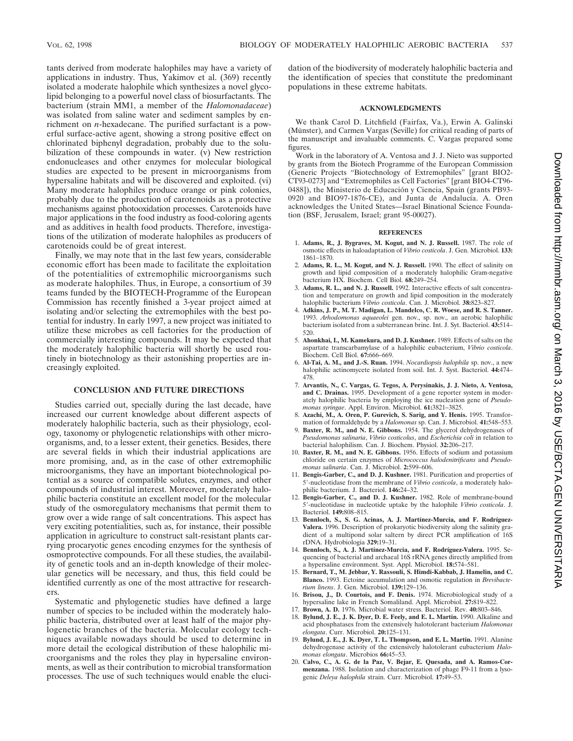tants derived from moderate halophiles may have a variety of applications in industry. Thus, Yakimov et al. (369) recently isolated a moderate halophile which synthesizes a novel glycolipid belonging to a powerful novel class of biosurfactants. The bacterium (strain MM1, a member of the *Halomonadaceae*) was isolated from saline water and sediment samples by enrichment on *n*-hexadecane. The purified surfactant is a powerful surface-active agent, showing a strong positive effect on chlorinated biphenyl degradation, probably due to the solubilization of these compounds in water. (v) New restriction endonucleases and other enzymes for molecular biological studies are expected to be present in microorganisms from hypersaline habitats and will be discovered and exploited. (vi) Many moderate halophiles produce orange or pink colonies, probably due to the production of carotenoids as a protective mechanisms against photooxidation processes. Carotenoids have major applications in the food industry as food-coloring agents and as additives in health food products. Therefore, investigations of the utilization of moderate halophiles as producers of carotenoids could be of great interest.

Finally, we may note that in the last few years, considerable economic effort has been made to facilitate the exploitation of the potentialities of extremophilic microorganisms such as moderate halophiles. Thus, in Europe, a consortium of 39 teams funded by the BIOTECH-Programme of the European Commission has recently finished a 3-year project aimed at isolating and/or selecting the extremophiles with the best potential for industry. In early 1997, a new project was initiated to utilize these microbes as cell factories for the production of commercially interesting compounds. It may be expected that the moderately halophilic bacteria will shortly be used routinely in biotechnology as their astonishing properties are increasingly exploited.

# **CONCLUSION AND FUTURE DIRECTIONS**

Studies carried out, specially during the last decade, have increased our current knowledge about different aspects of moderately halophilic bacteria, such as their physiology, ecology, taxonomy or phylogenetic relationships with other microorganisms, and, to a lesser extent, their genetics. Besides, there are several fields in which their industrial applications are more promising, and, as in the case of other extremophilic microorganisms, they have an important biotechnological potential as a source of compatible solutes, enzymes, and other compounds of industrial interest. Moreover, moderately halophilic bacteria constitute an excellent model for the molecular study of the osmoregulatory mechanisms that permit them to grow over a wide range of salt concentrations. This aspect has very exciting potentialities, such as, for instance, their possible application in agriculture to construct salt-resistant plants carrying procaryotic genes encoding enzymes for the synthesis of osmoprotective compounds. For all these studies, the availability of genetic tools and an in-depth knowledge of their molecular genetics will be necessary, and thus, this field could be identified currently as one of the most attractive for researchers.

Systematic and phylogenetic studies have defined a large number of species to be included within the moderately halophilic bacteria, distributed over at least half of the major phylogenetic branches of the bacteria. Molecular ecology techniques available nowadays should be used to determine in more detail the ecological distribution of these halophilic microorganisms and the roles they play in hypersaline environments, as well as their contribution to microbial transformation processes. The use of such techniques would enable the elucidation of the biodiversity of moderately halophilic bacteria and the identification of species that constitute the predominant populations in these extreme habitats.

## **ACKNOWLEDGMENTS**

We thank Carol D. Litchfield (Fairfax, Va.), Erwin A. Galinski (Münster), and Carmen Vargas (Seville) for critical reading of parts of the manuscript and invaluable comments. C. Vargas prepared some figures.

Work in the laboratory of A. Ventosa and J. J. Nieto was supported by grants from the Biotech Programme of the European Commission (Generic Projects "Biotechnology of Extremophiles" [grant BIO2- CT93-0273] and "Extremophiles as Cell Factories" [grant BIO4-CT96- 0488]), the Ministerio de Educación y Ciencia, Spain (grants PB93-0920 and BIO97-1876-CE), and Junta de Andalucía. A. Oren acknowledges the United States—Israel Binational Science Foundation (BSF, Jerusalem, Israel; grant 95-00027).

#### **REFERENCES**

- 1. **Adams, R., J. Bygraves, M. Kogut, and N. J. Russell.** 1987. The role of osmotic effects in haloadaptation of *Vibrio costicola*. J. Gen. Microbiol. **133:** 1861–1870.
- 2. **Adams, R. L., M. Kogut, and N. J. Russell.** 1990. The effect of salinity on growth and lipid composition of a moderately halophilic Gram-negative bacterium HX. Biochem. Cell Biol. **68:**249–254.
- 3. **Adams, R. L., and N. J. Russell.** 1992. Interactive effects of salt concentration and temperature on growth and lipid composition in the moderately halophilic bacterium *Vibrio costicola*. Can. J. Microbiol. **38:**823–827.
- 4. **Adkins, J. P., M. T. Madigan, L. Mandelco, C. R. Woese, and R. S. Tanner.** 1993. *Arhodomonas aquaeolei* gen. nov., sp. nov., an aerobic halophilic bacterium isolated from a subterranean brine. Int. J. Syt. Bacteriol. **43:**514– 520.
- 5. **Ahonkhai, I., M. Kamekura, and D. J. Kushner.** 1989. Effects of salts on the aspartate transcarbamylase of a halophilic eubacterium, *Vibrio costicola*. Biochem. Cell Biol. **67:**666–669.
- 6. **Al-Tai, A. M., and J.-S. Ruan.** 1994. *Nocardiopsis halophila* sp. nov., a new halophilic actinomycete isolated from soil. Int. J. Syst. Bacteriol. **44:**474– 478.
- 7. **Arvantis, N., C. Vargas, G. Tegos, A. Perysinakis, J. J. Nieto, A. Ventosa, and C. Drainas.** 1995. Development of a gene reporter system in moderately halophilic bacteria by employing the ice nucleation gene of *Pseudomonas syringae*. Appl. Environ. Microbiol. **61:**3821–3825.
- 8. **Azachi, M., A. Oren, P. Gurevich, S. Sarig, and Y. Henis.** 1995. Transformation of formaldehyde by a *Halomonas* sp. Can. J. Microbiol. **41:**548–553.
- 9. **Baxter, R. M., and N. E. Gibbons.** 1954. The glycerol dehydrogenases of *Pseudomonas salinaria*, *Vibrio costicolus*, and *Escherichia coli* in relation to bacterial halophilism. Can. J. Biochem. Physiol. **32:**206–217.
- 10. **Baxter, R. M., and N. E. Gibbons.** 1956. Effects of sodium and potassium chloride on certain enzymes of *Micrococcus halodenitrificans* and *Pseudomonas salinaria*. Can. J. Microbiol. **2:**599–606.
- 11. **Bengis-Garber, C., and D. J. Kushner.** 1981. Purification and properties of 5'-nucleotidase from the membrane of Vibrio costicola, a moderately halophilic bacterium. J. Bacteriol. **146:**24–32.
- 12. **Bengis-Garber, C., and D. J. Kushner.** 1982. Role of membrane-bound 59-nucleotidase in nucleotide uptake by the halophile *Vibrio costicola*. J. Bacteriol. **149:**808–815.
- 13. Bennloch, S., S. G. Acinas, A. J. Martínez-Murcia, and F. Rodríguez-**Valera.** 1996. Description of prokaryotic biodiversity along the salinity gradient of a multipond solar saltern by direct PCR amplification of 16S rDNA. Hydrobiologia **329:**19–31.
- 14. **Bennloch, S., A. J. Martı´nez-Murcia, and F. Rodrı´guez-Valera.** 1995. Sequencing of bacterial and archaeal 16S rRNA genes directly amplified from a hypersaline environment. Syst. Appl. Microbiol. **18:**574–581.
- 15. **Bernard, T., M. Jebbar, Y. Rassouli, S. Himdi-Kabbab, J. Hamelin, and C. Blanco.** 1993. Ectoine accumulation and osmotic regulation in *Brevibacterium linens*. J. Gen. Microbiol. **139:**129–136.
- 16. **Brisou, J., D. Courtois, and F. Denis.** 1974. Microbiological study of a hypersaline lake in French Somaliland. Appl. Microbiol. **27:**819–822.
- 17. **Brown, A. D.** 1976. Microbial water stress. Bacteriol. Rev. **40:**803–846.
- 18. **Bylund, J. E., J. K. Dyer, D. E. Feely, and E. L. Martin.** 1990. Alkaline and acid phosphatases from the extensively halotolerant bacterium *Halomonas elongata*. Curr. Microbiol. **20:**125–131.
- 19. **Bylund, J. E., J. K. Dyer, T. L. Thompson, and E. L. Martin.** 1991. Alanine dehydrogenase activity of the extensively halotolerant eubacterium *Halomonas elongata*. Microbios **66:**45–53.
- 20. **Calvo, C., A. G. de la Paz, V. Bejar, E. Quesada, and A. Ramos-Cormenzana.** 1988. Isolation and characterization of phage F9-11 from a lysogenic *Deleya halophila* strain. Curr. Microbiol. **17:**49–53.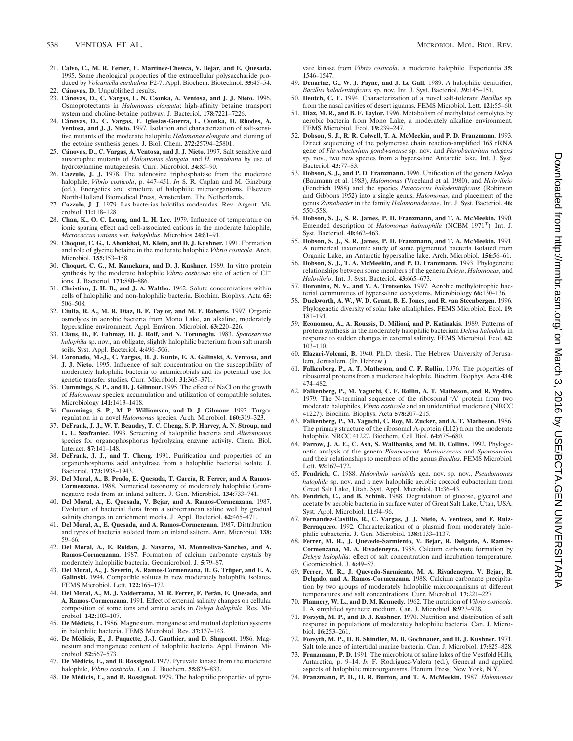- 21. **Calvo, C., M. R. Ferrer, F. Martı´nez-Chewca, V. Bejar, and E. Quesada.** 1995. Some rheological properties of the extracellular polysaccharide produced by *Volcaniella eurihalina* F2-7. Appl. Biochem. Biotechnol. **55:**45–54.
- 22. Cánovas, D. Unpublished results.
- 23. **Ca´novas, D., C. Vargas, L. N. Csonka, A. Ventosa, and J. J. Nieto.** 1996. Osmoprotectants in *Halomonas elongata*: high-affinity betaine transport system and choline-betaine pathway. J. Bacteriol. **178:**7221–7226.
- 24. **Ca´novas, D., C. Vargas, F. Iglesias-Guerra, L. Csonka, D. Rhodes, A. Ventosa, and J. J. Nieto.** 1997. Isolation and characterization of salt-sensitive mutants of the moderate halophile *Halomonas elongata* and cloning of the ectoine synthesis genes. J. Biol. Chem. **272:**25794–25801.
- 25. **Ca´novas, D., C. Vargas, A. Ventosa, and J. J. Nieto.** 1997. Salt sensitive and auxotrophic mutants of *Halomonas elongata* and *H. meridiana* by use of hydroxylamine mutagenesis. Curr. Microbiol. **34:**85–90.
- 26. **Cazzulo, J. J.** 1978. The adenosine triphosphatase from the moderate halophile, *Vibrio costicola*, p. 447–451. *In* S. R. Caplan and M. Ginzburg (ed.), Energetics and structure of halophilic microorganisms. Elsevier/ North-Holland Biomedical Press, Amsterdam, The Netherlands.
- 27. **Cazzulo, J. J.** 1979. Las bacterias halofilas moderadas. Rev. Argent. Microbiol. **11:**118–128.
- 28. **Chan, K., O. C. Leung, and L. H. Lee.** 1979. Influence of temperature on ionic sparing effect and cell-associated cations in the moderate halophile, *Micrococcus varians* var. *halophilus*. Microbios **24:**81–91.
- 29. **Choquet, C. G., I. Ahonkhai, M. Klein, and D. J. Kushner.** 1991. Formation and role of glycine betaine in the moderate halophile *Vibrio costicola*. Arch. Microbiol. **155:**153–158.
- 30. **Choquet, C. G., M. Kamekura, and D. J. Kushner.** 1989. In vitro protein synthesis by the moderate halophile *Vibrio costicola*: site of action of Cl<sup>-</sup> ions. J. Bacteriol. **171:**880–886.
- 31. **Christian, J. H. B., and J. A. Waltho.** 1962. Solute concentrations within cells of halophilic and non-halophilic bacteria. Biochim. Biophys. Acta **65:** 506–508.
- 32. **Ciulla, R. A., M. R. Diaz, B. F. Taylor, and M. F. Roberts.** 1997. Organic osmolytes in aerobic bacteria from Mono Lake, an alkaline, moderately hypersaline environment. Appl. Environ. Microbiol. **63:**220–226.
- 33. **Claus, D., F. Fahmay, H. J. Rolf, and N. Torunoglu.** 1983. *Sporosarcina halophila* sp. nov., an obligate, slightly halophilic bacterium from salt marsh soils. Syst. Appl. Bacteriol. **4:**496–506.
- 34. **Coronado, M.-J., C. Vargas, H. J. Kunte, E. A. Galinski, A. Ventosa, and J. J. Nieto.** 1995. Influence of salt concentration on the susceptibility of moderately halophilic bacteria to antimicrobials and its potential use for genetic transfer studies. Curr. Microbiol. **31:**365–371.
- 35. **Cummings, S. P., and D. J. Gilmour.** 1995. The effect of NaCl on the growth of *Halomonas* species: accumulation and utilization of compatible solutes. Microbiology **141:**1413–1418.
- 36. **Cummings, S. P., M. P. Williamson, and D. J. Gilmour.** 1993. Turgor regulation in a novel *Halomonas* species. Arch. Microbiol. **160:**319–323.
- 37. **DeFrank, J. J., W. T. Beaudry, T. C. Cheng, S. P. Harvey, A. N. Stroup, and L. L. Szafraniec.** 1993. Screening of halophilic bacteria and *Alteromonas* species for organophosphorus hydrolyzing enzyme activity. Chem. Biol. Interact. **87:**141–148.
- 38. **DeFrank, J. J., and T. Cheng.** 1991. Purification and properties of an organophosphorus acid anhydrase from a halophilic bacterial isolate. J. Bacteriol. **173:**1938–1943.
- 39. Del Moral, A., B. Prado, E. Quesada, T. García, R. Ferrer, and A. Ramos-**Cormenzana.** 1988. Numerical taxonomy of moderately halophilic Gramnegative rods from an inland saltern. J. Gen. Microbiol. **134:**733–741.
- 40. **Del Moral, A., E. Quesada, V. Bejar, and A. Ramos-Cormenzana.** 1987. Evolution of bacterial flora from a subterranean saline well by gradual salinity changes in enrichment media. J. Appl. Bacteriol. **62:**465–471.
- 41. **Del Moral, A., E. Quesada, and A. Ramos-Cormenzana.** 1987. Distribution and types of bacteria isolated from an inland saltern. Ann. Microbiol. **138:** 59–66.
- 42. **Del Moral, A., E. Roldan, J. Navarro, M. Monteoliva-Sanchez, and A. Ramos-Cormenzana.** 1987. Formation of calcium carbonate crystals by moderately halophilic bacteria. Geomicrobiol. J. **5:**79–87.
- 43. Del Moral, A., J. Severin, A. Ramos-Cormenzana, H. G. Trüper, and E. A. **Galinski.** 1994. Compatible solutes in new moderately halophilic isolates. FEMS Microbiol. Lett. **122:**165–172.
- 44. **Del Moral, A., M. J. Valderrama, M. R. Ferrer, F. Pera`n, E. Quesada, and A. Ramos-Cormenzana.** 1991. Effect of external salinity changes on cellular composition of some ions and amino acids in *Deleya halophila*. Res. Microbiol. **142:**103–107.
- 45. De Médicis, E. 1986. Magnesium, manganese and mutual depletion systems in halophilic bacteria. FEMS Microbiol. Rev. **37:**137–143.
- 46. **De Me´dicis, E., J. Paquette, J.-J. Gauthier, and D. Shapcott.** 1986. Magnesium and manganese content of halophilic bacteria. Appl. Environ. Microbiol. **52:**567–573.
- 47. De Médicis, E., and B. Rossignol. 1977. Pyruvate kinase from the moderate halophile, *Vibrio costicola*. Can. J. Biochem. **55:**825–833.
- 48. **De Médicis, E., and B. Rossignol.** 1979. The halophilic properties of pyru-

vate kinase from *Vibrio costicola*, a moderate halophile. Experientia **35:** 1546–1547.

- 49. **Denariaz, G., W. J. Payne, and J. Le Gall.** 1989. A halophilic denitrifier, *Bacillus halodenitrificans* sp. nov. Int. J. Syst. Bacteriol. **39:**145–151.
- 50. **Deutch, C. E.** 1994. Characterization of a novel salt-tolerant *Bacillus* sp. from the nasal cavities of desert iguanas. FEMS Microbiol. Lett. **121:**55–60.
- 51. **Diaz, M. R., and B. F. Taylor.** 1996. Metabolism of methylated osmolytes by aerobic bacteria from Mono Lake, a moderately alkaline environment. FEMS Microbiol. Ecol. **19:**239–247.
- 52. **Dobson, S. J., R. R. Colwell, T. A. McMeekin, and P. D. Franzmann.** 1993. Direct sequencing of the polymerase chain reaction-amplified 16S rRNA gene of *Flavobacterium gondwanense* sp. nov. and *Flavobacterium salegens* sp. nov., two new species from a hypersaline Antarctic lake. Int. J. Syst. Bacteriol. **43:**77–83.
- 53. **Dobson, S. J., and P. D. Franzmann.** 1996. Unification of the genera *Deleya* (Baumann et al. 1983), *Halomonas* (Vreeland et al. 1980), and *Halovibrio* (Fendrich 1988) and the species *Paracoccus halodenitrificans* (Robinson and Gibbons 1952) into a single genus, *Halomonas*, and placement of the genus *Zymobacter* in the family *Halomonadaceae*. Int. J. Syst. Bacteriol. **46:** 550–558.
- 54. **Dobson, S. J., S. R. James, P. D. Franzmann, and T. A. McMeekin.** 1990. Emended description of *Halomonas halmophila* (NCBM 1971T). Int. J. Syst. Bacteriol. **40:**462–463.
- 55. **Dobson, S. J., S. R. James, P. D. Franzmann, and T. A. McMeekin.** 1991. A numerical taxonomic study of some pigmented bacteria isolated from Organic Lake, an Antarctic hypersaline lake. Arch. Microbiol. **156:**56–61.
- 56. **Dobson, S. J., T. A. McMeekin, and P. D. Franzmann.** 1993. Phylogenetic relationships between some members of the genera *Deleya*, *Halomonas*, and *Halovibrio*. Int. J. Syst. Bacteriol. **43:**665–673.
- 57. **Doronina, N. V., and Y. A. Trotsenko.** 1997. Aerobic methylotrophic bacterial communities of hypersaline ecosystems. Microbiology **66:**130–136.
- 58. **Duckworth, A. W., W. D. Grant, B. E. Jones, and R. van Steenbergen.** 1996. Phylogenetic diversity of solar lake alkaliphiles. FEMS Microbiol. Ecol. **19:** 181–191.
- 59. **Economou, A., A. Roussis, D. Milioni, and P. Katinakis.** 1989. Patterns of protein synthesis in the moderately halophilic bacterium *Deleya halophila* in response to sudden changes in external salinity. FEMS Microbiol. Ecol. **62:**  $103 - 110$ .
- 60. **Elazari-Volcani, B.** 1940. Ph.D. thesis. The Hebrew University of Jerusalem, Jerusalem. (In Hebrew.)
- 61. **Falkenberg, P., A. T. Matheson, and C. F. Rollin.** 1976. The properties of ribosomal proteins from a moderate halophile. Biochim. Biophys. Acta **434:** 474–482.
- 62. **Falkenberg, P., M. Yaguchi, C. F. Rollin, A. T. Matheson, and R. Wydro.** 1979. The N-terminal sequence of the ribosomal 'A' protein from two moderate halophiles, *Vibrio costicola* and an unidentified moderate (NRCC 41227). Biochim. Biophys. Acta **578:**207–215.
- 63. **Falkenberg, P., M. Yaguchi, C. Roy, M. Zucker, and A. T. Matheson.** 1986. The primary structure of the ribosomal A-protein (L12) from the moderate halophile NRCC 41227. Biochem. Cell Biol. **64:**675–680.
- 64. **Farrow, J. A. E., C. Ash, S. Wallbanks, and M. D. Collins.** 1992. Phylogenetic analysis of the genera *Planococcus*, *Marinococcus* and *Sporosarcina* and their relationships to members of the genus *Bacillus*. FEMS Microbiol. Lett. **93:**167–172.
- 65. **Fendrich, C.** 1988. *Halovibrio variabilis* gen. nov. sp. nov., *Pseudomonas halophila* sp. nov. and a new halophilic aerobic coccoid eubacterium from Great Salt Lake, Utah. Syst. Appl. Microbiol. **11:**36–43.
- 66. **Fendrich, C., and B. Schink.** 1988. Degradation of glucose, glycerol and acetate by aerobic bacteria in surface water of Great Salt Lake, Utah, USA. Syst. Appl. Microbiol. **11:**94–96.
- 67. **Fernandez-Castillo, R., C. Vargas, J. J. Nieto, A. Ventosa, and F. Ruiz-Berraquero.** 1992. Characterization of a plasmid from moderately halophilic eubacteria. J. Gen. Microbiol. **138:**1133–1137.
- 68. **Ferrer, M. R., J. Quevedo-Sarmiento, V. Bejar, R. Delgado, A. Ramos-Cormenzana, M. A. Rivadeneyra.** 1988. Calcium carbonate formation by *Deleya halophila*: effect of salt concentration and incubation temperature. Geomicrobiol. J. **6:**49–57.
- 69. **Ferrer, M. R., J. Quevedo-Sarmiento, M. A. Rivadeneyra, V. Bejar, R. Delgado, and A. Ramos-Cormenzana.** 1988. Calcium carbonate precipitation by two groups of moderately halophilic microorganisms at different temperatures and salt concentrations. Curr. Microbiol. **17:**221–227.
- 70. **Flannery, W. L., and D. M. Kennedy.** 1962. The nutrition of *Vibrio costicola*. I. A simplified synthetic medium. Can. J. Microbiol. **8:**923–928.
- 71. **Forsyth, M. P., and D. J. Kushner.** 1970. Nutrition and distribution of salt response in populations of moderately halophilic bacteria. Can. J. Microbiol. **16:**253-
- 72. **Forsyth, M. P., D. B. Shindler, M. B. Gochnauer, and D. J. Kushner.** 1971. Salt tolerance of intertidal marine bacteria. Can. J. Microbiol. **17:**825–828.
- 73. **Franzmann, P. D.** 1991. The microbiota of saline lakes of the Vestfold Hills, Antarctica, p. 9–14. *In* F. Rodriguez-Valera (ed.), General and applied aspects of halophilic microorganisms. Plenum Press, New York, N.Y.
- 74. **Franzmann, P. D., H. R. Burton, and T. A. McMeekin.** 1987. *Halomonas*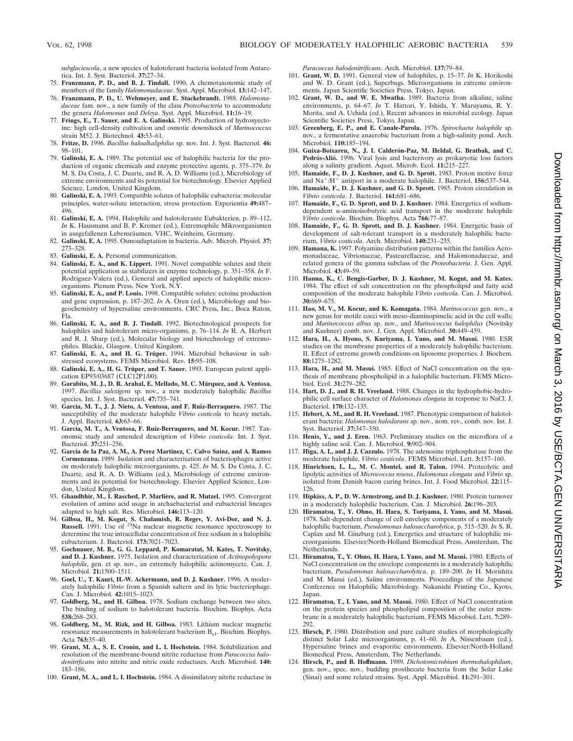*subglaciescola*, a new species of halotolerant bacteria isolated from Antarctica. Int. J. Syst. Bacteriol. **37:**27–34.

- 75. **Franzmann, P. D., and B. J. Tindall.** 1990. A chemotaxonomic study of members of the family *Halomonadaceae*. Syst. Appl. Microbiol. **13:**142–147.
- 76. **Franzmann, P. D., U. Wehmeyer, and E. Stackebrandt.** 1988. *Halomonadaceae* fam. nov., a new family of the class *Proteobacteria* to accommodate the genera *Halomonas* and *Deleya*. Syst. Appl. Microbiol. **11:**16–19.
- 77. **Frings, E., T. Sauer, and E. A. Galinski.** 1995. Production of hydroxyectoine: high cell-density cultivation and osmotic downshock of *Marinococcus* strain M52. J. Biotechnol. **43:**53–61.
- 78. **Fritze, D.** 1996. *Bacillus haloalkaliphilus* sp. nov. Int. J. Syst. Bacteriol. **46:** 98–101.
- 79. **Galinski, E. A.** 1989. The potential use of halophilic bacteria for the production of organic chemicals and enzyme protective agents, p. 375–379. *In* M. S. Da Costa, J. C. Duarte, and R. A. D. Williams (ed.), Microbiology of extreme environments and its potential for biotechnology. Elsevier Applied Science, London, United Kingdom.
- 80. **Galinski, E. A.** 1993. Compatible solutes of halophilic eubacteria: molecular principles, water-solute interaction, stress protection. Experientia **49:**487– 496.
- 81. **Galinski, E. A.** 1994. Halophile and halotolerante Eubakterien, p. 89–112. *In* K. Hausmann and B. P. Kremer (ed.), Extremophile Mikroorganismen in ausgefallenen Lebensräumen. VHC, Weinheim, Germany.
- 82. **Galinski, E. A.** 1995. Osmoadaptation in bacteria. Adv. Microb. Physiol. **37:** 273–328.
- 83. **Galinski, E. A.** Personal communication.
- 84. **Galinski, E. A., and K. Lippert.** 1991. Novel compatible solutes and their potential application as stabilizers in enzyme technology, p. 351–358. *In* F. Rodriguez-Valera (ed.), General and applied aspects of halophilic microorganisms. Plenum Press, New York, N.Y.
- 85. **Galinski, E. A., and P. Louis.** 1998. Compatible solutes: ectoine production and gene expression, p. 187–202. *In* A. Oren (ed.), Microbiology and biogeochemistry of hypersaline environments. CRC Press, Inc., Boca Raton, Fla.
- 86. **Galinski, E. A., and B. J. Tindall.** 1992. Biotechnological prospects for halophiles and halotolerant micro-organisms, p. 76–114. *In* R. A. Herbert and R. J. Sharp (ed.), Molecular biology and biotechnology of extremophiles. Blackie, Glasgow, United Kingdom.
- 87. Galinski, E. A., and H. G. Trüper. 1994. Microbial behaviour in saltstressed ecosystems. FEMS Microbiol. Rev. **15:**95–108.
- 88. Galinski, E. A., H. G. Trüper, and T. Sauer. 1993. European patent application EP93/03687 (CI,C12P1/00).
- 89. **Garabito, M. J., D. R. Arahal, E. Mellado, M. C. Ma´rquez, and A. Ventosa.** 1997. *Bacillus salexigens* sp. nov., a new moderately halophilic *Bacillus* species. Int. J. Syst. Bacteriol. **47:**735–741.
- 90. **Garcia, M. T., J. J. Nieto, A. Ventosa, and F. Ruiz-Berraquero.** 1987. The susceptibility of the moderate halophile *Vibrio costicola* to heavy metals. J. Appl. Bacteriol. **63:**63–66.
- 91. **Garcia, M. T., A. Ventosa, F. Ruiz-Berraquero, and M. Kocur.** 1987. Taxonomic study and amended description of *Vibrio costicola*. Int. J. Syst. Bacteriol. **37:**251–256.
- 92. **Garcia de la Paz, A. M., A. Perez Martinez, C. Calvo Sainz, and A. Ramos Cormenzana.** 1989. Isolation and characterisation of bacteriophages active on moderately halophilic microorganisms, p. 425. *In* M. S. Da Costa, J. C. Duarte, and R. A. D. Williams (ed.), Microbiology of extreme environments and its potential for biotechnology. Elsevier Applied Science, London, United Kingdom.
- 93. Ghandbhir, M., I. Rasched, P. Marlière, and R. Mutzel. 1995. Convergent evolution of amino acid usage in archaebacterial and eubacterial lineages adapted to high salt. Res. Microbiol. **146:**113–120.
- 94. Gilboa, H., M. Kogut, S. Chalamish, R. Regev, Y. Avi-Dor, and N. J. Russell. 1991. Use of <sup>23</sup>Na nuclear magnetic resonance spectroscopy to determine the true intracellular concentration of free sodium in a halophilic eubacterium. J. Bacteriol. **173:**7021–7023.
- 95. **Gochnauer, M. B., G. G. Leppard, P. Komaratat, M. Kates, T. Novitsky, and D. J. Kushner.** 1975. Isolation and characterization of *Actinopolyspora halophila*, gen. et sp. nov., an extremely halophilic actinomycete. Can. J. Microbiol. **21:**1500–1511.
- 96. **Goel, U., T. Kauri, H.-W. Ackermann, and D. J. Kushner.** 1996. A moderately halophilic *Vibrio* from a Spanish saltern and its lytic bacteriophage. Can. J. Microbiol. **42:**1015–1023.
- 97. **Goldberg, M., and H. Gilboa.** 1978. Sodium exchange between two sites. The binding of sodium to halotolerant bacteria. Biochim. Biophys. Acta **538:**268–283.
- 98. **Goldberg, M., M. Rizk, and H. Gilboa.** 1983. Lithium nuclear magnetic resonance measurements in halotolerant bacterium B<sub>a1</sub>. Biochim. Biophys. Acta **763:**35–40.
- 99. **Grant, M. A., S. E. Cronin, and L. I. Hochstein.** 1984. Solubilization and resolution of the membrane-bound nitrite reductase from *Paracoccus halodenitrificans* into nitrite and nitric oxide reductases. Arch. Microbiol. **140:** 183–186.
- 100. **Grant, M. A., and L. I. Hochstein.** 1984. A dissimilatory nitrite reductase in

*Paracoccus halodenitrificans*. Arch. Microbiol. **137:**79–84.

- 101. **Grant, W. D.** 1991. General view of halophiles, p. 15–37. *In* K. Horikoshi and W. D. Grant (ed.), Superbugs. Microorganisms in extreme environments. Japan Scientific Societies Press, Tokyo, Japan.
- 102. **Grant, W. D., and W. E. Mwatha.** 1989. Bacteria from alkaline, saline environments, p. 64–67. *In* T. Hattori, Y. Ishida, Y. Maruyama, R. Y. Morita, and A. Uchida (ed.), Recent advances in microbial ecology. Japan Scientific Societies Press, Tokyo, Japan.
- 103. **Greenberg, E. P., and E. Canale-Parola.** 1976. *Spirochaeta halophila* sp. nov., a fermentative anaerobic bacterium from a high-salinity pond. Arch. Microbiol. **110:**185–194.
- 104. **Guixa-Boixareu, N., J. I. Caldero´n-Paz, M. Heldal, G. Bratbak, and C.** Pedrós-Alió. 1996. Viral lysis and bacterivory as prokaryotic loss factors along a salinity gradient. Aquat. Microb. Ecol. **11:**215–227.
- 105. **Hamaide, F., D. J. Kushner, and G. D. Sprott.** 1983. Proton motive force and Na<sup>+</sup>/H<sup>+</sup> antiport in a moderate halophile. J. Bacteriol. **156:**537–544.
- 106. **Hamaide, F., D. J. Kushner, and G. D. Sprott.** 1985. Proton circulation in *Vibrio costicola*. J. Bacteriol. **161:**681–686.
- 107. **Hamaide, F., G. D. Sprott, and D. J. Kushner.** 1984. Energetics of sodiumdependent  $\alpha$ -aminoisobutyric acid transport in the moderate halophile *Vibrio costicola*. Biochim. Biophys. Acta **766:**77–87.
- 108. **Hamaide, F., G. D. Sprott, and D. J. Kushner.** 1984. Energetic basis of development of salt-tolerant transport in a moderately halophilic bacterium, *Vibrio costicola*. Arch. Microbiol. **140:**231–235.
- 109. **Hamana, K.** 1997. Polyamine distribution patterns within the families Aeromonadaceae, Vibrionaceae, Pasteurellaceae, and Halomonadaceae, and related genera of the gamma subclass of the *Proteobacteria*. J. Gen. Appl. Microbiol. **43:**49–59.
- 110. **Hanna, K., C. Bengis-Garber, D. J. Kushner, M. Kogut, and M. Kates.** 1984. The effect of salt concentration on the phospholipid and fatty acid composition of the moderate halophile *Vibrio costicola*. Can. J. Microbiol. **30:**669–675.
- 111. **Hao, M. V., M. Kocur, and K. Komagata.** 1984. *Marinococcus* gen. nov., a new genus for motile cocci with meso-diaminopimelic acid in the cell walls; and *Marinococcus albus* sp. nov., and *Marinococcus halophilus* (Novitsky and Kushner) comb. nov. J. Gen. Appl. Microbiol. **30:**449–459.
- 112. **Hara, H., A. Hyono, S. Kuriyama, I. Yano, and M. Masui.** 1980. ESR studies on the membrane properties of a moderately halophilic bacterium. II. Effect of extreme growth conditions on liposome properties. J. Biochem. **88:**1275–1282.
- 113. **Hara, H., and M. Masui.** 1985. Effect of NaCl concentration on the synthesis of membrane phospholipid in a halophilic bacterium. FEMS Microbiol. Ecol. **31:**279–282.
- 114. **Hart, D. J., and R. H. Vreeland.** 1988. Changes in the hydrophobic-hydrophilic cell surface character of *Halomonas elongata* in response to NaCl. J. Bacteriol. **170:**132–135.
- 115. **Hebert, A. M., and R. H. Vreeland.** 1987. Phenotypic comparison of halotolerant bacteria: *Halomonas halodurans* sp. nov., nom. rev., comb. nov. Int. J. Syst. Bacteriol. **37:**347–350.
- 116. **Henis, Y., and J. Eren.** 1963. Preliminary studies on the microflora of a highly saline soil. Can. J. Microbiol. **9:**902–904.
- 117. **Higa, A. I., and J. J. Cazzulo.** 1978. The adenosine triphosphatase from the moderate halophile, *Vibrio costicola*. FEMS Microbiol. Lett. **3:**157–160.
- 118. **Hinrichsen, L. L., M. C. Montel, and R. Talon.** 1994. Proteolytic and lipolytic activities of *Micrococcus roseus*, *Halomonas elongata* and *Vibrio* sp. isolated from Danish bacon curing brines. Int. J. Food Microbiol. **22:**115– 126.
- 119. **Hipkiss, A. P., D. W. Armstrong, and D. J. Kushner.** 1980. Protein turnover in a moderately halophilic bacterium. Can. J. Microbiol. **26:**196–203.
- 120. **Hiramatsu, T., Y. Ohno, H. Hara, S. Toriyama, I. Yano, and M. Masui.** 1978. Salt-dependent change of cell envelope components of a moderately halophilic bacterium, *Pseudomonas halosaccharolytica*, p. 515–520. *In* S. R. Caplan and M. Ginzburg (ed.), Energetics and structure of halophilic microorganisms. Elsevier/North-Holland Biomedical Press, Amsterdam, The **Netherlands**
- 121. **Hiramatsu, T., Y. Ohno, H. Hara, I. Yano, and M. Masui.** 1980. Effects of NaCl concentration on the envelope components in a moderately halophilic bacterium, *Pseudomonas halosaccharolytica*, p. 189–200. *In* H. Morishita and M. Masui (ed.), Saline environments. Proceedings of the Japanese Conference on Halophilic Microbiology. Nakanishi Printing Co., Kyoto, Japan.
- 122. **Hiramatsu, T., I. Yano, and M. Masui.** 1980. Effect of NaCl concentration on the protein species and phospholipid composition of the outer membrane in a moderately halophilic bacterium. FEMS Microbiol. Lett. **7:**289– 292.
- 123. **Hirsch, P.** 1980. Distribution and pure culture studies of morphologically distinct Solar Lake microorganisms, p. 41–60. *In* A. Nissenbaum (ed.), Hypersaline brines and evaporitic environments. Elsevier/North-Holland Biomedical Press, Amsterdam, The Netherlands.
- 124. **Hirsch, P., and B. Hoffmann.** 1989. *Dichotomicrobium thermohalophilum*, gen. nov., spec. nov., budding prosthecate bacteria from the Solar Lake (Sinai) and some related strains. Syst. Appl. Microbiol. **11:**291–301.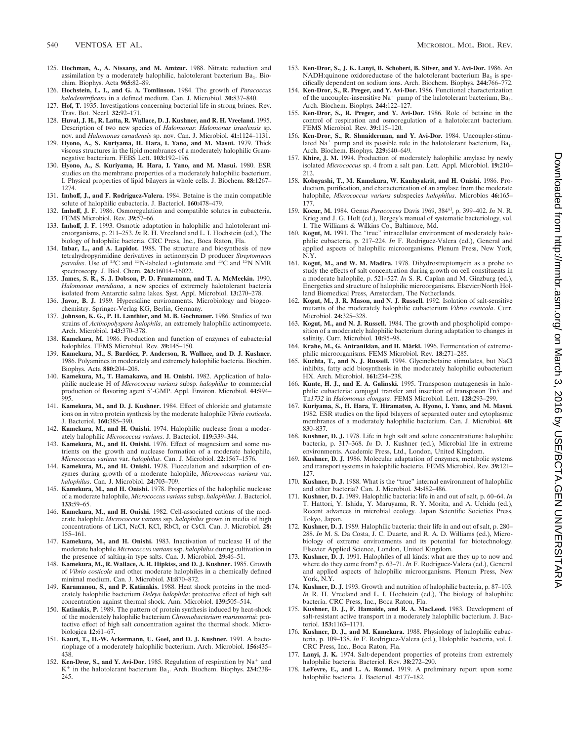- 125. **Hochman, A., A. Nissany, and M. Amizur.** 1988. Nitrate reduction and assimilation by a moderately halophilic, halotolerant bacterium  $Ba<sub>1</sub>$ . Biochim. Biophys. Acta **965:**82–89.
- 126. **Hochstein, L. I., and G. A. Tomlinson.** 1984. The growth of *Paracoccus halodenitrificans* in a defined medium. Can. J. Microbiol. **30:**837–840.
- 127. **Hof, T.** 1935. Investigations concerning bacterial life in strong brines. Rev. Trav. Bot. Neerl. **32:**92–171.
- 128. **Huval, J. H., R. Latta, R. Wallace, D. J. Kushner, and R. H. Vreeland.** 1995. Description of two new species of *Halomonas*: *Halomonas israelensis* sp. nov. and *Halomonas canadensis* sp. nov. Can. J. Microbiol. **41:**1124–1131.
- 129. **Hyono, A., S. Kuriyama, H. Hara, I. Yano, and M. Masui.** 1979. Thick viscous structures in the lipid membranes of a moderately halophilic Gramnegative bacterium. FEBS Lett. **103:**192–196.
- 130. **Hyono, A., S. Kuriyama, H. Hara, I. Yano, and M. Masui.** 1980. ESR studies on the membrane properties of a moderately halophilic bacterium. I. Physical properties of lipid bilayers in whole cells. J. Biochem. **88:**1267– 1274.
- 131. **Imhoff, J., and F. Rodriguez-Valera.** 1984. Betaine is the main compatible solute of halophilic eubacteria. J. Bacteriol. **160:**478–479.
- 132. **Imhoff, J. F.** 1986. Osmoregulation and compatible solutes in eubacteria. FEMS Microbiol. Rev. **39:**57–66.
- 133. **Imhoff, J. F.** 1993. Osmotic adaptation in halophilic and halotolerant microorganisms, p. 211–253. *In* R. H. Vreeland and L. I. Hochstein (ed.), The biology of halophilic bacteria. CRC Press, Inc., Boca Raton, Fla.
- 134. **Inbar, L., and A. Lapidot.** 1988. The structure and biosynthesis of new tetrahydropyrimidine derivatives in actinomycin D producer *Streptomyces* parvulus. Use of <sup>13</sup>C and <sup>15</sup>N-labeled L-glutamate and <sup>13</sup>C and <sup>15</sup>N NMR spectroscopy. J. Biol. Chem. **263:**16014–16022.
- 135. **James, S. R., S. J. Dobson, P. D. Franzmann, and T. A. McMeekin.** 1990. *Halomonas meridiana*, a new species of extremely halotolerant bacteria isolated from Antarctic saline lakes. Syst. Appl. Microbiol. **13:**270–278.
- 136. **Javor, B. J.** 1989. Hypersaline environments. Microbiology and biogeochemistry. Springer-Verlag KG, Berlin, Germany.
- 137. **Johnson, K. G., P. H. Lanthier, and M. B. Gochnauer.** 1986. Studies of two strains of *Actinopolyspora halophila*, an extremely halophilic actinomycete. Arch. Microbiol. **143:**370–378.
- 138. **Kamekura, M.** 1986. Production and function of enzymes of eubacterial halophiles. FEMS Microbiol. Rev. **39:**145–150.
- 139. **Kamekura, M., S. Bardo´cz, P. Anderson, R. Wallace, and D. J. Kushner.** 1986. Polyamines in moderately and extremely halophilic bacteria. Biochim. Biophys. Acta **880:**204–208.
- 140. **Kamekura, M., T. Hamakawa, and H. Onishi.** 1982. Application of halophilic nuclease H of *Micrococcus varians* subsp. *halophilus* to commercial production of flavoring agent 5'-GMP. Appl. Environ. Microbiol. 44:994-995.
- 141. **Kamekura, M., and D. J. Kushner.** 1984. Effect of chloride and glutamate ions on in vitro protein synthesis by the moderate halophile *Vibrio costicola*. J. Bacteriol. **160:**385–390.
- 142. **Kamekura, M., and H. Onishi.** 1974. Halophilic nuclease from a moderately halophilic *Micrococcus varians*. J. Bacteriol. **119:**339–344.
- 143. **Kamekura, M., and H. Onishi.** 1976. Effect of magnesium and some nutrients on the growth and nuclease formation of a moderate halophile, *Micrococcus varians* var. *halophilus*. Can. J. Microbiol. **22:**1567–1576.
- 144. **Kamekura, M., and H. Onishi.** 1978. Flocculation and adsorption of enzymes during growth of a moderate halophile, *Micrococcus varians* var. *halophilus*. Can. J. Microbiol. **24:**703–709.
- 145. **Kamekura, M., and H. Onishi.** 1978. Properties of the halophilic nuclease of a moderate halophile, *Micrococcus varians* subsp. *halophilus*. J. Bacteriol. **133:**59–65.
- 146. **Kamekura, M., and H. Onishi.** 1982. Cell-associated cations of the moderate halophile *Micrococcus varians* ssp. *halophilus* grown in media of high concentrations of LiCl, NaCl, KCl, RbCl, or CsCl. Can. J. Microbiol. **28:** 155–161.
- 147. **Kamekura, M., and H. Onishi.** 1983. Inactivation of nuclease H of the moderate halophile *Micrococcus varians* ssp. *halophilus* during cultivation in the presence of salting-in type salts. Can. J. Microbiol. **29:**46–51.
- 148. **Kamekura, M., R. Wallace, A. R. Hipkiss, and D. J. Kushner.** 1985. Growth of *Vibrio costicola* and other moderate halophiles in a chemically defined minimal medium. Can. J. Microbiol. **31:**870–872.
- 149. **Karamanou, S., and P. Katinakis.** 1988. Heat shock proteins in the moderately halophilic bacterium *Deleya halophila*: protective effect of high salt concentration against thermal shock. Ann. Microbiol. **139:**505–514.
- 150. **Katinakis, P.** 1989. The pattern of protein synthesis induced by heat-shock of the moderately halophilic bacterium *Chromobacterium marismortui*: protective effect of high salt concentration against the thermal shock. Microbiologica **12:**61–67.
- 151. **Kauri, T., H.-W. Ackermann, U. Goel, and D. J. Kushner.** 1991. A bacteriophage of a moderately halophilic bacterium. Arch. Microbiol. **156:**435– 438.
- 152. **Ken-Dror, S., and Y. Avi-Dor.** 1985. Regulation of respiration by Na<sup>+</sup> and K<sup>+</sup> in the halotolerant bacterium Ba<sub>1</sub>. Arch. Biochem. Biophys. 234:238-245.
- 153. **Ken-Dror, S., J. K. Lanyi, B. Schobert, B. Silver, and Y. Avi-Dor.** 1986. An NADH:quinone oxidoreductase of the halotolerant bacterium  $Ba<sub>1</sub>$  is specifically dependent on sodium ions. Arch. Biochem. Biophys. **244:**766–772.
- 154. **Ken-Dror, S., R. Preger, and Y. Avi-Dor.** 1986. Functional characterization of the uncoupler-insensitive  $Na^+$  pump of the halotolerant bacterium,  $Ba_1$ . Arch. Biochem. Biophys. **244:**122–127.
- 155. **Ken-Dror, S., R. Preger, and Y. Avi-Dor.** 1986. Role of betaine in the control of respiration and osmoregulation of a halotolerant bacterium. FEMS Microbiol. Rev. **39:**115–120.
- 156. **Ken-Dror, S., R. Shnaiderman, and Y. Avi-Dor.** 1984. Uncoupler-stimulated Na<sup>+</sup> pump and its possible role in the halotolerant bacterium, Ba<sub>1</sub>. Arch. Biochem. Biophys. **229:**640–649.
- 157. **Khire, J. M.** 1994. Production of moderately halophilic amylase by newly isolated *Micrococcus* sp. 4 from a salt pan. Lett. Appl. Microbiol. **19:**210– 212.
- 158. **Kobayashi, T., M. Kamekura, W. Kanlayakrit, and H. Onishi.** 1986. Production, purification, and characterization of an amylase from the moderate halophile, *Micrococcus varians* subspecies *halophilus*. Microbios **46:**165– 177.
- 159. **Kocur, M.** 1984. Genus *Paracoccus* Davis 1969, 384al, p. 399–402. *In* N. R. Krieg and J. G. Holt (ed.), Bergey's manual of systematic bacteriology, vol. 1. The Williams & Wilkins Co., Baltimore, Md.
- 160. **Kogut, M.** 1991. The "true" intracellular environment of moderately halophilic eubacteria, p. 217–224. *In* F. Rodriguez-Valera (ed.), General and applied aspects of halophilic microorganisms. Plenum Press, New York, N.Y.
- 161. **Kogut, M., and W. M. Madira.** 1978. Dihydrostreptomycin as a probe to study the effects of salt concentration during growth on cell constituents in a moderate halophile, p. 521–527. *In* S. R. Caplan and M. Ginzburg (ed.), Energetics and structure of halophilic microorganisms. Elsevier/North Holland Biomedical Press, Amsterdam, The Netherlands.
- 162. **Kogut, M., J. R. Mason, and N. J. Russell.** 1992. Isolation of salt-sensitive mutants of the moderately halophilic eubacterium *Vibrio costicola*. Curr. Microbiol. **24:**325–328.
- 163. **Kogut, M., and N. J. Russell.** 1984. The growth and phospholipid composition of a moderately halophilic bacterium during adaptation to changes in salinity. Curr. Microbiol. **10:**95–98.
- 164. Krahe, M., G. Antranikian, and H. Märkl. 1996. Fermentation of extremophilic microorganisms. FEMS Microbiol. Rev. **18:**271–285.
- 165. **Kuchta, T., and N. J. Russell.** 1994. Glycinebetaine stimulates, but NaCl inhibits, fatty acid biosynthesis in the moderately halophilic eubacterium HX. Arch. Microbiol. **161:**234–238.
- 166. **Kunte, H. J., and E. A. Galinski.** 1995. Transposon mutagenesis in halophilic eubacteria: conjugal transfer and insertion of transposon Tn*5* and Tn*1732* in *Halomonas elongata*. FEMS Microbiol. Lett. **128:**293–299.
- 167. **Kuriyama, S., H. Hara, T. Hiramatsu, A. Hyono, I. Yano, and M. Masui.** 1982. ESR studies on the lipid bilayers of separated outer and cytoplasmic membranes of a moderately halophilic bacterium. Can. J. Microbiol. **60:** 830–837.
- 168. **Kushner, D. J.** 1978. Life in high salt and solute concentrations: halophilic bacteria, p. 317–368. *In* D. J. Kushner (ed.), Microbial life in extreme environments. Academic Press, Ltd., London, United Kingdom.
- Kushner, D. J. 1986. Molecular adaptation of enzymes, metabolic systems and transport systems in halophilic bacteria. FEMS Microbiol. Rev. **39:**121– 127.
- 170. **Kushner, D. J.** 1988. What is the "true" internal environment of halophilic and other bacteria? Can. J. Microbiol. **34:**482–486.
- 171. **Kushner, D. J.** 1989. Halophilic bacteria: life in and out of salt, p. 60–64. *In* T. Hattori, Y. Ishida, Y. Maruyama, R. Y. Morita, and A. Uchida (ed.), Recent advances in microbial ecology. Japan Scientific Societies Press, Tokyo, Japan.
- 172. **Kushner, D. J.** 1989. Halophilic bacteria: their life in and out of salt, p. 280– 288. *In* M. S. Da Costa, J. C. Duarte, and R. A. D. Williams (ed.), Microbiology of extreme environments and its potential for biotechnology. Elsevier Applied Science, London, United Kingdom.
- 173. **Kushner, D. J.** 1991. Halophiles of all kinds: what are they up to now and where do they come from? p. 63–71. *In* F. Rodriguez-Valera (ed.), General and applied aspects of halophilic microorganisms. Plenum Press, New York, N.Y.
- 174. **Kushner, D. J.** 1993. Growth and nutrition of halophilic bacteria, p. 87–103. *In* R. H. Vreeland and L. I. Hochstein (ed.), The biology of halophilic bacteria. CRC Press, Inc., Boca Raton, Fla.
- 175. **Kushner, D. J., F. Hamaide, and R. A. MacLeod.** 1983. Development of salt-resistant active transport in a moderately halophilic bacterium. J. Bacteriol. **153:**1163–1171.
- 176. **Kushner, D. J., and M. Kamekura.** 1988. Physiology of halophilic eubacteria, p. 109–138. *In* F. Rodriguez-Valera (ed.), Halophilic bacteria, vol. I. CRC Press, Inc., Boca Raton, Fla.
- 177. **Lanyi, J. K.** 1974. Salt-dependent properties of proteins from extremely halophilic bacteria. Bacteriol. Rev. **38:**272–290.
- LeFevre, E., and L. A. Round. 1919. A preliminary report upon some halophilic bacteria. J. Bacteriol. **4:**177–182.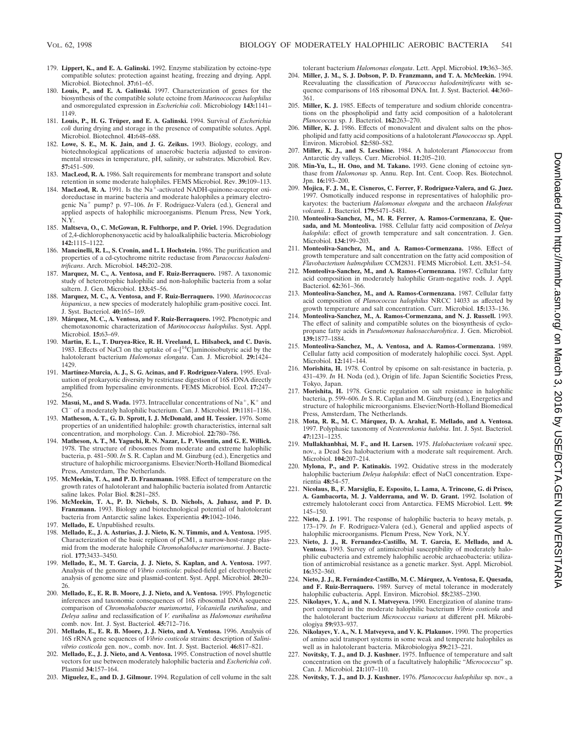- 179. **Lippert, K., and E. A. Galinski.** 1992. Enzyme stabilization by ectoine-type compatible solutes: protection against heating, freezing and drying. Appl. Microbiol. Biotechnol. **37:**61–65.
- 180. **Louis, P., and E. A. Galinski.** 1997. Characterization of genes for the biosynthesis of the compatible solute ectoine from *Marinococcus halophilus* and osmoregulated expression in *Escherichia coli*. Microbiology **143:**1141– 1149.
- 181. Louis, P., H. G. Trüper, and E. A. Galinski. 1994. Survival of *Escherichia coli* during drying and storage in the presence of compatible solutes. Appl. Microbiol. Biotechnol. **41:**648–688.
- 182. **Lowe, S. E., M. K. Jain, and J. G. Zeikus.** 1993. Biology, ecology, and biotechnological applications of anaerobic bacteria adjusted to environmental stresses in temperature, pH, salinity, or substrates. Microbiol. Rev. **57:**451–509.
- 183. **MacLeod, R. A.** 1986. Salt requirements for membrane transport and solute retention in some moderate halophiles. FEMS Microbiol. Rev. **39:**109–113.
- 184. MacLeod, R. A. 1991. Is the Na<sup>+</sup>-activated NADH-quinone-acceptor oxidoreductase in marine bacteria and moderate halophiles a primary electrogenic Na<sup>+</sup> pump? p. 97-106. *In* F. Rodriguez-Valera (ed.), General and applied aspects of halophilic microorganisms. Plenum Press, New York, N.Y.
- 185. **Maltseva, O., C. McGowan, R. Fulthorpe, and P. Oriel.** 1996. Degradation of 2,4-dichlorophenoxyacetic acid by haloalkaliphilic bacteria. Microbiology **142:**1115–1122.
- 186. **Mancinelli, R. L., S. Cronin, and L. I. Hochstein.** 1986. The purification and properties of a cd-cytochrome nitrite reductase from *Paracoccus halodenitrificans*. Arch. Microbiol. **145:**202–208.
- 187. **Marquez, M. C., A. Ventosa, and F. Ruiz-Berraquero.** 1987. A taxonomic study of heterotrophic halophilic and non-halophilic bacteria from a solar saltern. J. Gen. Microbiol. **133:**45–56.
- 188. **Marquez, M. C., A. Ventosa, and F. Ruiz-Berraquero.** 1990. *Marinococcus hispanicus*, a new species of moderately halophilic gram-positive cocci. Int. J. Syst. Bacteriol. **40:**165–169.
- 189. **Ma´rquez, M. C., A. Ventosa, and F. Ruiz-Berraquero.** 1992. Phenotypic and chemotaxonomic characterization of *Marinococcus halophilus*. Syst. Appl. Microbiol. **15:**63–69.
- 190. **Martin, E. L., T. Duryea-Rice, R. H. Vreeland, L. Hilsabeck, and C. Davis.** 1983. Effects of NaCl on the uptake of  $\alpha$ -[<sup>14</sup>C]aminoisobutyric acid by the halotolerant bacterium *Halomonas elongata*. Can. J. Microbiol. **29:**1424– 1429.
- 191. Martínez-Murcia, A. J., S. G. Acinas, and F. Rodriguez-Valera. 1995. Evaluation of prokaryotic diversity by restrictase digestion of 16S rDNA directly amplified from hypersaline environments. FEMS Microbiol. Ecol. **17:**247– 256.
- 192. **Masui, M., and S. Wada.** 1973. Intracellular concentrations of  $Na^+$ ,  $K^+$  and Cl<sup>-</sup> of a moderately halophilic bacterium. Can. J. Microbiol. **19:**1181–1186.
- 193. **Matheson, A. T., G. D. Sprott, I. J. McDonald, and H. Tessier.** 1976. Some properties of an unidentified halophile: growth characteristics, internal salt concentration, and morphology. Can. J. Microbiol. **22:**780–786.
- 194. **Matheson, A. T., M. Yaguchi, R. N. Nazar, L. P. Visentin, and G. E. Willick.** 1978. The structure of ribosomes from moderate and extreme halophilic bacteria, p. 481–500. *In* S. R. Caplan and M. Ginzburg (ed.), Energetics and structure of halophilic microorganisms. Elsevier/North-Holland Biomedical Press, Amsterdam, The Netherlands.
- 195. **McMeekin, T. A., and P. D. Franzmann.** 1988. Effect of temperature on the growth rates of halotolerant and halophilic bacteria isolated from Antarctic saline lakes. Polar Biol. **8:**281–285.
- 196. **McMeekin, T. A., P. D. Nichols, S. D. Nichols, A. Juhasz, and P. D. Franzmann.** 1993. Biology and biotechnological potential of halotolerant bacteria from Antarctic saline lakes. Experientia **49:**1042–1046.
- 197. **Mellado, E.** Unpublished results.
- 198. **Mellado, E., J. A. Asturias, J. J. Nieto, K. N. Timmis, and A. Ventosa.** 1995. Characterization of the basic replicon of pCM1, a narrow-host-range plasmid from the moderate halophile *Chromohalobacter marismortui*. J. Bacteriol. **177:**3433–3450.
- 199. **Mellado, E., M. T. Garcia, J. J. Nieto, S. Kaplan, and A. Ventosa.** 1997. Analysis of the genome of *Vibrio costicola*: pulsed-field gel electrophoretic analysis of genome size and plasmid-content. Syst. Appl. Microbiol. **20:**20– 26.
- 200. **Mellado, E., E. R. B. Moore, J. J. Nieto, and A. Ventosa.** 1995. Phylogenetic inferences and taxonomic consequences of 16S ribosomal DNA sequence comparison of *Chromohalobacter marismortui*, *Volcaniella eurihalina*, and *Deleya salina* and reclassification of *V. eurihalina* as *Halomonas eurihalina* comb. nov. Int. J. Syst. Bacteriol. **45:**712–716.
- 201. **Mellado, E., E. R. B. Moore, J. J. Nieto, and A. Ventosa.** 1996. Analysis of 16S rRNA gene sequences of *Vibrio costicola* strains: description of *Salinivibrio costicola* gen. nov., comb. nov. Int. J. Syst. Bacteriol. **46:**817–821.
- 202. **Mellado, E., J. J. Nieto, and A. Ventosa.** 1995. Construction of novel shuttle vectors for use between moderately halophilic bacteria and *Escherichia coli*. Plasmid **34:**157–164.
- 203. **Miguelez, E., and D. J. Gilmour.** 1994. Regulation of cell volume in the salt

tolerant bacterium *Halomonas elongata*. Lett. Appl. Microbiol. **19:**363–365.

- 204. **Miller, J. M., S. J. Dobson, P. D. Franzmann, and T. A. McMeekin.** 1994. Reevaluating the classification of *Paracoccus halodenitrificans* with sequence comparisons of 16S ribosomal DNA. Int. J. Syst. Bacteriol. **44:**360– 361.
- 205. **Miller, K. J.** 1985. Effects of temperature and sodium chloride concentrations on the phospholipid and fatty acid composition of a halotolerant *Planococcus* sp. J. Bacteriol. **162:**263–270.
- Miller, K. J. 1986. Effects of monovalent and divalent salts on the phospholipid and fatty acid compositions of a halotolerant *Planococcus* sp. Appl. Environ. Microbiol. **52:**580–582.
- 207. **Miller, K. J., and S. Leschine.** 1984. A halotolerant *Planococcus* from Antarctic dry valleys. Curr. Microbiol. **11:**205–210.
- 208. **Min-Yu, L., H. Ono, and M. Takano.** 1993. Gene cloning of ectoine synthase from *Halomonas* sp. Annu. Rep. Int. Cent. Coop. Res. Biotechnol. Jpn. **16:**193–200.
- 209. **Mojica, F. J. M., E. Cisneros, C. Ferrer, F. Rodriguez-Valera, and G. Juez.** 1997. Osmotically induced response in representatives of halophilic prokaryotes: the bacterium *Halomonas elongata* and the archaeon *Haloferax volcanii*. J. Bacteriol. **179:**5471–5481.
- 210. **Monteoliva-Sanchez, M., M. R. Ferrer, A. Ramos-Cormenzana, E. Quesada, and M. Monteoliva.** 1988. Cellular fatty acid composition of *Deleya halophila*: effect of growth temperature and salt concentration. J. Gen. Microbiol. **134:**199–203.
- 211. **Monteoliva-Sanchez, M., and A. Ramos-Cormenzana.** 1986. Effect of growth temperature and salt concentration on the fatty acid composition of *Flavobacterium halmephilum* CCM2831. FEMS Microbiol. Lett. **33:**51–54.
- 212. **Monteoliva-Sanchez, M., and A. Ramos-Cormenzana.** 1987. Cellular fatty acid composition in moderately halophilic Gram-negative rods. J. Appl. Bacteriol. **62:**361–366.
- 213. **Monteoliva-Sanchez, M., and A. Ramos-Cormenzana.** 1987. Cellular fatty acid composition of *Planococcus halophilus* NRCC 14033 as affected by growth temperature and salt concentration. Curr. Microbiol. **15:**133–136.
- 214. **Monteoliva-Sanchez, M., A. Ramos-Cormenzana, and N. J. Russell.** 1993. The effect of salinity and compatible solutes on the biosynthesis of cyclopropane fatty acids in *Pseudomonas halosaccharolytica*. J. Gen. Microbiol. **139:**1877–1884.
- 215. **Monteoliva-Sanchez, M., A. Ventosa, and A. Ramos-Cormenzana.** 1989. Cellular fatty acid composition of moderately halophilic cocci. Syst. Appl. Microbiol. **12:**141–144.
- 216. **Morishita, H.** 1978. Control by episome on salt-resistance in bacteria, p. 431–439. *In* H. Noda (ed.), Origin of life. Japan Scientific Societies Press, Tokyo, Japan.
- 217. **Morishita, H.** 1978. Genetic regulation on salt resistance in halophilic bacteria, p. 599–606. *In* S. R. Caplan and M. Ginzburg (ed.), Energetics and structure of halophilic microorganisms. Elsevier/North-Holland Biomedical Press, Amsterdam, The Netherlands.
- 218. **Mota, R. R., M. C. Ma´rquez, D. A. Arahal, E. Mellado, and A. Ventosa.** 1997. Polyphasic taxonomy of *Nesterenkonia halobia*. Int. J. Syst. Bacteriol. **47:**1231–1235.
- 219. **Mullakhanbhai, M. F., and H. Larsen.** 1975. *Halobacterium volcanii* spec. nov., a Dead Sea halobacterium with a moderate salt requirement. Arch. Microbiol. **104:**207–214.
- 220. **Mylona, P., and P. Katinakis.** 1992. Oxidative stress in the moderately halophilic bacterium *Deleya halophila*: effect of NaCl concentration. Experientia **48:**54–57.
- 221. **Nicolaus, B., F. Marsiglia, E. Esposito, L. Lama, A. Trincone, G. di Prisco, A. Gambacorta, M. J. Valderrama, and W. D. Grant.** 1992. Isolation of extremely halotolerant cocci from Antarctica. FEMS Microbiol. Lett. **99:** 145–150.
- 222. **Nieto, J. J.** 1991. The response of halophilic bacteria to heavy metals, p. 173–179. *In* F. Rodriguez-Valera (ed.), General and applied aspects of halophilic microorganisms. Plenum Press, New York, N.Y. 223. **Nieto, J. J., R. Fernandez-Castillo, M. T. Garcia, E. Mellado, and A.**
- **Ventosa.** 1993. Survey of antimicrobial susceptibility of moderately halophilic eubacteria and extremely halophilic aerobic archaeobacteria: utilization of antimicrobial resistance as a genetic marker. Syst. Appl. Microbiol. **16:**352–360.
- 224. **Nieto, J. J., R. Ferna´ndez-Castillo, M. C. Ma´rquez, A. Ventosa, E. Quesada, and F. Ruiz-Berraquero.** 1989. Survey of metal tolerance in moderately halophilic eubacteria. Appl. Environ. Microbiol. **55:**2385–2390.
- 225. **Nikolayev, Y. A., and N. I. Matveyeva.** 1990. Energization of alanine transport compared in the moderate halophilic bacterium *Vibrio costicola* and the halotolerant bacterium *Micrococcus varians* at different pH. Mikrobiologiya **59:**933–937.
- 226. **Nikolayev, Y. A., N. I. Matveyeva, and V. K. Plakunov.** 1990. The properties of amino acid transport systems in some weak and temperate halophiles as well as in halotolerant bacteria. Mikrobiologiya **59:**213–221.
- 227. **Novitsky, T. J., and D. J. Kushner.** 1975. Influence of temperature and salt concentration on the growth of a facultatively halophilic "*Micrococcus*" sp. Can. J. Microbiol. **21:**107–110.
- 228. **Novitsky, T. J., and D. J. Kushner.** 1976. *Planococcus halophilus* sp. nov., a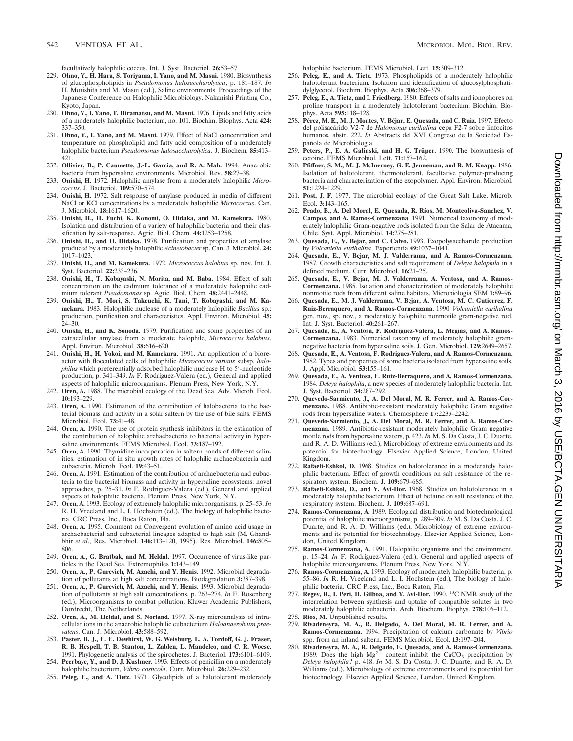facultatively halophilic coccus. Int. J. Syst. Bacteriol. **26:**53–57.

- 229. **Ohno, Y., H. Hara, S. Toriyama, I. Yano, and M. Masui.** 1980. Biosynthesis of glucophospholipids in *Pseudomonas halosaccharolytica*, p. 181–187. *In* H. Morishita and M. Masui (ed.), Saline environments. Proceedings of the Japanese Conference on Halophilic Microbiology. Nakanishi Printing Co., Kyoto, Japan.
- 230. **Ohno, Y., I. Yano, T. Hiramatsu, and M. Masui.** 1976. Lipids and fatty acids of a moderately halophilic bacterium, no. 101. Biochim. Biophys. Acta **424:** 337–350.
- 231. **Ohno, Y., I. Yano, and M. Masui.** 1979. Effect of NaCl concentration and temperature on phospholipid and fatty acid composition of a moderately halophilic bacterium *Pseudomonas halosaccharolytica*. J. Biochem. **85:**413– 421.
- 232. **Ollivier, B., P. Caumette, J.-L. Garcia, and R. A. Mah.** 1994. Anaerobic bacteria from hypersaline environments. Microbiol. Rev. **58:**27–38.
- 233. **Onishi, H.** 1972. Halophilic amylase from a moderately halophilic *Micrococcus*. J. Bacteriol. **109:**570–574.
- 234. **Onishi, H.** 1972. Salt response of amylase produced in media of different NaCl or KCl concentrations by a moderately halophilic *Micrococcus*. Can. J. Microbiol. **18:**1617–1620.
- 235. **Onishi, H., H. Fuchi, K. Konomi, O. Hidaka, and M. Kamekura.** 1980. Isolation and distribution of a variety of halophilic bacteria and their classification by salt-response. Agric. Biol. Chem. **44:**1253–1258.
- 236. **Onishi, H., and O. Hidaka.** 1978. Purification and properties of amylase produced by a moderately halophilic *Acinetobacter* sp. Can. J. Microbiol. **24:** 1017–1023.
- 237. **Onishi, H., and M. Kamekura.** 1972. *Micrococcus halobius* sp. nov. Int. J. Syst. Bacteriol. **22:**233–236.
- 238. **Onishi, H., T. Kobayashi, N. Morita, and M. Baba.** 1984. Effect of salt concentration on the cadmium tolerance of a moderately halophilic cadmium tolerant *Pseudomonas* sp. Agric. Biol. Chem. **48:**2441–2448.
- 239. **Onishi, H., T. Mori, S. Takeuchi, K. Tani, T. Kobayashi, and M. Kamekura.** 1983. Halophilic nuclease of a moderately halophilic *Bacillus* sp.: production, purification and characteristics. Appl. Environ. Microbiol. **45:**  $24 - 30.$
- 240. **Onishi, H., and K. Sonoda.** 1979. Purification and some properties of an extracellular amylase from a moderate halophile, *Micrococcus halobius*. Appl. Environ. Microbiol. **38:**616–620.
- 241. **Onishi, H., H. Yokoi, and M. Kamekura.** 1991. An application of a bioreactor with flocculated cells of halophilic *Micrococcus varians* subsp. *halophilus* which preferentially adsorbed halophilic nuclease H to 5'-nucleotide production, p. 341–349. *In* F. Rodriguez-Valera (ed.), General and applied aspects of halophilic microorganisms. Plenum Press, New York, N.Y.
- 242. **Oren, A.** 1988. The microbial ecology of the Dead Sea. Adv. Microb. Ecol. **10:**193–229.
- 243. **Oren, A.** 1990. Estimation of the contribution of halobacteria to the bacterial biomass and activity in a solar saltern by the use of bile salts. FEMS Microbiol. Ecol. **73:**41–48.
- 244. **Oren, A.** 1990. The use of protein synthesis inhibitors in the estimation of the contribution of halophilic archaebacteria to bacterial activity in hypersaline environments. FEMS Microbiol. Ecol. **73:**187–192.
- 245. **Oren, A.** 1990. Thymidine incorporation in saltern ponds of different salinities: estimation of in situ growth rates of halophilic archaeobacteria and eubacteria. Microb. Ecol. **19:**43–51.
- 246. **Oren, A.** 1991. Estimation of the contribution of archaebacteria and eubacteria to the bacterial biomass and activity in hypersaline ecosystems: novel approaches, p. 25–31. *In* F. Rodriguez-Valera (ed.), General and applied aspects of halophilic bacteria. Plenum Press, New York, N.Y.
- 247. **Oren, A.** 1993. Ecology of extremely halophilic microorganisms, p. 25–53. *In* R. H. Vreeland and L. I. Hochstein (ed.), The biology of halophilic bacteria. CRC Press, Inc., Boca Raton, Fla.
- 248. **Oren, A.** 1995. Comment on Convergent evolution of amino acid usage in archaebacterial and eubacterial lineages adapted to high salt (M. Ghandbhir *et al*., Res. Microbiol. **146:**113–120, 1995). Res. Microbiol. **146:**805– 806.
- 249. **Oren, A., G. Bratbak, and M. Heldal.** 1997. Occurrence of virus-like particles in the Dead Sea. Extremophiles **1:**143–149.
- 250. **Oren, A., P. Gurevich, M. Azachi, and Y. Henis.** 1992. Microbial degradation of pollutants at high salt concentrations. Biodegradation **3:**387–398.
- 251. **Oren, A., P. Gurevich, M. Azachi, and Y. Henis.** 1993. Microbial degradation of pollutants at high salt concentrations, p. 263–274. *In* E. Rosenberg (ed.), Microorganisms to combat pollution. Kluwer Academic Publishers, Dordrecht, The Netherlands.
- 252. **Oren, A., M. Heldal, and S. Norland.** 1997. X-ray microanalysis of intracellular ions in the anaerobic halophilic eubacterium *Haloanaerobium praevalens*. Can. J. Microbiol. **43:**588–592.
- 253. **Paster, B. J., F. E. Dewhirst, W. G. Weisburg, L. A. Tordoff, G. J. Fraser, R. B. Hespell, T. B. Stanton, L. Zablen, L. Mandelco, and C. R. Woese.** 1991. Phylogenetic analysis of the spirochetes. J. Bacteriol. **173:**6101–6109.
- 254. **Peerbaye, Y., and D. J. Kushner.** 1993. Effects of penicillin on a moderately halophilic bacterium, *Vibrio costicola*. Curr. Microbiol. **26:**229–232.
- 255. **Peleg, E., and A. Tietz.** 1971. Glycolipids of a halotolerant moderately

halophilic bacterium. FEMS Microbiol. Lett. **15:**309–312.

- 256. **Peleg, E., and A. Tietz.** 1973. Phospholipids of a moderately halophilic halotolerant bacterium. Isolation and identification of glucosylphosphatidylglycerol. Biochim. Biophys. Acta **306:**368–379.
- 257. **Peleg, E., A. Tietz, and I. Friedberg.** 1980. Effects of salts and ionophores on proline transport in a moderately halotolerant bacterium. Biochim. Biophys. Acta **595:**118–128.
- 258. **Pe´rez, M. E., M. J. Montes, V. Be´jar, E. Quesada, and C. Ruiz.** 1997. Efecto del polisacárido V2-7 de *Halomonas eurihalina* cepa F2-7 sobre linfocitos humanos, abstr. 222. *In* Abstracts del XVI Congreso de la Sociedad Española de Microbiologia.
- 259. Peters, P., E. A. Galinski, and H. G. Trüper. 1990. The biosynthesis of ectoine. FEMS Microbiol. Lett. **71:**157–162.
- 260. **Pfiffner, S. M., M. J. McInerney, G. E. Jenneman, and R. M. Knapp.** 1986. Isolation of halotolerant, thermotolerant, facultative polymer-producing bacteria and characterization of the exopolymer. Appl. Environ. Microbiol. **51:**1224–1229.
- 261. **Post, J. F.** 1977. The microbial ecology of the Great Salt Lake. Microb. Ecol. **3:**143–165.
- 262. **Prado, B., A. Del Moral, E. Quesada, R. Rı´os, M. Monteoliva-Sanchez, V. Campos, and A. Ramos-Cormenzana.** 1991. Numerical taxonomy of moderately halophilic Gram-negative rods isolated from the Salar de Atacama, Chile. Syst. Appl. Microbiol. **14:**275–281.
- 263. **Quesada, E., V. Bejar, and C. Calvo.** 1993. Exopolysaccharide production by *Volcaniella eurihalina*. Experientia **49:**1037–1041.
- 264. **Quesada, E., V. Bejar, M. J. Valderrama, and A. Ramos-Cormenzana.** 1987. Growth characteristics and salt requirement of *Deleya halophila* in a defined medium. Curr. Microbiol. **16:**21–25.
- 265. **Quesada, E., V. Bejar, M. J. Valderrama, A. Ventosa, and A. Ramos-Cormenzana.** 1985. Isolation and characterization of moderately halophilic nonmotile rods from different saline habitats. Microbiologia SEM **1:**89–96.
- 266. **Quesada, E., M. J. Valderrama, V. Bejar, A. Ventosa, M. C. Gutierrez, F. Ruiz-Berraquero, and A. Ramos-Cormenzana.** 1990. *Volcaniella eurihalina* gen. nov., sp. nov., a moderately halophilic nonmotile gram-negative rod. Int. J. Syst. Bacteriol. **40:**261–267.
- 267. **Quesada, E., A. Ventosa, F. Rodriguez-Valera, L. Megias, and A. Ramos-Cormenzana.** 1983. Numerical taxonomy of moderately halophilic gramnegative bacteria from hypersaline soils. J. Gen. Microbiol. **129:**2649–2657.
- 268. **Quesada, E., A. Ventosa, F. Rodriguez-Valera, and A. Ramos-Cormenzana.** 1982. Types and properties of some bacteria isolated from hypersaline soils. J. Appl. Microbiol. **53:**155–161.
- 269. **Quesada, E., A. Ventosa, F. Ruiz-Berraquero, and A. Ramos-Cormenzana.** 1984. *Deleya halophila*, a new species of moderately halophilic bacteria. Int. J. Syst. Bacteriol. **34:**287–292.
- 270. **Quevedo-Sarmiento, J., A. Del Moral, M. R. Ferrer, and A. Ramos-Cormenzana.** 1988. Antibiotic-resistant moderately halophilic Gram negative rods from hypersaline waters. Chemosphere **17:**2233–2242.
- 271. **Quevedo-Sarmiento, J., A. Del Moral, M. R. Ferrer, and A. Ramos-Cormenzana.** 1989. Antibiotic-resistant moderately halophilic Gram negative motile rods from hypersaline waters, p. 423. *In* M. S. Da Costa, J. C. Duarte, and R. A. D. Williams (ed.), Microbiology of extreme environments and its potential for biotechnology. Elsevier Applied Science, London, United Kingdom.
- 272. **Rafaeli-Eshkol, D.** 1968. Studies on halotolerance in a moderately halophilic bacterium. Effect of growth conditions on salt resistance of the respiratory system. Biochem. J. **109:**679–685.
- 273. **Rafaeli-Eshkol, D., and Y. Avi-Dor.** 1968. Studies on halotolerance in a moderately halophilic bacterium. Effect of betaine on salt resistance of the respiratory system. Biochem. J. **109:**687–691.
- 274. **Ramos-Cormenzana, A.** 1989. Ecological distribution and biotechnological potential of halophilic microorganisms, p. 289–309. *In* M. S. Da Costa, J. C. Duarte, and R. A. D. Williams (ed.), Microbiology of extreme environments and its potential for biotechnology. Elsevier Applied Science, London, United Kingdom.
- 275. **Ramos-Cormenzana, A.** 1991. Halophilic organisms and the environment, p. 15–24. *In* F. Rodriguez-Valera (ed.), General and applied aspects of halophilic microorganisms. Plenum Press, New York, N.Y.
- 276. **Ramos-Cormenzana, A.** 1993. Ecology of moderately halophilic bacteria, p. 55–86. *In* R. H. Vreeland and L. I. Hochstein (ed.), The biology of halophilic bacteria. CRC Press, Inc., Boca Raton, Fla.
- 277. **Regev, R., I. Peri, H. Gilboa, and Y. Avi-Dor.** 1990. 13C NMR study of the interrelation between synthesis and uptake of compatible solutes in two moderately halophilic eubacteria. Arch. Biochem. Biophys. **278:**106–112.
- 278. Ríos, M. Unpublished results.
- 279. **Rivadeneyra, M. A., R. Delgado, A. Del Moral, M. R. Ferrer, and A. Ramos-Cormenzana.** 1994. Precipitation of calcium carbonate by *Vibrio* spp. from an inland saltern. FEMS Microbiol. Ecol. **13:**197–204.
- 280. **Rivadeneyra, M. A., R. Delgado, E. Quesada, and A. Ramos-Cormenzana.** 1989. Does the high  $Mg^{2+}$  content inhibit the CaCO<sub>3</sub> precipitation by *Deleya halophila*? p. 418. *In* M. S. Da Costa, J. C. Duarte, and R. A. D. Williams (ed.), Microbiology of extreme environments and its potential for biotechnology. Elsevier Applied Science, London, United Kingdom.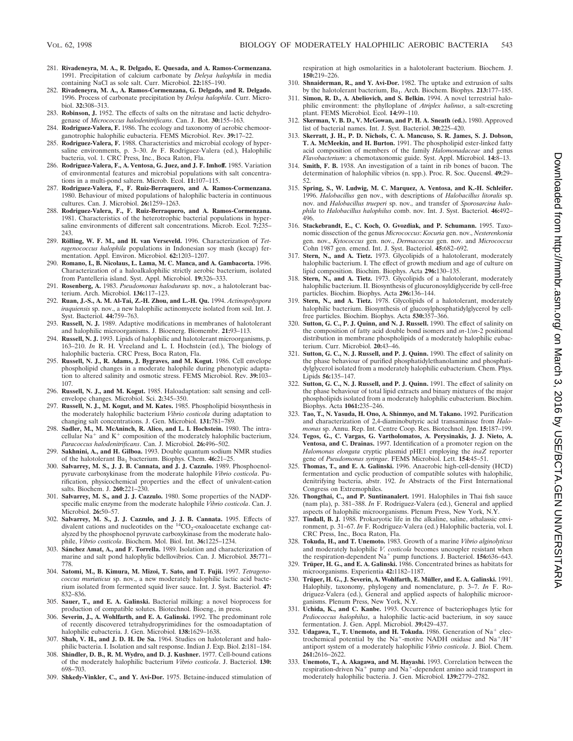- 281. **Rivadeneyra, M. A., R. Delgado, E. Quesada, and A. Ramos-Cormenzana.** 1991. Precipitation of calcium carbonate by *Deleya halophila* in media containing NaCl as sole salt. Curr. Microbiol. **22:**185–190.
- 282. **Rivadeneyra, M. A., A. Ramos-Cormenzana, G. Delgado, and R. Delgado.** 1996. Process of carbonate precipitation by *Deleya halophila*. Curr. Microbiol. **32:**308–313.
- 283. **Robinson, J.** 1952. The effects of salts on the nitratase and lactic dehydrogenase of *Micrococcus halodenitrificans*. Can. J. Bot. **30:**155–163.
- 284. **Rodriguez-Valera, F.** 1986. The ecology and taxonomy of aerobic chemoorganotrophic halophilic eubacteria. FEMS Microbiol. Rev. **39:**17–22.
- 285. **Rodriguez-Valera, F.** 1988. Characteristics and microbial ecology of hypersaline environments, p. 3–30. *In* F. Rodriguez-Valera (ed.), Halophilic bacteria, vol. 1. CRC Press, Inc., Boca Raton, Fla.
- 286. **Rodriguez-Valera, F., A. Ventosa, G. Juez, and J. F. Imhoff.** 1985. Variation of environmental features and microbial populations with salt concentrations in a multi-pond saltern. Microb. Ecol. **11:**107–115.
- 287. **Rodriguez-Valera, F., F. Ruiz-Berraquero, and A. Ramos-Cormenzana.** 1980. Behaviour of mixed populations of halophilic bacteria in continuous cultures. Can. J. Microbiol. **26:**1259–1263.
- 288. **Rodriguez-Valera, F., F. Ruiz-Berraquero, and A. Ramos-Cormenzana.** 1981. Characteristics of the heterotrophic bacterial populations in hypersaline environments of different salt concentrations. Microb. Ecol. **7:**235– 243.
- 289. Rölling, W. F. M., and H. van Verseveld. 1996. Characterization of Tet*ragenococcus halophila* populations in Indonesian soy mash (kecap) fermentation. Appl. Environ. Microbiol. **62:**1203–1207.
- 290. **Romano, I., B. Nicolaus, L. Lama, M. C. Manca, and A. Gambacorta.** 1996. Characterization of a haloalkalophilic strictly aerobic bacterium, isolated from Pantelleria island. Syst. Appl. Microbiol. **19:**326–333.
- 291. **Rosenberg, A.** 1983. *Pseudomonas halodurans* sp. nov., a halotolerant bacterium. Arch. Microbiol. **136:**117–123.
- 292. **Ruan, J.-S., A. M. Al-Tai, Z.-H. Zhou, and L.-H. Qu.** 1994. *Actinopolyspora iraquiensis* sp. nov., a new halophilic actinomycete isolated from soil. Int. J. Syst. Bacteriol. **44:**759–763.
- 293. **Russell, N. J.** 1989. Adaptive modifications in membranes of halotolerant and halophilic microorganisms. J. Bioenerg. Biomembr. **21:**93–113.
- 294. **Russell, N. J.** 1993. Lipids of halophilic and halotolerant microorganisms, p. 163–210. *In* R. H. Vreeland and L. I. Hochstein (ed.), The biology of halophilic bacteria. CRC Press, Boca Raton, Fla.
- 295. **Russell, N. J., R. Adams, J. Bygraves, and M. Kogut.** 1986. Cell envelope phospholipid changes in a moderate halophile during phenotypic adaptation to altered salinity and osmotic stress. FEMS Microbiol. Rev. **39:**103– 107.
- 296. **Russell, N. J., and M. Kogut.** 1985. Haloadaptation: salt sensing and cellenvelope changes. Microbiol. Sci. **2:**345–350.
- 297. **Russell, N. J., M. Kogut, and M. Kates.** 1985. Phospholipid biosynthesis in the moderately halophilic bacterium *Vibrio costicola* during adaptation to changing salt concentrations. J. Gen. Microbiol. **131:**781–789.
- 298. **Sadler, M., M. McAninch, R. Alico, and L. I. Hochstein.** 1980. The intracellular  $Na^+$  and  $K^+$  composition of the moderately halophilic bacterium, *Paracoccus halodenitrificans*. Can. J. Microbiol. **26:**496–502.
- 299. **Sakhnini, A., and H. Gilboa.** 1993. Double quantum sodium NMR studies of the halotolerant Ba<sub>1</sub> bacterium. Biophys. Chem. 46:21-25.
- 300. **Salvarrey, M. S., J. J. B. Cannata, and J. J. Cazzulo.** 1989. Phosphoenolpyruvate carboxykinase from the moderate halophile *Vibrio costicola*. Purification, physicochemical properties and the effect of univalent-cation salts. Biochem. J. **260:**221–230.
- 301. **Salvarrey, M. S., and J. J. Cazzulo.** 1980. Some properties of the NADPspecific malic enzyme from the moderate halophile *Vibrio costicola*. Can. J. Microbiol. **26:**50–57.
- 302. **Salvarrey, M. S., J. J. Cazzulo, and J. J. B. Cannata.** 1995. Effects of divalent cations and nucleotides on the  $^{14}CO_2$ -oxaloacetate exchange catalyzed by the phosphoenol pyruvate carboxykinase from the moderate halophile, *Vibrio costicola*. Biochem. Mol. Biol. Int. **36:**1225–1234.
- 303. **Sa´nchez Amat, A., and F. Torrella.** 1989. Isolation and characterization of marine and salt pond halophylic bdellovibrios. Can. J. Microbiol. **35:**771– 778.
- 304. **Satomi, M., B. Kimura, M. Mizoi, T. Sato, and T. Fujii.** 1997. *Tetragenococcus muriaticus* sp. nov., a new moderately halophilic lactic acid bacterium isolated from fermented squid liver sauce. Int. J. Syst. Bacteriol. **47:** 832–836.
- 305. **Sauer, T., and E. A. Galinski.** Bacterial milking: a novel bioprocess for production of compatible solutes. Biotechnol. Bioeng., in press.
- 306. **Severin, J., A. Wohlfarth, and E. A. Galinski.** 1992. The predominant role of recently discovered tetrahydropyrimidines for the osmoadaptation of halophilic eubacteria. J. Gen. Microbiol. **138:**1629–1638.
- 307. **Shah, V. H., and J. D. H. De Sa.** 1964. Studies on halotolerant and halophilic bacteria. I. Isolation and salt response. Indian J. Exp. Biol. **2:**181–184.
- 308. **Shindler, D. B., R. M. Wydro, and D. J. Kushner.** 1977. Cell-bound cations of the moderately halophilic bacterium *Vibrio costicola*. J. Bacteriol. **130:** 698–703.
- 309. **Shkedy-Vinkler, C., and Y. Avi-Dor.** 1975. Betaine-induced stimulation of

respiration at high osmolarities in a halotolerant bacterium. Biochem. J. **150:**219–226.

- 310. **Shnaiderman, R., and Y. Avi-Dor.** 1982. The uptake and extrusion of salts by the halotolerant bacterium, Ba<sub>1</sub>. Arch. Biochem. Biophys. 213:177-185.
- 311. **Simon, R. D., A. Abeliovich, and S. Belkin.** 1994. A novel terrestrial halophilic environment: the phylloplane of *Atriplex halinus*, a salt-excreting plant. FEMS Microbiol. Ecol. **14:**99–110.
- 312. **Skerman, V. B. D., V. McGowan, and P. H. A. Sneath (ed.).** 1980. Approved list of bacterial names. Int. J. Syst. Bacteriol. **30:**225–420.
- 313. **Skerratt, J. H., P. D. Nichols, C. A. Mancuso, S. R. James, S. J. Dobson, T. A. McMeekin, and H. Burton.** 1991. The phospholipid ester-linked fatty acid composition of members of the family *Halomonadaceae* and genus *Flavobacterium*: a chemotaxonomic guide. Syst. Appl. Microbiol. **14:**8–13.
- 314. **Smith, F. B.** 1938. An investigation of a taint in rib bones of bacon. The determination of halophilic vibrios (n. spp.). Proc. R. Soc. Queensl. **49:**29– 52.
- 315. **Spring, S., W. Ludwig, M. C. Marquez, A. Ventosa, and K.-H. Schleifer.** 1996. *Halobacillus* gen nov., with descriptions of *Halobacillus litoralis* sp. nov. and *Halobacillus trueperi* sp. nov., and transfer of *Sporosarcina halophila* to *Halobacillus halophilus* comb. nov. Int. J. Syst. Bacteriol. **46:**492– 496.
- 316. **Stackebrandt, E., C. Koch, O. Gvozdiak, and P. Schumann.** 1995. Taxonomic dissection of the genus *Micrococcus*: *Kocuria* gen. nov., *Nesterenkonia* gen. nov., *Kytococcus* gen. nov., *Dermacoccus* gen. nov. and *Micrococcus* Cohn 1987 gen. emend. Int. J. Syst. Bacteriol. **45:**682–692.
- 317. **Stern, N., and A. Tietz.** 1973. Glycolipids of a halotolerant, moderately halophilic bacterium. I. The effect of growth medium and age of culture on lipid composition. Biochim. Biophys. Acta **296:**130–135.
- 318. **Stern, N., and A. Tietz.** 1973. Glycolipids of a halotolerant, moderately halophilic bacterium. II. Biosynthesis of glucuronosyldiglyceride by cell-free particles. Biochim. Biophys. Acta **296:**136–144.
- 319. **Stern, N., and A. Tietz.** 1978. Glycolipids of a halotolerant, moderately halophilic bacterium. Biosynthesis of glucosylphosphatidylglycerol by cellfree particles. Biochim. Biophys. Acta **530:**357–366.
- 320. **Sutton, G. C., P. J. Quinn, and N. J. Russell.** 1990. The effect of salinity on the composition of fatty acid double bond isomers and *sn*-1/*sn*-2 positional distribution in membrane phospholipids of a moderately halophilic eubacterium. Curr. Microbiol. **20:**43–46.
- 321. **Sutton, G. C., N. J. Russell, and P. J. Quinn.** 1990. The effect of salinity on the phase behaviour of purified phosphatidylethanolamine and phosphatidylglycerol isolated from a moderately halophilic eubacterium. Chem. Phys. Lipids **56:**135–147.
- 322. **Sutton, G. C., N. J. Russell, and P. J. Quinn.** 1991. The effect of salinity on the phase behaviour of total lipid extracts and binary mixtures of the major phospholipids isolated from a moderately halophilic eubacterium. Biochim. Biophys. Acta **1061:**235–246.
- 323. **Tao, T., N. Yasuda, H. Ono, A. Shinmyo, and M. Takano.** 1992. Purification and characterization of 2,4-diaminobutyric acid transaminase from *Halomonas* sp. Annu. Rep. Int. Centre Coop. Res. Biotechnol. Jpn. **15:**187–199.
- 324. **Tegos, G., C. Vargas, G. Vartholomatos, A. Perysinakis, J. J. Nieto, A. Ventosa, and C. Drainas.** 1997. Identification of a promoter region on the *Halomonas elongata* cryptic plasmid pHE1 employing the *inaZ* reporter gene of *Pseudomonas syringae*. FEMS Microbiol. Lett. **154:**45–51.
- 325. **Thomas, T., and E. A. Galinski.** 1996. Anaerobic high-cell-density (HCD) fermentation and cyclic production of compatible solutes with halophilic, denitrifying bacteria, abstr. 192. *In* Abstracts of the First International Congress on Extremophiles.
- 326. **Thongthai, C., and P. Suntinanalert.** 1991. Halophiles in Thai fish sauce (nam pla), p. 381–388. *In* F. Rodriguez-Valera (ed.), General and applied aspects of halophilic microorganisms. Plenum Press, New York, N.Y.
- 327. **Tindall, B. J.** 1988. Prokaryotic life in the alkaline, saline, athalassic environment, p. 31–67. *In* F. Rodriguez-Valera (ed.) Halophilic bacteria, vol. I. CRC Press, Inc., Boca Raton, Fla.
- 328. **Tokuda, H., and T. Unemoto.** 1983. Growth of a marine *Vibrio alginolyticus* and moderately halophilic *V. costicola* becomes uncoupler resistant when<br>the respiration-dependent Na<sup>+</sup> pump functions. J. Bacteriol. **156:**636–643.
- 329. Trüper, H. G., and E. A. Galinski. 1986. Concentrated brines as habitats for microorganisms. Experientia **42:**1182–1187.
- 330. Trüper, H. G., J. Severin, A. Wohlfarth, E. Müller, and E. A. Galinski. 1991. Halophily, taxonomy, phylogeny and nomenclature, p. 3–7. *In* F. Rodriguez-Valera (ed.), General and applied aspects of halophilic microorganisms. Plenum Press, New York, N.Y.
- 331. **Uchida, K., and C. Kanbe.** 1993. Occurrence of bacteriophages lytic for *Pediococcus halophilus*, a halophilic lactic-acid bacterium, in soy sauce fermentation. J. Gen. Appl. Microbiol. **39:**429–437.
- Udagawa, T., T. Unemoto, and H. Tokuda. 1986. Generation of Na<sup>+</sup> electrochemical potential by the Na<sup>+</sup>-motive NADH oxidase and Na<sup>+</sup>/H<sup>+</sup> antiport system of a moderately halophilic *Vibrio costicola*. J. Biol. Chem. **261:**2616–2622.
- 333. **Unemoto, T., A. Akagawa, and M. Hayashi.** 1993. Correlation between the respiration-driven  $N\overline{a}^+$  pump and  $N\overline{a}^+$ -dependent amino acid transport in moderately halophilic bacteria. J. Gen. Microbiol. **139:**2779–2782.